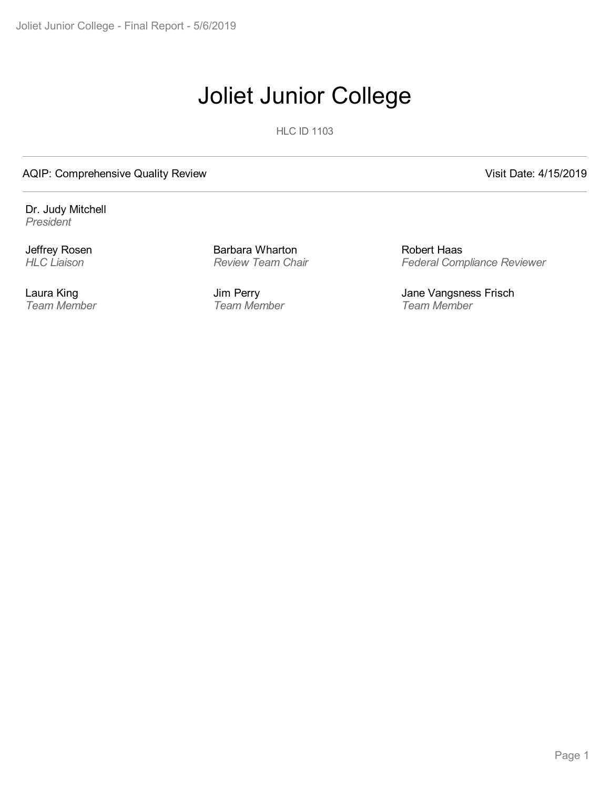# Joliet Junior College

**HLC ID 1103** 

#### AQIP: Comprehensive Quality Review Visit Date: 4/15/2019

Dr. Judy Mitchell *President*

Jeffrey Rosen *HLC Liaison*

Laura King *Team Member* Barbara Wharton *Review Team Chair*

Jim Perry *Team Member*

Robert Haas *Federal Compliance Reviewer*

Jane Vangsness Frisch *Team Member*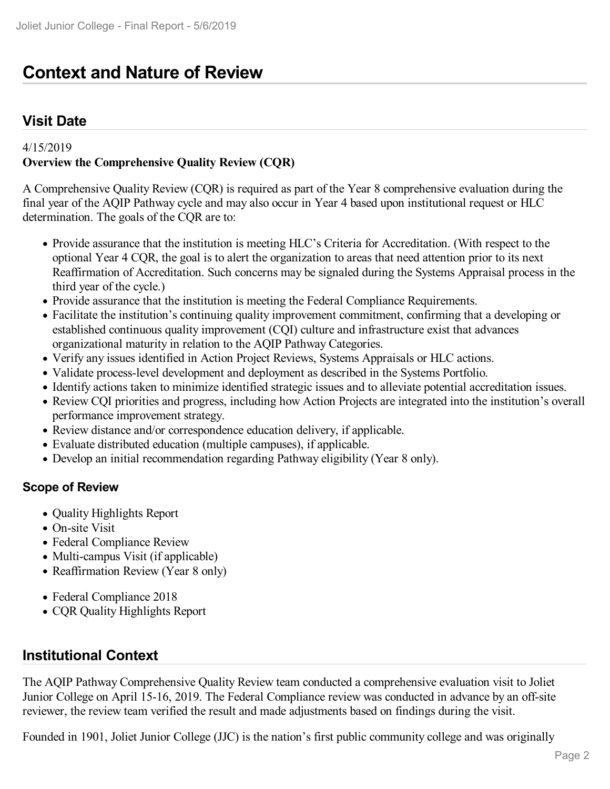## **Context and Nature of Review**

### **Visit Date**

#### 4/15/2019

#### **Overview the Comprehensive Quality Review (CQR)**

A Comprehensive Quality Review (CQR) is required as part of the Year 8 comprehensive evaluation during the final year of the AQIP Pathway cycle and may also occur in Year 4 based upon institutional request or HLC determination. The goals of the CQR are to:

- Provide assurance that the institution is meeting HLC's Criteria for Accreditation. (With respect to the optional Year 4 CQR, the goal is to alert the organization to areas that need attention prior to its next Reaffirmation of Accreditation. Such concerns may be signaled during the Systems Appraisal process in the third year of the cycle.)
- Provide assurance that the institution is meeting the Federal Compliance Requirements.
- Facilitate the institution's continuing quality improvement commitment, confirming that a developing or established continuous quality improvement (CQI) culture and infrastructure exist that advances organizational maturity in relation to the AQIP Pathway Categories.
- Verify any issues identified in Action Project Reviews, Systems Appraisals or HLC actions.
- Validate process-level development and deployment as described in the Systems Portfolio.
- Identify actions taken to minimize identified strategic issues and to alleviate potential accreditation issues.
- Review CQI priorities and progress, including how Action Projects are integrated into the institution's overall performance improvement strategy.
- Review distance and/or correspondence education delivery, if applicable.
- Evaluate distributed education (multiple campuses), if applicable.
- Develop an initial recommendation regarding Pathway eligibility (Year 8 only).

#### **Scope of Review**

- Quality Highlights Report
- On-site Visit
- Federal Compliance Review
- Multi-campus Visit (if applicable)
- Reaffirmation Review (Year 8 only)
- Federal Compliance 2018
- CQR Quality Highlights Report

#### **Institutional Context**

The AQIP Pathway Comprehensive Quality Review team conducted a comprehensive evaluation visit to Joliet Junior College on April 15-16, 2019. The Federal Compliance review was conducted in advance by an off-site reviewer, the review team verified the result and made adjustments based on findings during the visit.

Founded in 1901, Joliet Junior College (JJC) is the nation's first public community college and was originally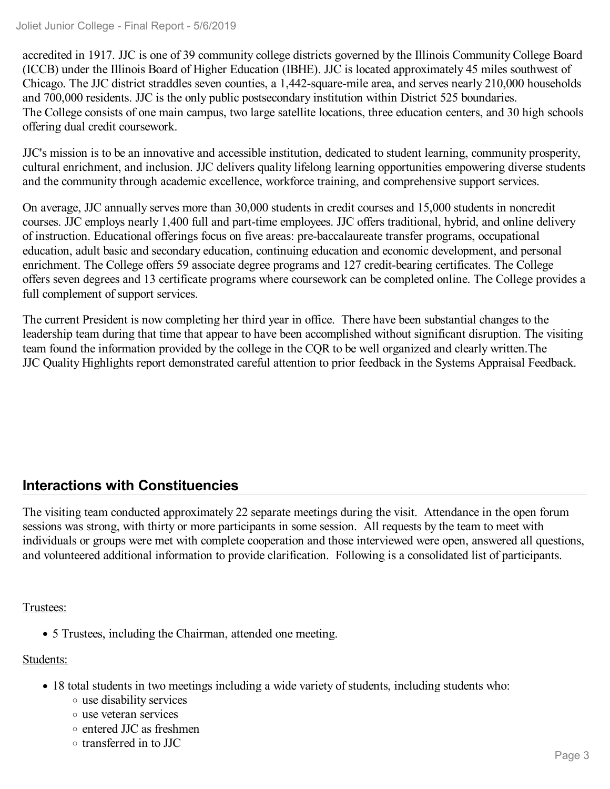accredited in 1917. JJC is one of 39 community college districts governed by the Illinois Community College Board (ICCB) under the Illinois Board of Higher Education (IBHE). JJC is located approximately 45 miles southwest of Chicago. The JJC district straddles seven counties, a 1,442-square-mile area, and serves nearly 210,000 households and 700,000 residents. JJC is the only public postsecondary institution within District 525 boundaries. The College consists of one main campus, two large satellite locations, three education centers, and 30 high schools offering dual credit coursework.

JJC's mission is to be an innovative and accessible institution, dedicated to student learning, community prosperity, cultural enrichment, and inclusion. JJC delivers quality lifelong learning opportunities empowering diverse students and the community through academic excellence, workforce training, and comprehensive support services.

On average, JJC annually serves more than 30,000 students in credit courses and 15,000 students in noncredit courses. JJC employs nearly 1,400 full and part-time employees. JJC offers traditional, hybrid, and online delivery of instruction. Educational offerings focus on five areas: pre-baccalaureate transfer programs, occupational education, adult basic and secondary education, continuing education and economic development, and personal enrichment. The College offers 59 associate degree programs and 127 credit-bearing certificates. The College offers seven degrees and 13 certificate programs where coursework can be completed online. The College provides a full complement of support services.

The current President is now completing her third year in office. There have been substantial changes to the leadership team during that time that appear to have been accomplished without significant disruption. The visiting team found the information provided by the college in the CQR to be well organized and clearly written.The JJC Quality Highlights report demonstrated careful attention to prior feedback in the Systems Appraisal Feedback.

### **Interactions with Constituencies**

The visiting team conducted approximately 22 separate meetings during the visit. Attendance in the open forum sessions was strong, with thirty or more participants in some session. All requests by the team to meet with individuals or groups were met with complete cooperation and those interviewed were open, answered all questions, and volunteered additional information to provide clarification. Following is a consolidated list of participants.

#### Trustees:

5 Trustees, including the Chairman, attended one meeting.

#### Students:

- 18 total students in two meetings including a wide variety of students, including students who:
	- use disability services
	- use veteran services
	- entered JJC as freshmen
	- transferred in to JJC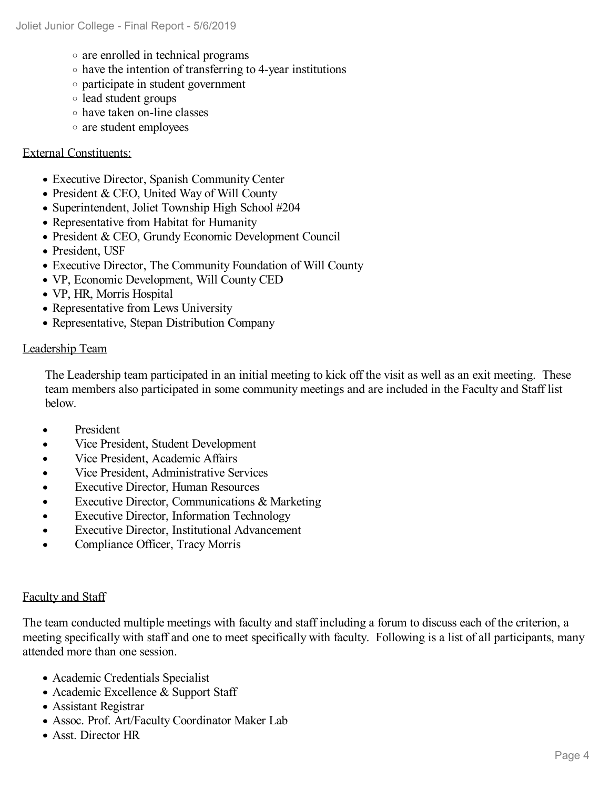- are enrolled in technical programs
- $\circ$  have the intention of transferring to 4-year institutions
- participate in student government
- lead student groups
- have taken on-line classes
- are student employees

#### External Constituents:

- Executive Director, Spanish Community Center
- President & CEO, United Way of Will County
- Superintendent, Joliet Township High School #204
- Representative from Habitat for Humanity
- President & CEO, Grundy Economic Development Council
- President, USF
- Executive Director, The Community Foundation of Will County
- VP, Economic Development, Will County CED
- VP, HR, Morris Hospital
- Representative from Lews University
- Representative, Stepan Distribution Company

#### Leadership Team

The Leadership team participated in an initial meeting to kick off the visit as well as an exit meeting. These team members also participated in some community meetings and are included in the Faculty and Staff list below.

- President  $\bullet$
- Vice President, Student Development  $\bullet$
- Vice President, Academic Affairs  $\bullet$
- Vice President, Administrative Services  $\bullet$
- Executive Director, Human Resources  $\bullet$
- $\bullet$ Executive Director, Communications & Marketing
- Executive Director, Information Technology  $\bullet$
- Executive Director, Institutional Advancement  $\bullet$
- Compliance Officer, Tracy Morris  $\bullet$

#### Faculty and Staff

The team conducted multiple meetings with faculty and staff including a forum to discuss each of the criterion, a meeting specifically with staff and one to meet specifically with faculty. Following is a list of all participants, many attended more than one session.

- Academic Credentials Specialist
- Academic Excellence & Support Staff
- Assistant Registrar
- Assoc. Prof. Art/Faculty Coordinator Maker Lab
- Asst. Director HR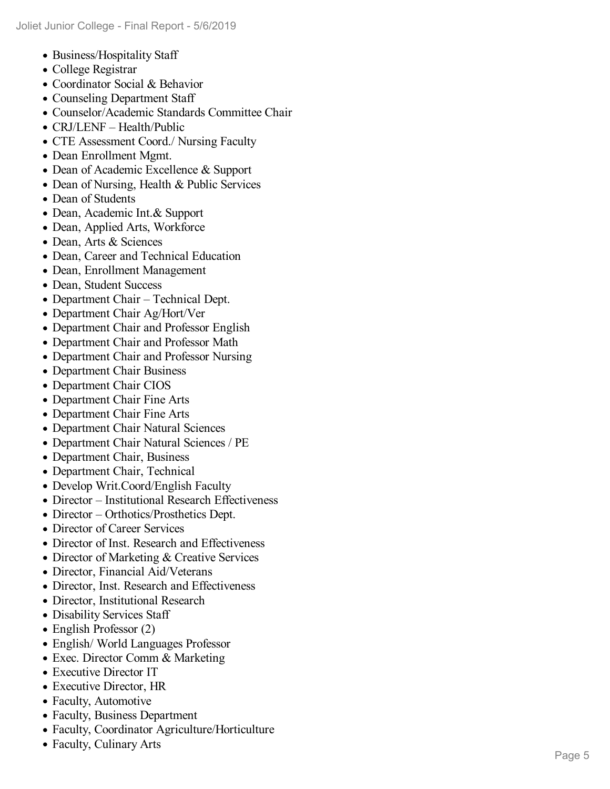- B usiness/H ospitality Sta ff
- C ollege Registrar
- Coordinator Social & Beh a vior
- Counseling Department Staff
- Counselor/Academic Standards C o mmittee C h air
- CRJ/LENF Health/Public
- CTE Assessment Coord./ Nursing Faculty
- Dean Enrollment Mgmt.
- Dean of Academic Excellence & Support
- Dean of Nursing, Health & Public Services
- Dean of Students
- Dean, Academic Int.& Support
- Dean, Applied Arts, Workforce
- Dean, Arts & Sciences
- Dean, Career and Technical Education
- Dean, Enrollment Management
- Dean, Student Success
- Department Chair Technical Dept.
- Department Chair Ag/Hort/Ver
- Department Chair and Professor English
- Department Chair and Professor Math
- Department Chair and Professor Nursing
- Department Chair Business
- Department Chair CIOS
- Department Chair Fine Arts
- Department Chair Fine Arts
- Department Chair Natural Sciences
- Department Chair Natural Sciences / PE
- Department Chair, Business
- Department Chair, Technical
- Develop Writ.Coord/English Faculty
- Director Institutional Research Effectiveness
- Director Orthotics/Prosthetics Dept.
- Director of Career Services
- Director of Inst. Research and Effectiveness
- Director of Marketing & Creative Services
- Director, Financial Aid/Veterans
- Director, Inst. Research and Effectiveness
- Director, Institutional Research
- Disability Services Staff
- English Professor (2)
- English/ World Languages Professor
- Exec. Director Comm & Marketing
- Executive Director IT
- Executive Director, HR
- Faculty, Automotive
- Faculty, Business Department
- Faculty, Coordinator Agriculture/Horticulture
- Faculty, Culinary Arts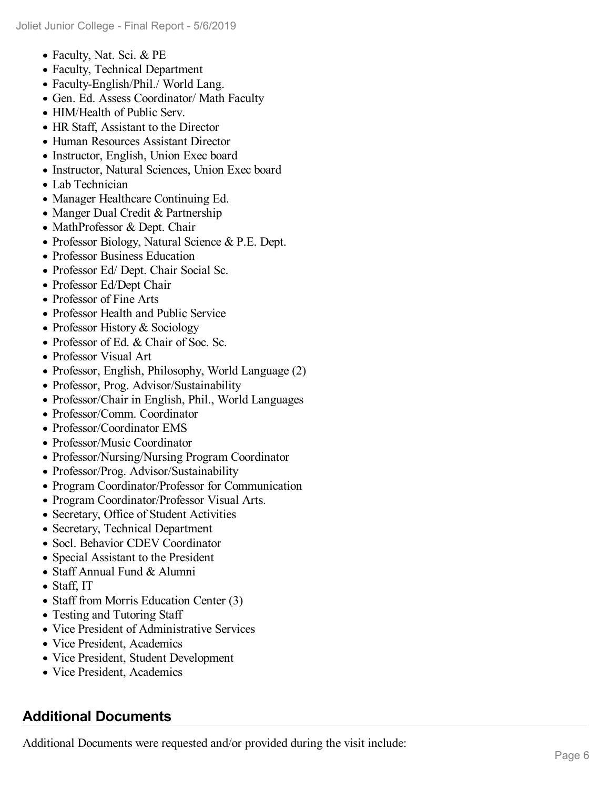- Faculty, Nat. Sci. & PE
- Faculty, Technical Department
- Faculty-English/Phil./ World Lang.
- Gen. Ed. Assess Coordinator/ Math Faculty
- HIM/Health of Public Serv.
- HR Staff, Assistant to the Director
- Human Resources Assistant Director
- Instructor, English, Union Exec board
- Instructor, Natural Sciences, Union Exec board
- Lab Technician
- Manager Healthcare Continuing Ed.
- Manger Dual Credit & Partnership
- MathProfessor & Dept. Chair
- Professor Biology, Natural Science & P.E. Dept.
- Professor Business Education
- Professor Ed/ Dept. Chair Social Sc.
- Professor Ed/Dept Chair
- Professor of Fine Arts
- Professor Health and Public Service
- Professor History & Sociology
- Professor of Ed. & Chair of Soc. Sc.
- Professor Visual Art
- Professor, English, Philosophy, World Language (2)
- Professor, Prog. Advisor/Sustainability
- Professor/Chair in English, Phil., World Languages
- Professor/Comm. Coordinator
- Professor/Coordinator EMS
- Professor/Music Coordinator
- Professor/Nursing/Nursing Program Coordinator
- Professor/Prog. Advisor/Sustainability
- Program Coordinator/Professor for Communication
- Program Coordinator/Professor Visual Arts.
- Secretary, Office of Student Activities
- Secretary, Technical Department
- Socl. Behavior CDEV Coordinator
- Special Assistant to the President
- Staff Annual Fund & Alumni
- Staff, IT
- Staff from Morris Education Center (3)
- Testing and Tutoring Staff
- Vice President of Administrative Services
- Vice President, Academics
- Vice President, Student Development
- Vice President, Academics

### **Additional Documents**

Additional Documents were requested and/or provided during the visit include: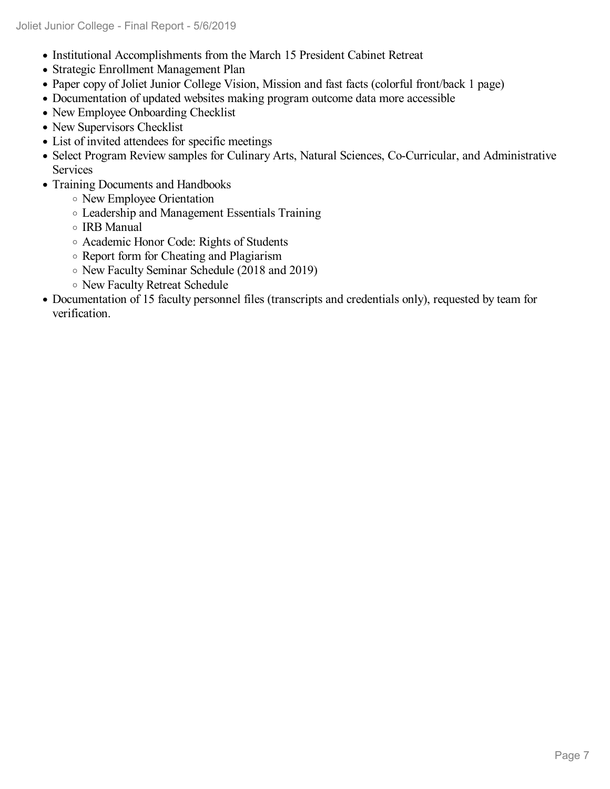- Institutional Accomplishments from the March 15 President Cabinet Retreat
- Strategic Enrollment Management Plan
- Paper copy of Joliet Junior College Vision, Mission and fast facts (colorful front/back 1 page)
- Documentation of updated websites making program outcome data more accessible
- New Employee Onboarding Checklist
- New Supervisors Checklist
- List of invited attendees for specific meetings
- Select Program Review samples for Culinary Arts, Natural Sciences, Co-Curricular, and Administrative Services
- Training Documents and Handbooks
	- New Employee Orientation
	- Leadership and Management Essentials Training
	- IRB Manual
	- Academic Honor Code: Rights of Students
	- Report form for Cheating and Plagiarism
	- New Faculty Seminar Schedule (2018 and 2019)
	- New Faculty Retreat Schedule
- Documentation of 15 faculty personnel files (transcripts and credentials only), requested by team for verification.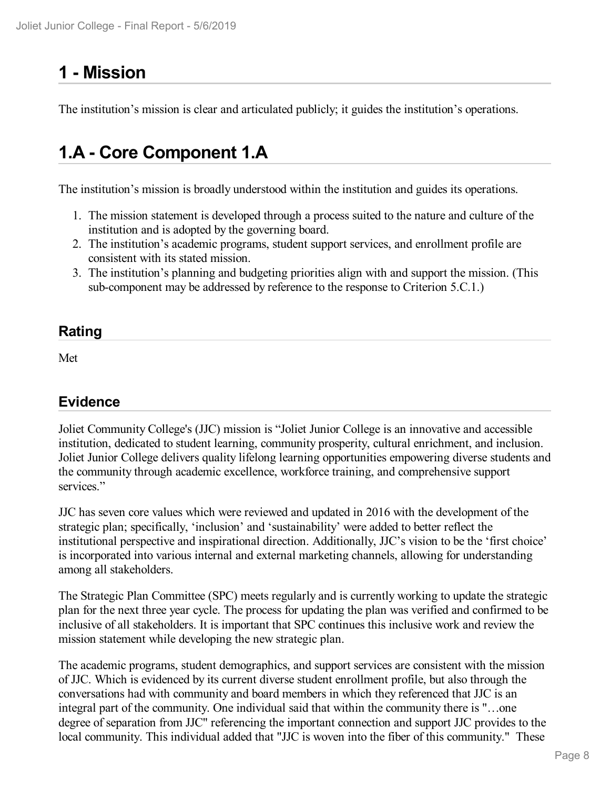## **1 -Mission**

The institution's mission is clear and articulated publicly; it guides the institution's operations.

## **1.A - Core Component 1.A**

The institution's mission is broadly understood within the institution and guides its operations.

- 1. The mission statement is developed through a process suited to the nature and culture of the institution and is adopted by the governing board.
- 2. The institution's academic programs, student support services, and enrollment profile are consistent with its stated mission.
- 3. The institution's planning and budgeting priorities align with and support the mission. (This sub-component may be addressed by reference to the response to Criterion 5.C.1.)

#### **Rating**

Met

### **Evidence**

Joliet Community College's (JJC) mission is "Joliet Junior College is an innovative and accessible institution, dedicated to student learning, community prosperity, cultural enrichment, and inclusion. Joliet Junior College delivers quality lifelong learning opportunities empowering diverse students and the community through academic excellence, workforce training, and comprehensive support services."

JJC has seven core values which were reviewed and updated in 2016 with the development of the strategic plan; specifically, 'inclusion' and 'sustainability' were added to better reflect the institutional perspective and inspirational direction. Additionally, JJC's vision to be the 'first choice' is incorporated into various internal and external marketing channels, allowing for understanding among all stakeholders.

The Strategic Plan Committee (SPC) meets regularly and is currently working to update the strategic plan for the next three year cycle. The process for updating the plan was verified and confirmed to be inclusive of all stakeholders. It is important that SPC continues this inclusive work and review the mission statement while developing the new strategic plan.

The academic programs, student demographics, and support services are consistent with the mission of JJC. Which is evidenced by its current diverse student enrollment profile, but also through the conversations had with community and board members in which they referenced that JJC is an integral part of the community. One individual said that within the community there is "…one degree of separation from JJC" referencing the important connection and support JJC provides to the local community. This individual added that "JJC is woven into the fiber of this community." These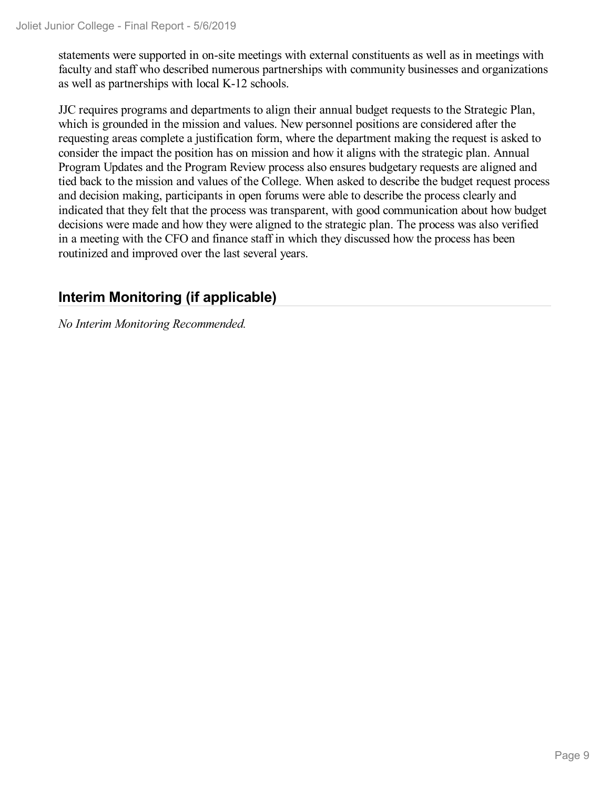statements were supported in on-site meetings with external constituents as well as in meetings with faculty and staff who described numerous partnerships with community businesses and organizations as well as partnerships with local K-12 schools.

JJC requires programs and departments to align their annual budget requests to the Strategic Plan, which is grounded in the mission and values. New personnel positions are considered after the requesting areas complete a justification form, where the department making the request is asked to consider the impact the position has on mission and how it aligns with the strategic plan. Annual Program Updates and the Program Review process also ensures budgetary requests are aligned and tied back to the mission and values of the College. When asked to describe the budget request process and decision making, participants in open forums were able to describe the process clearly and indicated that they felt that the process was transparent, with good communication about how budget decisions were made and how they were aligned to the strategic plan. The process was also verified in a meeting with the CFO and finance staff in which they discussed how the process has been routinized and improved over the last several years.

### **Interim Monitoring (if applicable)**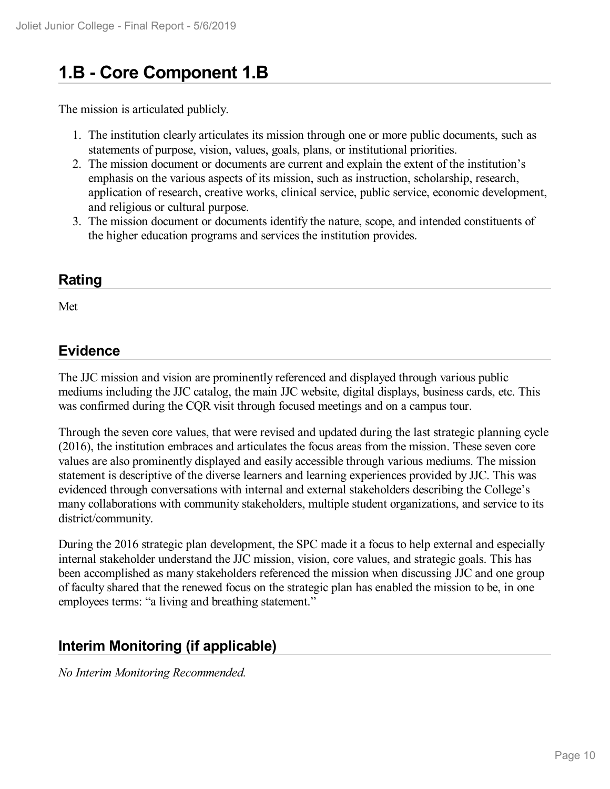## **1.B - Core Component 1.B**

The mission is articulated publicly.

- 1. The institution clearly articulates its mission through one or more public documents, such as statements of purpose, vision, values, goals, plans, or institutional priorities.
- 2. The mission document or documents are current and explain the extent of the institution's emphasis on the various aspects of its mission, such as instruction, scholarship, research, application of research, creative works, clinical service, public service, economic development, and religious or cultural purpose.
- 3. The mission document or documents identify the nature, scope, and intended constituents of the higher education programs and services the institution provides.

#### **Rating**

Met

#### **Evidence**

The JJC mission and vision are prominently referenced and displayed through various public mediums including the JJC catalog, the main JJC website, digital displays, business cards, etc. This was confirmed during the CQR visit through focused meetings and on a campus tour.

Through the seven core values, that were revised and updated during the last strategic planning cycle (2016), the institution embraces and articulates the focus areas from the mission. These seven core values are also prominently displayed and easily accessible through various mediums. The mission statement is descriptive of the diverse learners and learning experiences provided by JJC. This was evidenced through conversations with internal and external stakeholders describing the College's many collaborations with community stakeholders, multiple student organizations, and service to its district/community.

During the 2016 strategic plan development, the SPC made it a focus to help external and especially internal stakeholder understand the JJC mission, vision, core values, and strategic goals. This has been accomplished as many stakeholders referenced the mission when discussing JJC and one group of faculty shared that the renewed focus on the strategic plan has enabled the mission to be, in one employees terms: "a living and breathing statement."

#### **Interim Monitoring (if applicable)**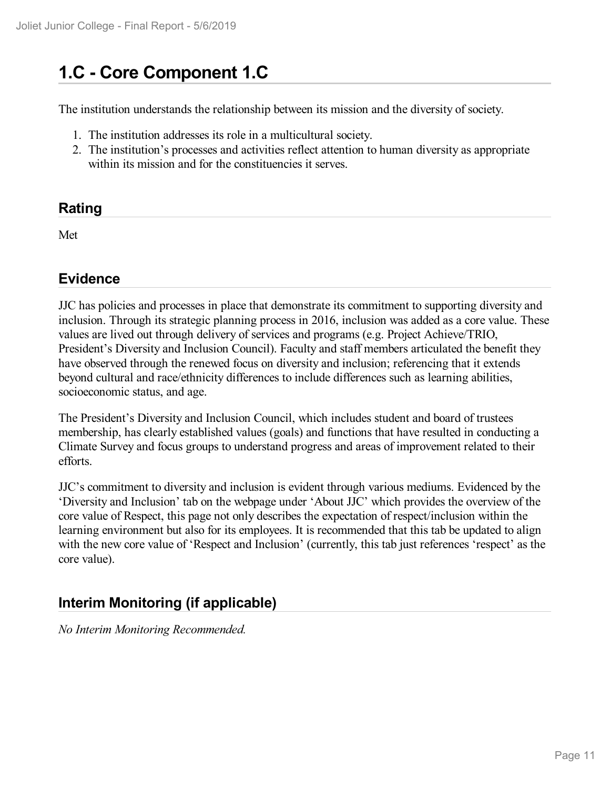## **1.C - Core Component 1.C**

The institution understands the relationship between its mission and the diversity of society.

- 1. The institution addresses its role in a multicultural society.
- 2. The institution's processes and activities reflect attention to human diversity as appropriate within its mission and for the constituencies it serves.

#### **Rating**

Met

### **Evidence**

JJC has policies and processes in place that demonstrate its commitment to supporting diversity and inclusion. Through its strategic planning process in 2016, inclusion was added as a core value. These values are lived out through delivery of services and programs (e.g. Project Achieve/TRIO, President's Diversity and Inclusion Council). Faculty and staff members articulated the benefit they have observed through the renewed focus on diversity and inclusion; referencing that it extends beyond cultural and race/ethnicity differences to include differences such as learning abilities, socioeconomic status, and age.

The President's Diversity and Inclusion Council, which includes student and board of trustees membership, has clearly established values (goals) and functions that have resulted in conducting a Climate Survey and focus groups to understand progress and areas of improvement related to their efforts.

JJC's commitment to diversity and inclusion is evident through various mediums. Evidenced by the 'Diversity and Inclusion' tab on the webpage under 'About JJC' which provides the overview ofthe core value of Respect, this page not only describes the expectation of respect/inclusion within the learning environment but also for its employees. It is recommended that this tab be updated to align with the new core value of 'Respect and Inclusion' (currently, this tab just references 'respect' as the core value).

### **Interim Monitoring (if applicable)**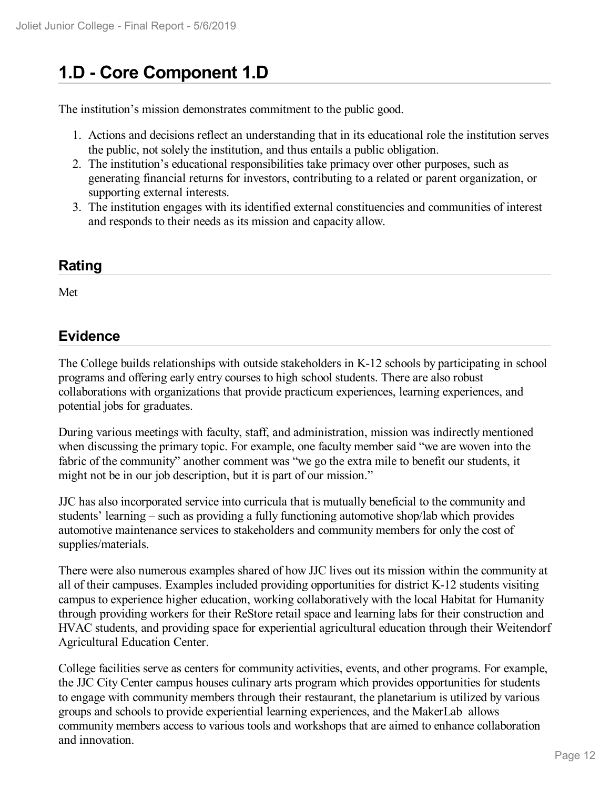## **1.D - Core Component 1.D**

The institution's mission demonstrates commitment to the public good.

- 1. Actions and decisions reflect an understanding that in its educational role the institution serves the public, not solely the institution, and thus entails a public obligation.
- 2. The institution's educational responsibilities take primacy over other purposes, such as generating financial returns for investors, contributing to a related or parent organization, or supporting external interests.
- 3. The institution engages with its identified external constituencies and communities of interest and responds to their needs as its mission and capacity allow.

## **Rating**

Met

### **Evidence**

The College builds relationships with outside stakeholders in K-12 schools by participating in school programs and offering early entry courses to high school students. There are also robust collaborations with organizations that provide practicum experiences, learning experiences, and potential jobs for graduates.

During various meetings with faculty, staff, and administration, mission was indirectly mentioned when discussing the primary topic. For example, one faculty member said "we are woven into the fabric of the community" another comment was "we go the extra mile to benefit our students, it might not be in our job description, but it is part of our mission."

JJC has also incorporated service into curricula that is mutually beneficial to the community and students' learning – such as providing a fully functioning automotive shop/lab which provides automotive maintenance services to stakeholders and community members for only the cost of supplies/materials.

There were also numerous examples shared of how JJC lives out its mission within the community at all of their campuses. Examples included providing opportunities for district K-12 students visiting campus to experience higher education, working collaboratively with the local Habitat for Humanity through providing workers for their ReStore retail space and learning labs for their construction and HVAC students, and providing space for experiential agricultural education through their Weitendorf Agricultural Education Center.

College facilities serve as centers for community activities, events, and other programs. For example, the JJC City Center campus houses culinary arts program which provides opportunities for students to engage with community members through their restaurant, the planetarium is utilized by various groups and schools to provide experiential learning experiences, and the MakerLab allows community members access to various tools and workshops that are aimed to enhance collaboration and innovation.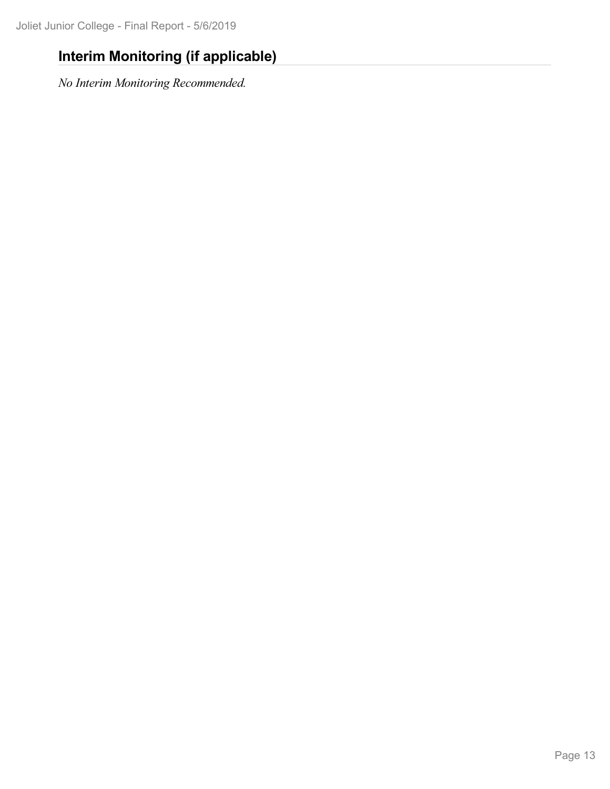## **Interim Monitoring (if applicable)**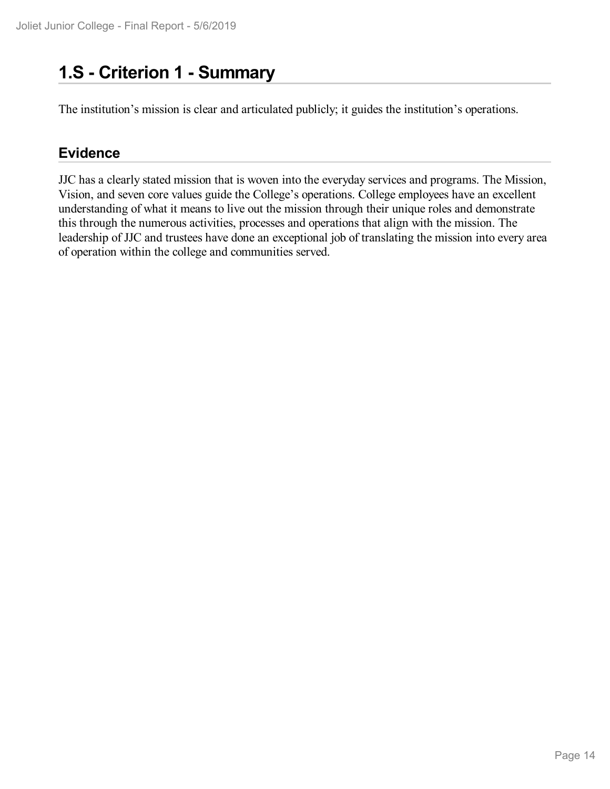## **1.S - Criterion 1 -Summary**

The institution's mission is clear and articulated publicly; it guides the institution's operations.

#### **Evidence**

JJC has a clearly stated mission that is woven into the everyday services and programs. The Mission, Vision, and seven core values guide the College's operations. College employees have an excellent understanding of what it means to live out the mission through their unique roles and demonstrate this through the numerous activities, processes and operations that align with the mission. The leadership of JJC and trustees have done an exceptional job of translating the mission into every area of operation within the college and communities served.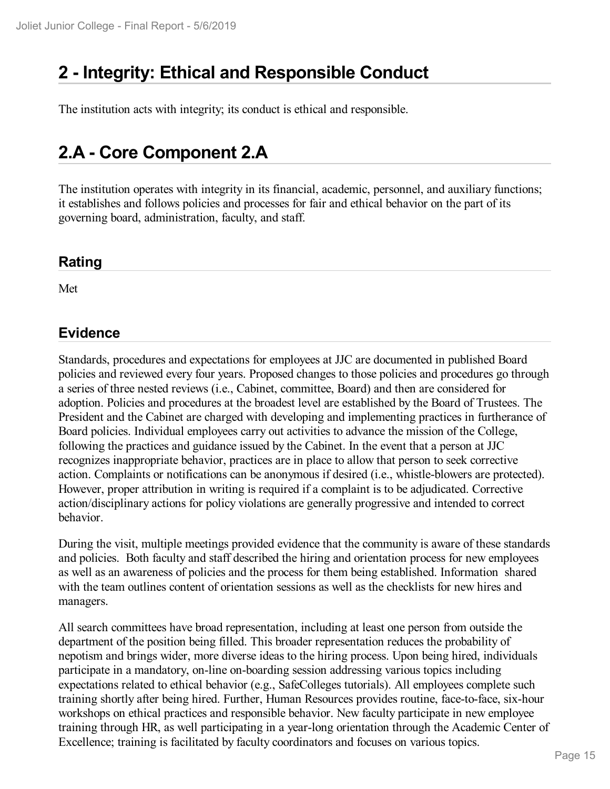## **2 -Integrity: Ethical and Responsible Conduct**

The institution acts with integrity; its conduct is ethical and responsible.

## **2.A - Core Component 2.A**

The institution operates with integrity in its financial, academic, personnel, and auxiliary functions; it establishes and follows policies and processes for fair and ethical behavior on the part of its governing board, administration, faculty, and staff.

#### **Rating**

Met

#### **Evidence**

Standards, procedures and expectations for employees at JJC are documented in published Board policies and reviewed every four years. Proposed changes to those policies and procedures go through a series of three nested reviews (i.e., Cabinet, committee, Board) and then are considered for adoption. Policies and procedures at the broadest level are established by the Board of Trustees. The President and the Cabinet are charged with developing and implementing practices in furtherance of Board policies. Individual employees carry out activities to advance the mission of the College, following the practices and guidance issued by the Cabinet. In the event that a person at JJC recognizes inappropriate behavior, practices are in place to allow that person to seek corrective action. Complaints or notifications can be anonymous if desired (i.e., whistle-blowers are protected). However, proper attribution in writing is required if a complaint is to be adjudicated. Corrective action/disciplinary actions for policy violations are generally progressive and intended to correct behavior.

During the visit, multiple meetings provided evidence that the community is aware of these standards and policies. Both faculty and staff described the hiring and orientation process for new employees as well as an awareness of policies and the process for them being established. Information shared with the team outlines content of orientation sessions as well as the checklists for new hires and managers.

All search committees have broad representation, including at least one person from outside the department of the position being filled. This broader representation reduces the probability of nepotism and brings wider, more diverse ideas to the hiring process. Upon being hired, individuals participate in a mandatory, on-line on-boarding session addressing various topics including expectations related to ethical behavior (e.g., SafeColleges tutorials). All employees complete such training shortly after being hired. Further, Human Resources provides routine, face-to-face, six-hour workshops on ethical practices and responsible behavior. New faculty participate in new employee training through HR, as well participating in a year-long orientation through the Academic Center of Excellence; training is facilitated by faculty coordinators and focuses on various topics.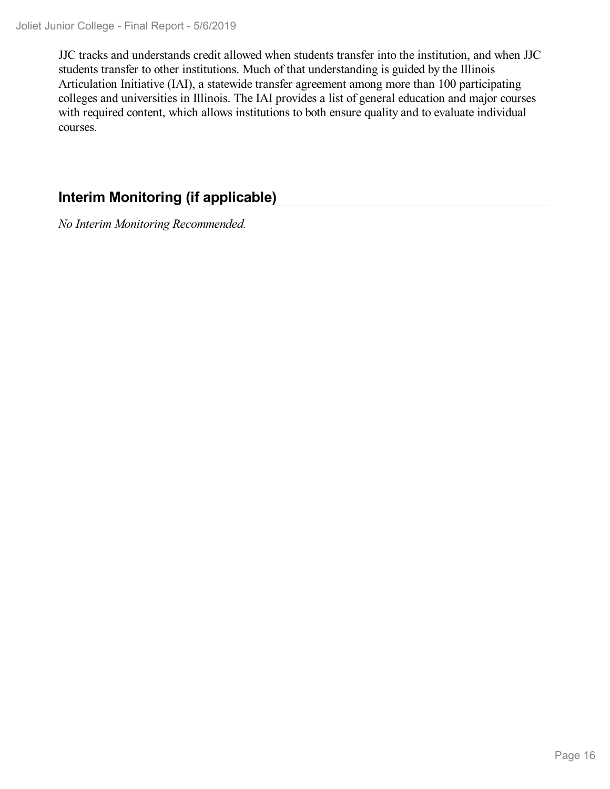JJC tracks and understands credit allowed when students transfer into the institution, and when JJC students transfer to other institutions. Much of that understanding is guided by the Illinois Articulation Initiative (IAI), a statewide transfer agreement among more than 100 participating colleges and universities in Illinois. The IAI provides a list of general education and major courses with required content, which allows institutions to both ensure quality and to evaluate individual courses.

### **Interim Monitoring (if applicable)**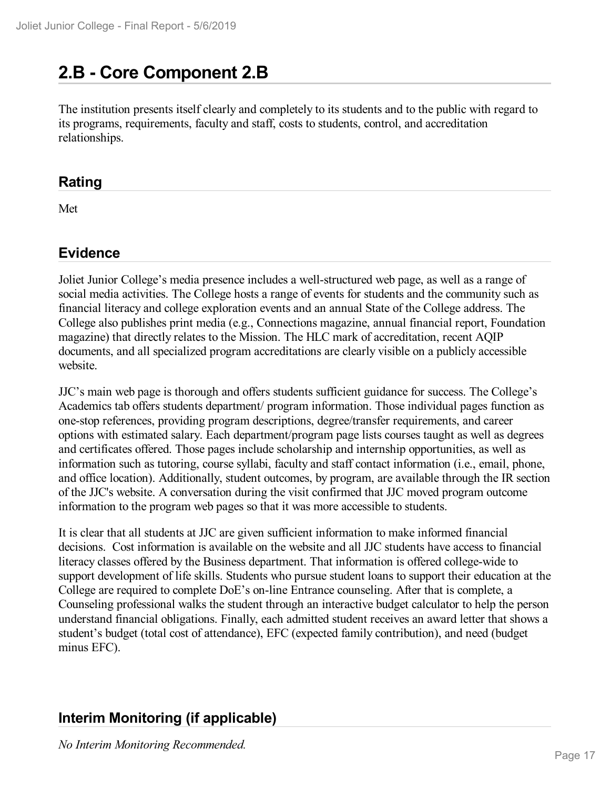## **2.B - Core Component 2.B**

The institution presents itself clearly and completely to its students and to the public with regard to its programs, requirements, faculty and staff, costs to students, control, and accreditation relationships.

#### **Rating**

Met

#### **Evidence**

Joliet Junior College's media presence includes a well-structured web page, as well as a range of social media activities. The College hosts a range of events for students and the community such as financial literacy and college exploration events and an annual State of the College address. The College also publishes print media (e.g., Connections magazine, annual financial report, Foundation magazine) that directly relates to the Mission. The HLC mark of accreditation, recent AQIP documents, and all specialized program accreditations are clearly visible on a publicly accessible website.

JJC's main web page is thorough and offers students sufficient guidance for success. The College's Academics tab offers students department/ program information. Those individual pages function as one-stop references, providing program descriptions, degree/transfer requirements, and career options with estimated salary. Each department/program page lists courses taught as well as degrees and certificates offered. Those pages include scholarship and internship opportunities, as well as information such as tutoring, course syllabi, faculty and staff contact information (i.e., email, phone, and office location). Additionally, student outcomes, by program, are available through the IR section of the JJC's website. A conversation during the visit confirmed that JJC moved program outcome information to the program web pages so that it was more accessible to students.

It is clear that all students at JJC are given sufficient information to make informed financial decisions. Cost information is available on the website and all JJC students have access to financial literacy classes offered by the Business department. That information is offered college-wide to support development of life skills. Students who pursue student loans to support their education at the College are required to complete DoE's on-line Entrance counseling. After that is complete, a Counseling professional walks the student through an interactive budget calculator to help the person understand financial obligations. Finally, each admitted student receives an award letter that shows a student's budget (total cost of attendance), EFC (expected family contribution), and need (budget minus EFC).

### **Interim Monitoring (if applicable)**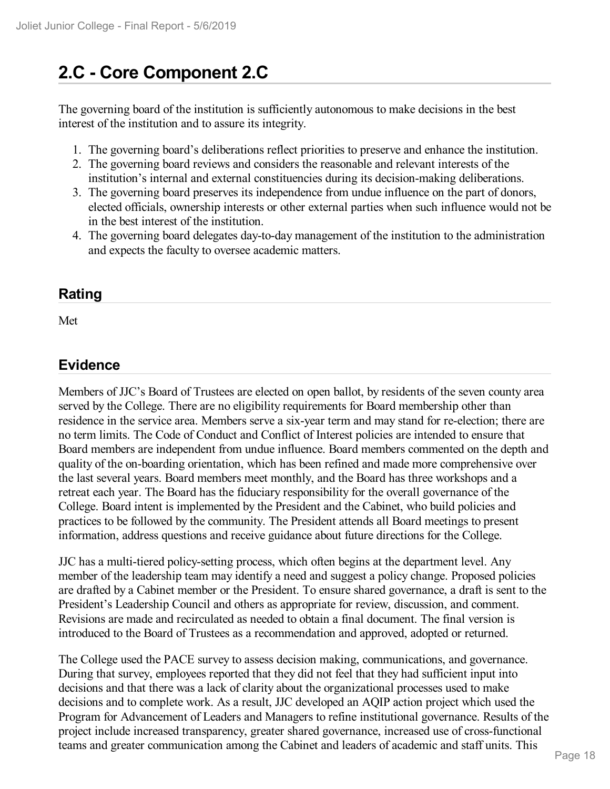## **2.C - Core Component 2.C**

The governing board of the institution is sufficiently autonomous to make decisions in the best interest of the institution and to assure its integrity.

- 1. The governing board's deliberations reflect priorities to preserve and enhance the institution.
- 2. The governing board reviews and considers the reasonable and relevant interests of the institution's internal and external constituencies during its decision-making deliberations.
- 3. The governing board preserves its independence from undue influence on the part of donors, elected officials, ownership interests or other external parties when such influence would not be in the best interest of the institution.
- 4. The governing board delegates day-to-day management of the institution to the administration and expects the faculty to oversee academic matters.

#### **Rating**

Met

#### **Evidence**

Members of JJC's Board of Trustees are elected on open ballot, by residents of the seven county area served by the College. There are no eligibility requirements for Board membership other than residence in the service area. Members serve a six-year term and may stand for re-election; there are no term limits. The Code of Conduct and Conflict of Interest policies are intended to ensure that Board members are independent from undue influence. Board members commented on the depth and quality of the on-boarding orientation, which has been refined and made more comprehensive over the last several years. Board members meet monthly, and the Board has three workshops and a retreat each year. The Board has the fiduciary responsibility for the overall governance of the College. Board intent is implemented by the President and the Cabinet, who build policies and practices to be followed by the community. The President attends all Board meetings to present information, address questions and receive guidance about future directions for the College.

JJC has a multi-tiered policy-setting process, which often begins at the department level. Any member of the leadership team may identify a need and suggest a policy change. Proposed policies are drafted by a Cabinet member or the President. To ensure shared governance, a draft is sent to the President's Leadership Council and others as appropriate for review, discussion, and comment. Revisions are made and recirculated as needed to obtain a final document. The final version is introduced to the Board of Trustees as a recommendation and approved, adopted or returned.

The College used the PACE survey to assess decision making, communications, and governance. During that survey, employees reported that they did not feel that they had sufficient input into decisions and that there was a lack of clarity about the organizational processes used to make decisions and to complete work. As a result, JJC developed an AQIP action project which used the Program for Advancement of Leaders and Managers to refine institutional governance. Results of the project include increased transparency, greater shared governance, increased use of cross-functional teams and greater communication among the Cabinet and leaders of academic and staff units. This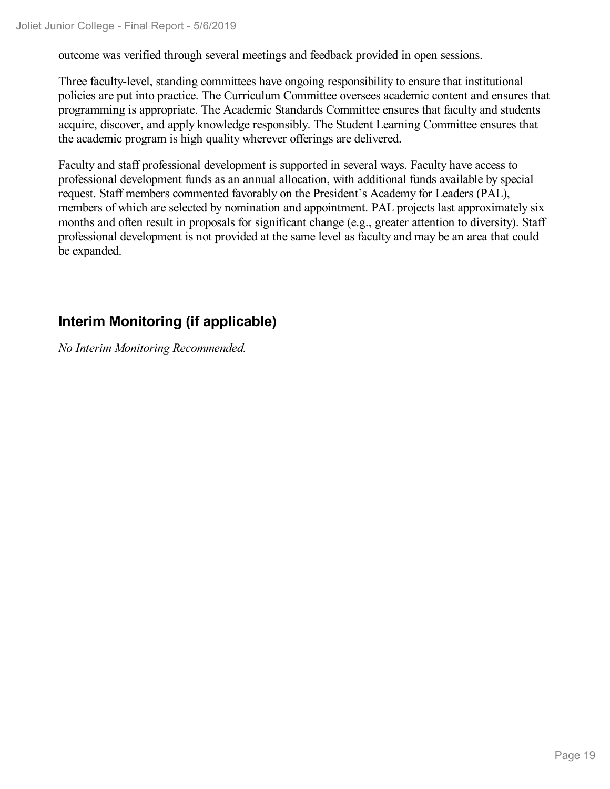outcome was verified through several meetings and feedback provided in open sessions.

Three faculty-level, standing committees have ongoing responsibility to ensure that institutional policies are put into practice. The Curriculum Committee oversees academic content and ensures that programming is appropriate. The Academic Standards Committee ensures that faculty and students acquire, discover, and apply knowledge responsibly. The Student Learning Committee ensures that the academic program is high quality wherever offerings are delivered.

Faculty and staff professional development is supported in several ways. Faculty have access to professional development funds as an annual allocation, with additional funds available by special request. Staff members commented favorably on the President's Academy for Leaders (PAL), members of which are selected by nomination and appointment. PAL projects last approximately six months and often result in proposals for significant change (e.g., greater attention to diversity). Staff professional development is not provided at the same level as faculty and may be an area that could be expanded.

### **Interim Monitoring (if applicable)**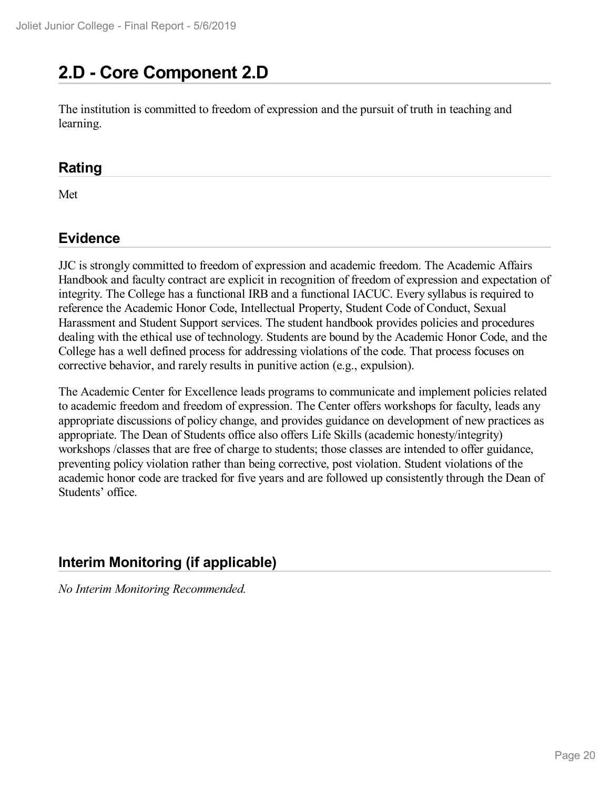## **2.D - Core Component 2.D**

The institution is committed to freedom of expression and the pursuit of truth in teaching and learning.

#### **Rating**

Met

### **Evidence**

JJC is strongly committed to freedom of expression and academic freedom. The Academic Affairs Handbook and faculty contract are explicit in recognition of freedom of expression and expectation of integrity. The College has a functional IRB and a functional IACUC. Every syllabus is required to reference the Academic Honor Code, Intellectual Property, Student Code of Conduct, Sexual Harassment and Student Support services. The student handbook provides policies and procedures dealing with the ethical use of technology. Students are bound by the Academic Honor Code, and the College has a well defined process for addressing violations of the code. That process focuses on corrective behavior, and rarely results in punitive action (e.g., expulsion).

The Academic Center for Excellence leads programs to communicate and implement policies related to academic freedom and freedom of expression. The Center offers workshops for faculty, leads any appropriate discussions of policy change, and provides guidance on development of new practices as appropriate. The Dean of Students office also offers Life Skills (academic honesty/integrity) workshops /classes that are free of charge to students; those classes are intended to offer guidance, preventing policy violation rather than being corrective, post violation. Student violations of the academic honor code are tracked for five years and are followed up consistently through the Dean of Students' office.

### **Interim Monitoring (if applicable)**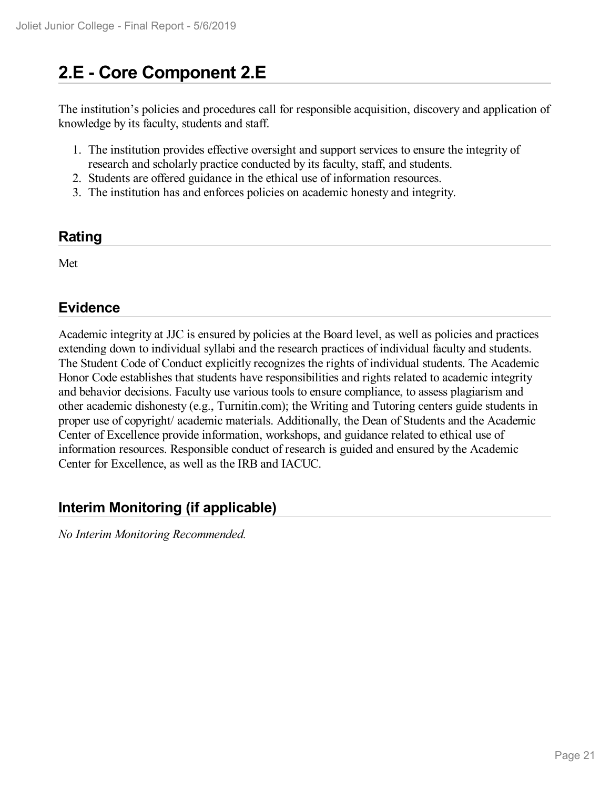## **2.E - Core Component 2.E**

The institution's policies and procedures call for responsible acquisition, discovery and application of knowledge by its faculty, students and staff.

- 1. The institution provides effective oversight and support services to ensure the integrity of research and scholarly practice conducted by its faculty, staff, and students.
- 2. Students are offered guidance in the ethical use of information resources.
- 3. The institution has and enforces policies on academic honesty and integrity.

#### **Rating**

Met

### **Evidence**

Academic integrity at JJC is ensured by policies at the Board level, as well as policies and practices extending down to individual syllabi and the research practices of individual faculty and students. The Student Code of Conduct explicitly recognizes the rights of individual students. The Academic Honor Code establishes that students have responsibilities and rights related to academic integrity and behavior decisions. Faculty use various tools to ensure compliance, to assess plagiarism and other academic dishonesty (e.g., Turnitin.com); the Writing and Tutoring centers guide students in proper use of copyright/ academic materials. Additionally, the Dean of Students and the Academic Center of Excellence provide information, workshops, and guidance related to ethical use of information resources. Responsible conduct of research is guided and ensured by the Academic Center for Excellence, as well as the IRB and IACUC.

### **Interim Monitoring (if applicable)**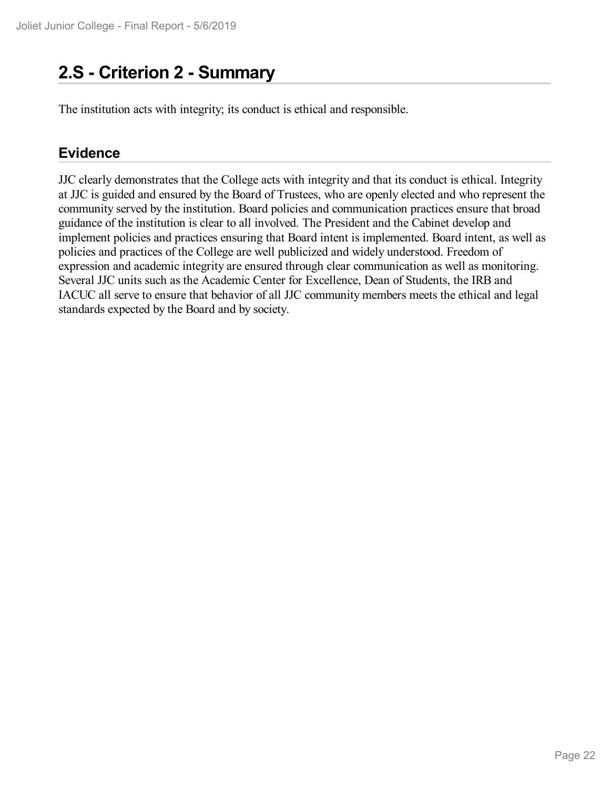## **2.S - Criterion 2 -Summary**

The institution acts with integrity; its conduct is ethical and responsible.

#### **Evidence**

JJC clearly demonstrates that the College acts with integrity and that its conduct is ethical. Integrity at JJC is guided and ensured by the Board of Trustees, who are openly elected and who represent the community served by the institution. Board policies and communication practices ensure that broad guidance of the institution is clear to all involved. The President and the Cabinet develop and implement policies and practices ensuring that Board intent is implemented. Board intent, as well as policies and practices of the College are well publicized and widely understood. Freedom of expression and academic integrity are ensured through clear communication as well as monitoring. Several JJC units such as the Academic Center for Excellence, Dean of Students, the IRB and IACUC all serve to ensure that behavior of all JJC community members meets the ethical and legal standards expected by the Board and by society.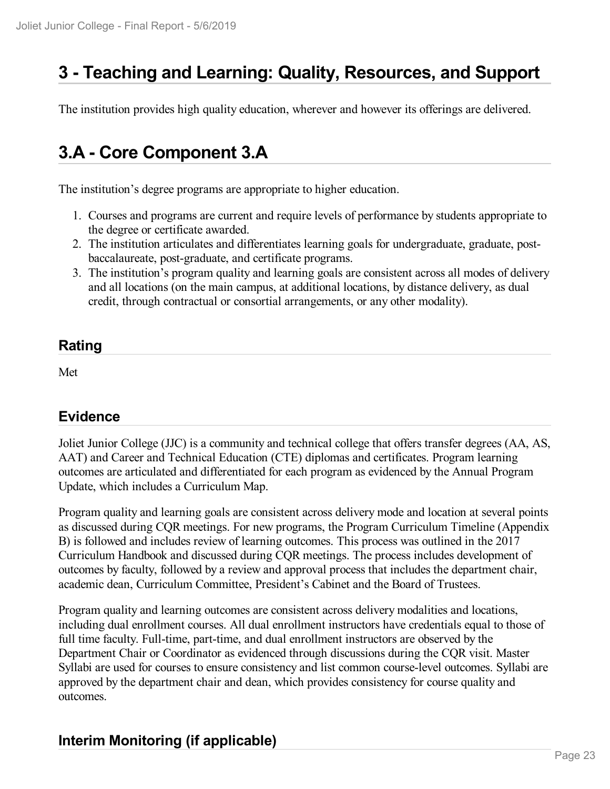## **3 -Teaching and Learning: Quality, Resources, and Support**

The institution provides high quality education, wherever and however its offerings are delivered.

## **3.A - Core Component 3.A**

The institution's degree programs are appropriate to higher education.

- 1. Courses and programs are current and require levels of performance by students appropriate to the degree or certificate awarded.
- 2. The institution articulates and differentiates learning goals for undergraduate, graduate, post baccalaureate, post-graduate, and certificate programs.
- 3. The institution's program quality and learning goals are consistent across all modes of delivery and all locations (on the main campus, at additional locations, by distance delivery, as dual credit, through contractual or consortial arrangements, or any other modality).

#### **Rating**

Met

#### **Evidence**

Joliet Junior College (JJC) is a community and technical college that offers transfer degrees (AA, AS, AAT) and Career and Technical Education (CTE) diplomas and certificates. Program learning outcomes are articulated and differentiated for each program as evidenced by the Annual Program Update, which includes a Curriculum Map.

Program quality and learning goals are consistent across delivery mode and location at several points as discussed during CQR meetings. For new programs, the Program Curriculum Timeline (Appendix B) is followed and includes review of learning outcomes. This process was outlined in the 2017 Curriculum Handbook and discussed during CQR meetings. The process includes development of outcomes by faculty, followed by a review and approval process that includes the department chair, academic dean, Curriculum Committee, President's Cabinet and the Board of Trustees.

Program quality and learning outcomes are consistent across delivery modalities and locations, including dual enrollment courses. All dual enrollment instructors have credentials equal to those of full time faculty. Full-time, part-time, and dual enrollment instructors are observed by the Department Chair or Coordinator as evidenced through discussions during the CQR visit. Master Syllabi are used for courses to ensure consistency and list common course-level outcomes. Syllabi are approved by the department chair and dean, which provides consistency for course quality and outcomes.

### **Interim Monitoring (if applicable)**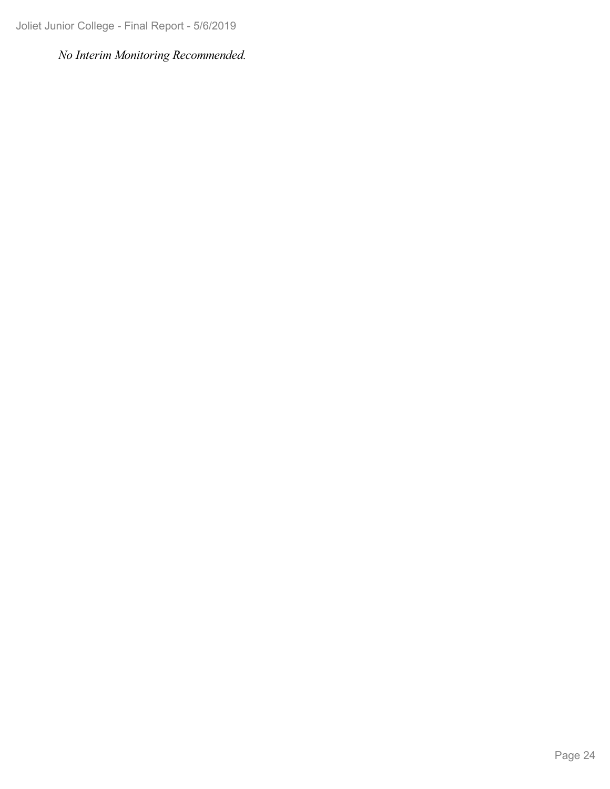Joliet Junior College - Final Report - 5/6/2019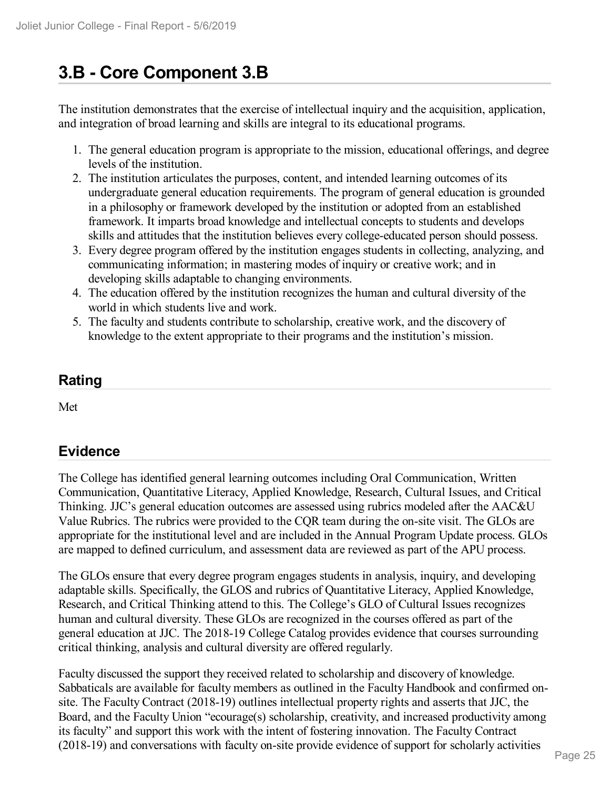## **3.B - Core Component 3.B**

The institution demonstrates that the exercise of intellectual inquiry and the acquisition, application, and integration of broad learning and skills are integral to its educational programs.

- 1. The general education program is appropriate to the mission, educational offerings, and degree levels of the institution.
- 2. The institution articulates the purposes, content, and intended learning outcomes of its undergraduate general education requirements. The program of general education is grounded in a philosophy or framework developed by the institution or adopted from an established framework. It imparts broad knowledge and intellectual concepts to students and develops skills and attitudes that the institution believes every college-educated person should possess.
- 3. Every degree program offered by the institution engages students in collecting, analyzing, and communicating information; in mastering modes of inquiry or creative work; and in developing skills adaptable to changing environments.
- 4. The education offered by the institution recognizes the human and cultural diversity of the world in which students live and work.
- 5. The faculty and students contribute to scholarship, creative work, and the discovery of knowledge to the extent appropriate to their programs and the institution's mission.

### **Rating**

Met

### **Evidence**

The College has identified general learning outcomes including Oral Communication, Written Communication, Quantitative Literacy, Applied Knowledge, Research, Cultural Issues, and Critical Thinking. JJC's general education outcomes are assessed using rubrics modeled after the AAC&U Value Rubrics. The rubrics were provided to the CQR team during the on-site visit. The GLOs are appropriate for the institutional level and are included in the Annual Program Update process. GLOs are mapped to defined curriculum, and assessment data are reviewed as part of the APU process.

The GLOs ensure that every degree program engages students in analysis, inquiry, and developing adaptable skills. Specifically, the GLOS and rubrics of Quantitative Literacy, Applied Knowledge, Research, and Critical Thinking attend to this. The College's GLO of Cultural Issues recognizes human and cultural diversity. These GLOs are recognized in the courses offered as part of the general education at JJC. The 2018-19 College Catalog provides evidence that courses surrounding critical thinking, analysis and cultural diversity are offered regularly.

Faculty discussed the support they received related to scholarship and discovery of knowledge. Sabbaticals are available for faculty members as outlined in the Faculty Handbook and confirmed onsite. The Faculty Contract (2018-19) outlines intellectual property rights and asserts that JJC, the Board, and the Faculty Union "ecourage(s) scholarship, creativity, and increased productivity among its faculty" and support this work with the intent of fostering innovation. The Faculty Contract (2018-19) and conversations with faculty on-site provide evidence of support for scholarly activities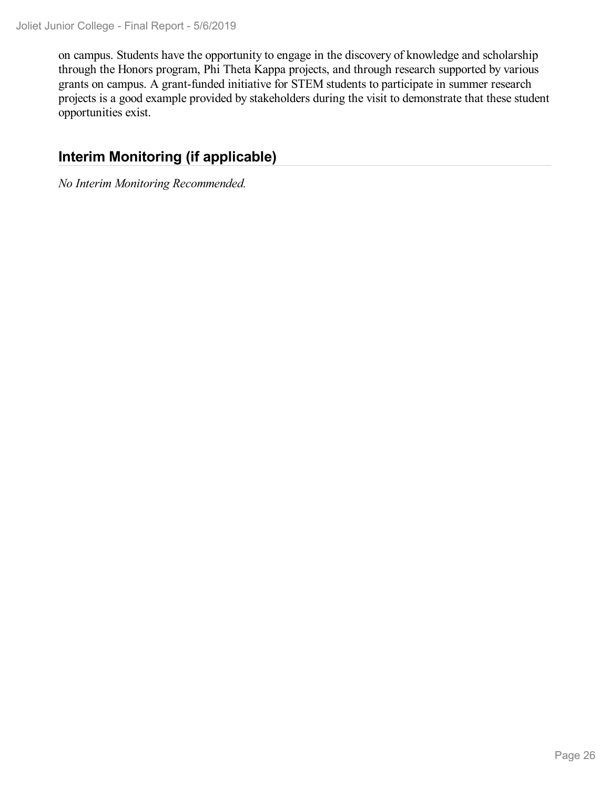on campus. Students have the opportunity to engage in the discovery of knowledge and scholarship through the Honors program, Phi Theta Kappa projects, and through research supported by various grants on campus. A grant-funded initiative for STEM students to participate in summer research projects is a good example provided by stakeholders during the visit to demonstrate that these student opportunities exist.

### **Interim Monitoring (if applicable)**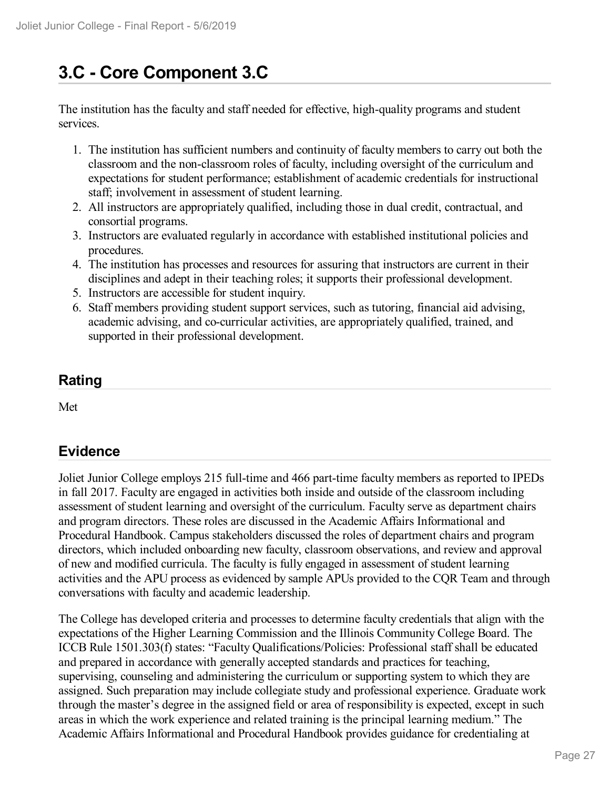## **3.C - Core Component 3.C**

The institution has the faculty and staff needed for effective, high-quality programs and student services.

- 1. The institution has sufficient numbers and continuity of faculty members to carry out both the classroom and the non-classroom roles of faculty, including oversight of the curriculum and expectations for student performance; establishment of academic credentials for instructional staff; involvement in assessment of student learning.
- 2. All instructors are appropriately qualified, including those in dual credit, contractual, and consortial programs.
- 3. Instructors are evaluated regularly in accordance with established institutional policies and procedures.
- 4. The institution has processes and resources for assuring that instructors are current in their disciplines and adept in their teaching roles; it supports their professional development.
- 5. Instructors are accessible for student inquiry.
- 6. Staff members providing student support services, such as tutoring, financial aid advising, academic advising, and co-curricular activities, are appropriately qualified, trained, and supported in their professional development.

### **Rating**

Met

### **Evidence**

Joliet Junior College employs 215 full-time and 466 part-time faculty members as reported to IPEDs in fall 2017. Faculty are engaged in activities both inside and outside of the classroom including assessment of student learning and oversight of the curriculum. Faculty serve as department chairs and program directors. These roles are discussed in the Academic Affairs Informational and Procedural Handbook. Campus stakeholders discussed the roles of department chairs and program directors, which included onboarding new faculty, classroom observations, and review and approval of new and modified curricula. The faculty is fully engaged in assessment of student learning activities and the APU process as evidenced by sample APUs provided to the CQR Team and through conversations with faculty and academic leadership.

The College has developed criteria and processes to determine faculty credentials that align with the expectations of the Higher Learning Commission and the Illinois Community College Board. The ICCB Rule 1501.303(f) states: "Faculty Qualifications/Policies: Professional staff shall be educated and prepared in accordance with generally accepted standards and practices for teaching, supervising, counseling and administering the curriculum or supporting system to which they are assigned. Such preparation may include collegiate study and professional experience. Graduate work through the master's degree in the assigned field or area of responsibility is expected, except in such areas in which the work experience and related training is the principal learning medium." The Academic Affairs Informational and Procedural Handbook provides guidance for credentialing at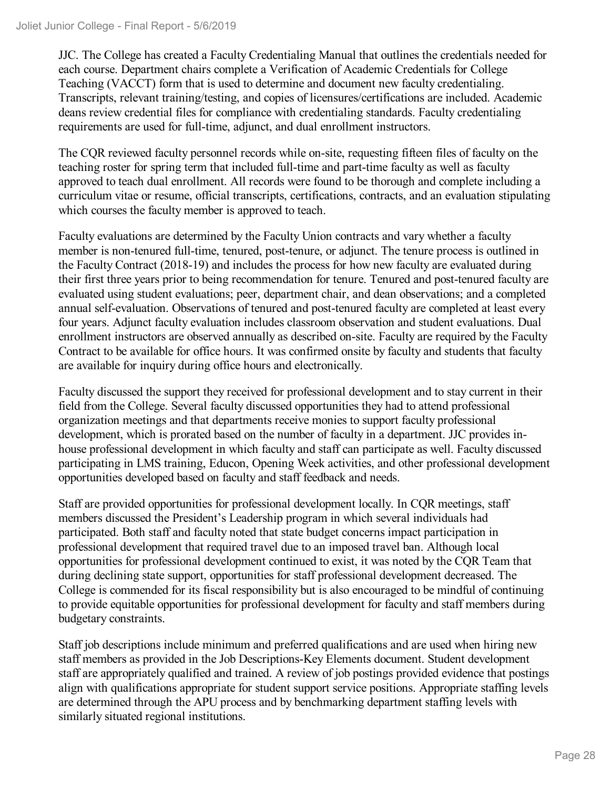JJC. The College has created a Faculty Credentialing Manual that outlines the credentials needed for each course. Department chairs complete a Verification of Academic Credentials for College Teaching (VACCT) form that is used to determine and document new faculty credentialing. Transcripts, relevant training/testing, and copies of licensures/certifications are included. Academic deans review credential files for compliance with credentialing standards. Faculty credentialing requirements are used for full-time, adjunct, and dual enrollment instructors.

The CQR reviewed faculty personnel records while on-site, requesting fifteen files of faculty on the teaching roster for spring term that included full-time and part-time faculty as well as faculty approved to teach dual enrollment. All records were found to be thorough and complete including a curriculum vitae or resume, official transcripts, certifications, contracts, and an evaluation stipulating which courses the faculty member is approved to teach.

Faculty evaluations are determined by the Faculty Union contracts and vary whether a faculty member is non-tenured full-time, tenured, post-tenure, or adjunct. The tenure process is outlined in the Faculty Contract (2018-19) and includes the process for how new faculty are evaluated during their first three years prior to being recommendation for tenure. Tenured and post-tenured faculty are evaluated using student evaluations; peer, department chair, and dean observations; and a completed annual self-evaluation. Observations of tenured and post-tenured faculty are completed at least every four years. Adjunct faculty evaluation includes classroom observation and student evaluations. Dual enrollment instructors are observed annually as described on-site. Faculty are required by the Faculty Contract to be available for office hours. It was confirmed onsite by faculty and students that faculty are available for inquiry during office hours and electronically.

Faculty discussed the support they received for professional development and to stay current in their field from the College. Several faculty discussed opportunities they had to attend professional organization meetings and that departments receive monies to support faculty professional development, which is prorated based on the number of faculty in a department. JJC provides in house professional development in which faculty and staff can participate as well. Faculty discussed participating in LMS training, Educon, Opening Week activities, and other professional development opportunities developed based on faculty and staff feedback and needs.

Staff are provided opportunities for professional development locally. In CQR meetings, staff members discussed the President's Leadership program in which several individuals had participated. Both staff and faculty noted that state budget concerns impact participation in professional development that required travel due to an imposed travel ban. Although local opportunities for professional development continued to exist, it was noted by the CQR Team that during declining state support, opportunities for staff professional development decreased. The College is commended for its fiscal responsibility but is also encouraged to be mindful of continuing to provide equitable opportunities for professional development for faculty and staff members during budgetary constraints.

Staff job descriptions include minimum and preferred qualifications and are used when hiring new staff members as provided in the Job Descriptions-Key Elements document. Student development staff are appropriately qualified and trained. A review of job postings provided evidence that postings align with qualifications appropriate for student support service positions. Appropriate staffing levels are determined through the APU process and by benchmarking department staffing levels with similarly situated regional institutions.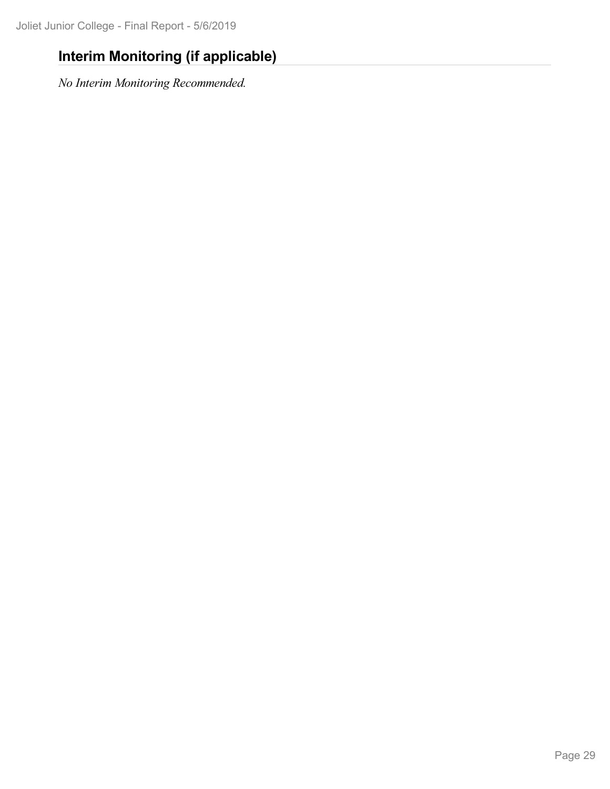## **Interim Monitoring (if applicable)**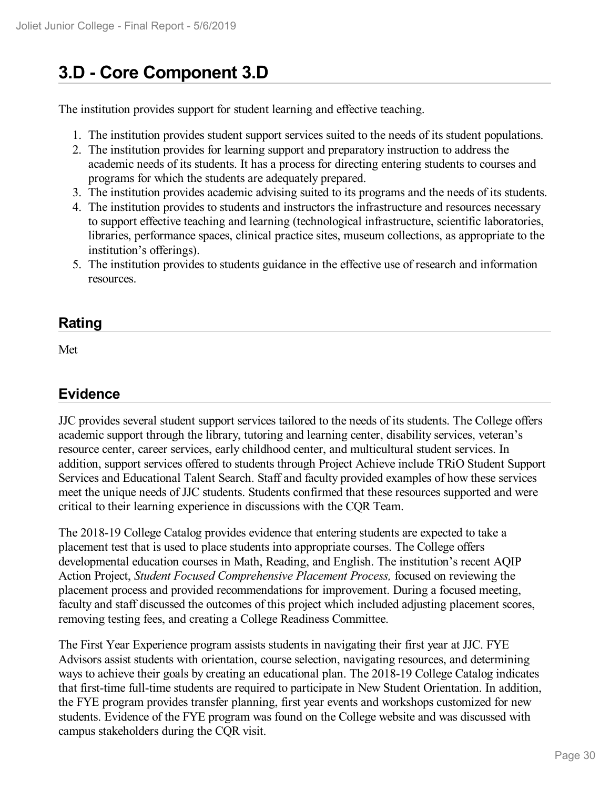## **3.D - Core Component 3.D**

The institution provides support for student learning and effective teaching.

- 1. The institution provides student support services suited to the needs of its student populations.
- 2. The institution provides for learning support and preparatory instruction to address the academic needs of its students. It has a process for directing entering students to courses and programs for which the students are adequately prepared.
- 3. The institution provides academic advising suited to its programs and the needs of its students.
- 4. The institution provides to students and instructors the infrastructure and resources necessary to support effective teaching and learning (technological infrastructure, scientific laboratories, libraries, performance spaces, clinical practice sites, museum collections, as appropriate to the institution's offerings).
- 5. The institution provides to students guidance in the effective use of research and information resources.

### **Rating**

Met

### **Evidence**

JJC provides several student support services tailored to the needs of its students. The College offers academic support through the library, tutoring and learning center, disability services, veteran's resource center, career services, early childhood center, and multicultural student services. In addition, support services offered to students through Project Achieve include TRiO Student Support Services and Educational Talent Search. Staff and faculty provided examples of how these services meet the unique needs of JJC students. Students confirmed that these resources supported and were critical to their learning experience in discussions with the CQR Team.

The 2018-19 College Catalog provides evidence that entering students are expected to take a placement test that is used to place students into appropriate courses. The College offers developmental education courses in Math, Reading, and English. The institution's recent AQIP Action Project, *Student Focused Comprehensive Placement Process,* focused on reviewing the placement process and provided recommendations for improvement. During a focused meeting, faculty and staff discussed the outcomes of this project which included adjusting placement scores, removing testing fees, and creating a College Readiness Committee.

The First Year Experience program assists students in navigating their first year at JJC. FYE Advisors assist students with orientation, course selection, navigating resources, and determining ways to achieve their goals by creating an educational plan. The 2018-19 College Catalog indicates that first-time full-time students are required to participate in New Student Orientation. In addition, the FYE program provides transfer planning, first year events and workshops customized for new students. Evidence of the FYE program was found on the College website and was discussed with campus stakeholders during the CQR visit.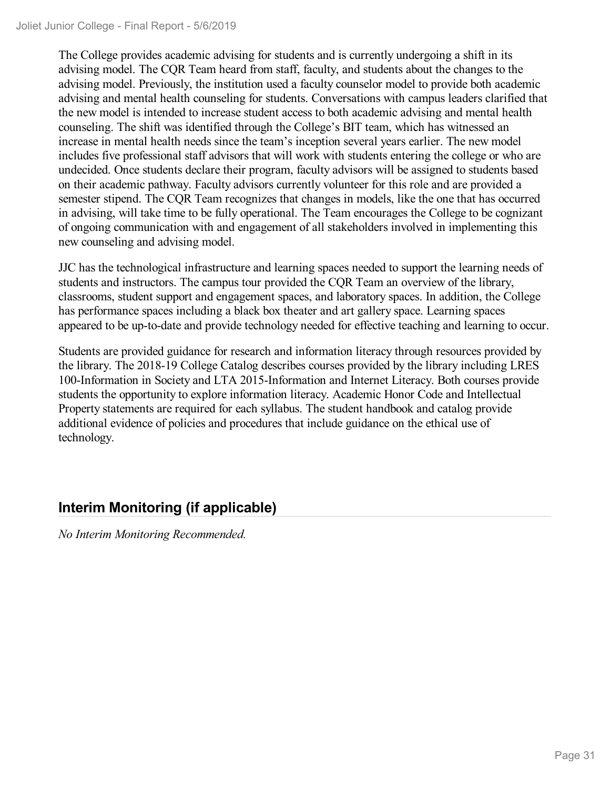The College provides academic advising for students and is currently undergoing a shift in its advising model. The CQR Team heard from staff, faculty, and students about the changes to the advising model. Previously, the institution used a faculty counselor model to provide both academic advising and mental health counseling for students. Conversations with campus leaders clarified that the new model is intended to increase student access to both academic advising and mental health counseling. The shift was identified through the College's BIT team, which has witnessed an increase in mental health needs since the team's inception several years earlier. The new model includes five professional staff advisors that will work with students entering the college or who are undecided. Once students declare their program, faculty advisors will be assigned to students based on their academic pathway. Faculty advisors currently volunteer for this role and are provided a semester stipend. The CQR Team recognizes that changes in models, like the one that has occurred in advising, will take time to be fully operational. The Team encourages the College to be cognizant of ongoing communication with and engagement of all stakeholders involved in implementing this new counseling and advising model.

JJC has the technological infrastructure and learning spaces needed to support the learning needs of students and instructors. The campus tour provided the CQR Team an overview of the library, classrooms, student support and engagement spaces, and laboratory spaces. In addition, the College has performance spaces including a black box theater and art gallery space. Learning spaces appeared to be up-to-date and provide technology needed for effective teaching and learning to occur.

Students are provided guidance for research and information literacy through resources provided by the library. The 2018-19 College Catalog describes courses provided by the library including LRES 100-Information in Society and LTA 2015-Information and Internet Literacy. Both courses provide students the opportunity to explore information literacy. Academic Honor Code and Intellectual Property statements are required for each syllabus. The student handbook and catalog provide additional evidence of policies and procedures that include guidance on the ethical use of technology.

### **Interim Monitoring (if applicable)**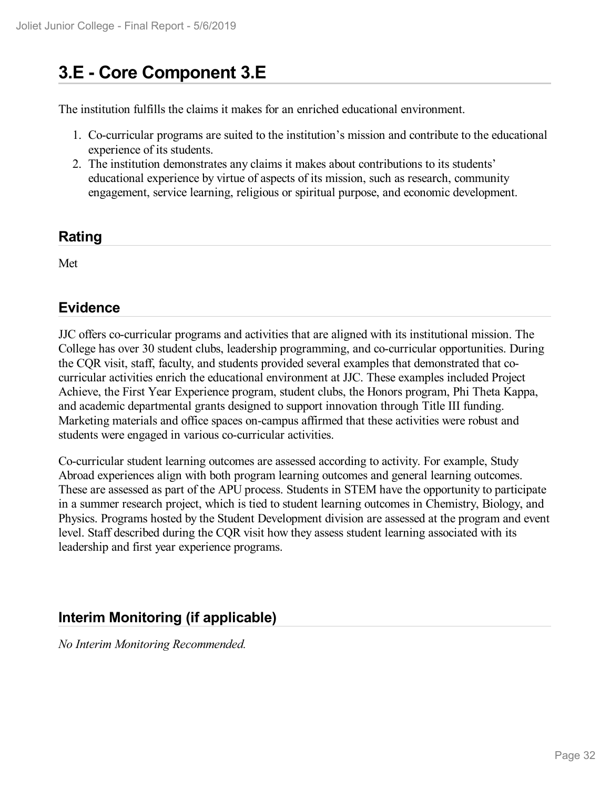## **3.E - Core Component 3.E**

The institution fulfills the claims it makes for an enriched educational environment.

- 1. Co-curricular programs are suited to the institution's mission and contribute to the educational experience of its students.
- 2. The institution demonstrates any claims it makes about contributions to its students' educational experience by virtue of aspects of its mission, such as research, community engagement, service learning, religious or spiritual purpose, and economic development.

#### **Rating**

Met

#### **Evidence**

JJC offers co-curricular programs and activities that are aligned with its institutional mission. The College has over 30 student clubs, leadership programming, and co-curricular opportunities. During the CQR visit, staff, faculty, and students provided several examples that demonstrated that cocurricular activities enrich the educational environment at JJC. These examples included Project Achieve, the First Year Experience program, student clubs, the Honors program, Phi Theta Kappa, and academic departmental grants designed to support innovation through Title III funding. Marketing materials and office spaces on-campus affirmed that these activities were robust and students were engaged in various co-curricular activities.

Co-curricular student learning outcomes are assessed according to activity. For example, Study Abroad experiences align with both program learning outcomes and general learning outcomes. These are assessed as part of the APU process. Students in STEM have the opportunity to participate in a summer research project, which is tied to student learning outcomes in Chemistry, Biology, and Physics. Programs hosted by the Student Development division are assessed at the program and event level. Staff described during the CQR visit how they assess student learning associated with its leadership and first year experience programs.

#### **Interim Monitoring (if applicable)**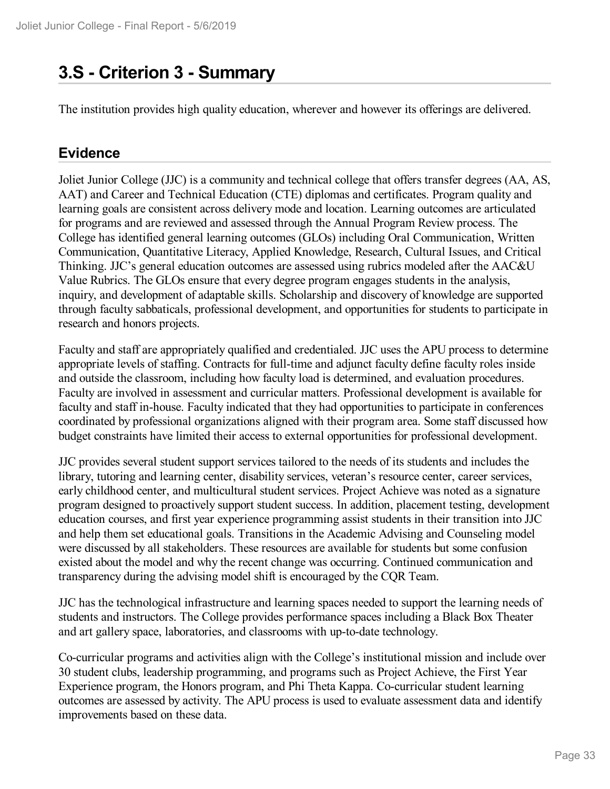## **3.S - Criterion 3 -Summary**

The institution provides high quality education, wherever and however its offerings are delivered.

#### **Evidence**

Joliet Junior College (JJC) is a community and technical college that offers transfer degrees (AA, AS, AAT) and Career and Technical Education (CTE) diplomas and certificates. Program quality and learning goals are consistent across delivery mode and location. Learning outcomes are articulated for programs and are reviewed and assessed through the Annual Program Review process. The College has identified general learning outcomes (GLOs) including Oral Communication, Written Communication, Quantitative Literacy, Applied Knowledge, Research, Cultural Issues, and Critical Thinking. JJC's general education outcomes are assessed using rubrics modeled after the AAC&U Value Rubrics. The GLOs ensure that every degree program engages students in the analysis, inquiry, and development of adaptable skills. Scholarship and discovery of knowledge are supported through faculty sabbaticals, professional development, and opportunities for students to participate in research and honors projects.

Faculty and staff are appropriately qualified and credentialed. JJC uses the APU process to determine appropriate levels of staffing. Contracts for full-time and adjunct faculty define faculty roles inside and outside the classroom, including how faculty load is determined, and evaluation procedures. Faculty are involved in assessment and curricular matters. Professional development is available for faculty and staff in-house. Faculty indicated that they had opportunities to participate in conferences coordinated by professional organizations aligned with their program area. Some staff discussed how budget constraints have limited their access to external opportunities for professional development.

JJC provides several student support services tailored to the needs of its students and includes the library, tutoring and learning center, disability services, veteran's resource center, career services, early childhood center, and multicultural student services. Project Achieve was noted as a signature program designed to proactively support student success. In addition, placement testing, development education courses, and first year experience programming assist students in their transition into JJC and help them set educational goals. Transitions in the Academic Advising and Counseling model were discussed by all stakeholders. These resources are available for students but some confusion existed about the model and why the recent change was occurring. Continued communication and transparency during the advising model shift is encouraged by the CQR Team.

JJC has the technological infrastructure and learning spaces needed to support the learning needs of students and instructors. The College provides performance spaces including a Black Box Theater and art gallery space, laboratories, and classrooms with up-to-date technology.

Co-curricular programs and activities align with the College's institutional mission and include over 30 student clubs, leadership programming, and programs such as Project Achieve, the First Year Experience program, the Honors program, and Phi Theta Kappa. Co-curricular student learning outcomes are assessed by activity. The APU process is used to evaluate assessment data and identify improvements based on these data.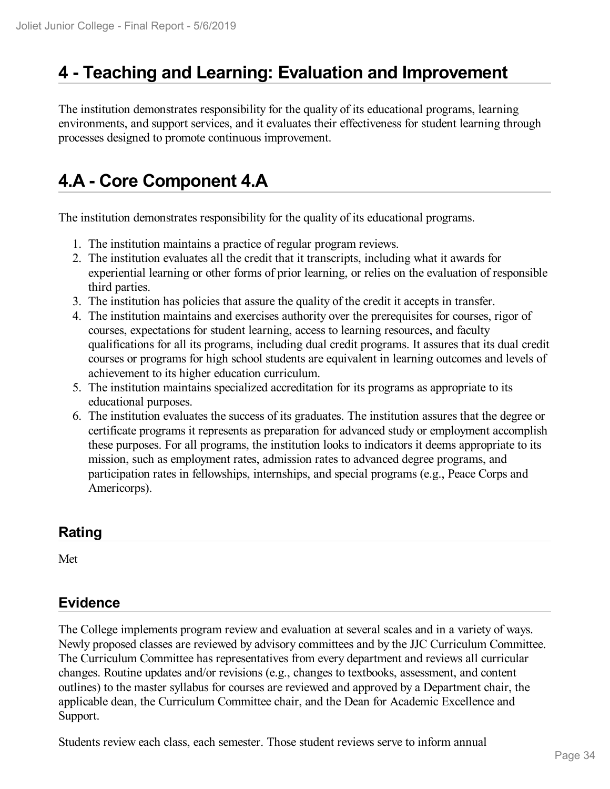## **4 -Teaching and Learning: Evaluation and Improvement**

The institution demonstrates responsibility for the quality of its educational programs, learning environments, and support services, and it evaluates their effectiveness for student learning through processes designed to promote continuous improvement.

## **4.A - Core Component 4.A**

The institution demonstrates responsibility for the quality of its educational programs.

- 1. The institution maintains a practice of regular program reviews.
- 2. The institution evaluates all the credit that it transcripts, including what it awards for experiential learning or other forms of prior learning, or relies on the evaluation of responsible third parties.
- 3. The institution has policies that assure the quality of the credit it accepts in transfer.
- 4. The institution maintains and exercises authority over the prerequisites for courses, rigor of courses, expectations for student learning, access to learning resources, and faculty qualifications for all its programs, including dual credit programs. It assures that its dual credit courses or programs for high school students are equivalent in learning outcomes and levels of achievement to its higher education curriculum.
- 5. The institution maintains specialized accreditation for its programs as appropriate to its educational purposes.
- 6. The institution evaluates the success of its graduates. The institution assures that the degree or certificate programs it represents as preparation for advanced study or employment accomplish these purposes. For all programs, the institution looks to indicators it deems appropriate to its mission, such as employment rates, admission rates to advanced degree programs, and participation rates in fellowships, internships, and special programs (e.g., Peace Corps and Americorps).

#### **Rating**

Met

#### **Evidence**

The College implements program review and evaluation at several scales and in a variety of ways. Newly proposed classes are reviewed by advisory committees and by the JJC Curriculum Committee. The Curriculum Committee has representatives from every department and reviews all curricular changes. Routine updates and/or revisions (e.g., changes to textbooks, assessment, and content outlines) to the master syllabus for courses are reviewed and approved by a Department chair, the applicable dean, the Curriculum Committee chair, and the Dean for Academic Excellence and Support.

Students review each class, each semester. Those student reviews serve to inform annual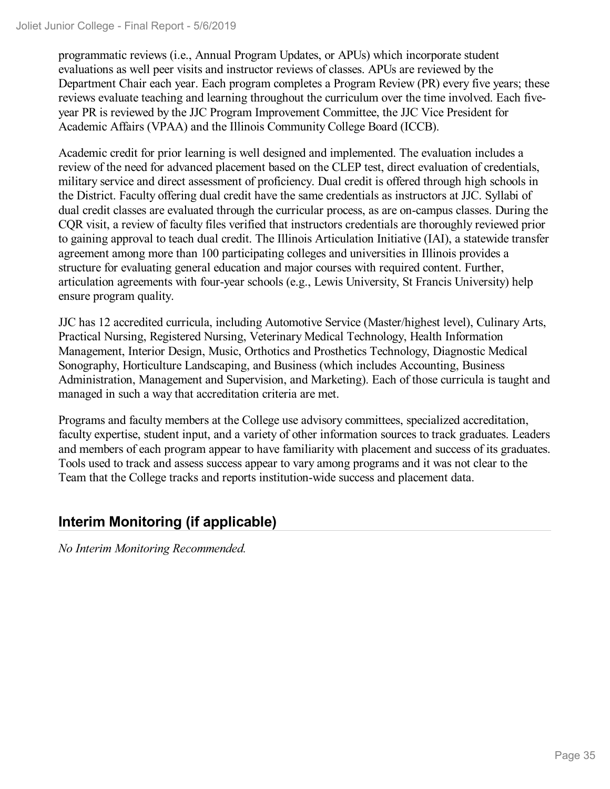programmatic reviews (i.e., Annual Program Updates, or APUs) which incorporate student evaluations as well peer visits and instructor reviews of classes. APUs are reviewed by the Department Chair each year. Each program completes a Program Review (PR) every five years; these reviews evaluate teaching and learning throughout the curriculum over the time involved. Each five year PR is reviewed by the JJC Program Improvement Committee, the JJC Vice President for Academic Affairs (VPAA) and the Illinois Community College Board (ICCB).

Academic credit for prior learning is well designed and implemented. The evaluation includes a review of the need for advanced placement based on the CLEP test, direct evaluation of credentials, military service and direct assessment of proficiency. Dual credit is offered through high schools in the District. Faculty offering dual credit have the same credentials as instructors at JJC. Syllabi of dual credit classes are evaluated through the curricular process, as are on-campus classes. During the CQR visit, a review of faculty files verified that instructors credentials are thoroughly reviewed prior to gaining approval to teach dual credit. The Illinois Articulation Initiative (IAI), a statewide transfer agreement among more than 100 participating colleges and universities in Illinois provides a structure for evaluating general education and major courses with required content. Further, articulation agreements with four-year schools (e.g., Lewis University, St Francis University) help ensure program quality.

JJC has 12 accredited curricula, including Automotive Service (Master/highest level), Culinary Arts, Practical Nursing, Registered Nursing, Veterinary Medical Technology, Health Information Management, Interior Design, Music, Orthotics and Prosthetics Technology, Diagnostic Medical Sonography, Horticulture Landscaping, and Business (which includes Accounting, Business Administration, Management and Supervision, and Marketing). Each of those curricula is taught and managed in such a way that accreditation criteria are met.

Programs and faculty members at the College use advisory committees, specialized accreditation, faculty expertise, student input, and a variety of other information sources to track graduates. Leaders and members of each program appear to have familiarity with placement and success of its graduates. Tools used to track and assess success appear to vary among programs and it was not clear to the Team that the College tracks and reports institution-wide success and placement data.

### **Interim Monitoring (if applicable)**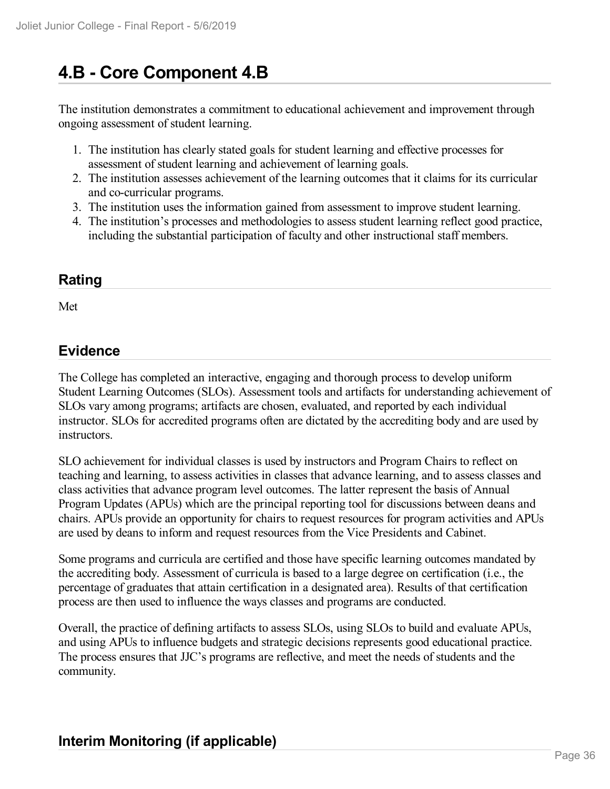## **4.B - Core Component 4.B**

The institution demonstrates a commitment to educational achievement and improvement through ongoing assessment of student learning.

- 1. The institution has clearly stated goals for student learning and effective processes for assessment of student learning and achievement of learning goals.
- 2. The institution assesses achievement of the learning outcomes that it claims for its curricular and co-curricular programs.
- 3. The institution uses the information gained from assessment to improve student learning.
- 4. The institution's processes and methodologies to assess student learning reflect good practice, including the substantial participation of faculty and other instructional staff members.

#### **Rating**

Met

#### **Evidence**

The College has completed an interactive, engaging and thorough process to develop uniform Student Learning Outcomes (SLOs). Assessment tools and artifacts for understanding achievement of SLOs vary among programs; artifacts are chosen, evaluated, and reported by each individual instructor. SLOs for accredited programs often are dictated by the accrediting body and are used by instructors.

SLO achievement for individual classes is used by instructors and Program Chairs to reflect on teaching and learning, to assess activities in classes that advance learning, and to assess classes and class activities that advance program level outcomes. The latter represent the basis of Annual Program Updates (APUs) which are the principal reporting tool for discussions between deans and chairs. APUs provide an opportunity for chairs to request resources for program activities and APUs are used by deans to inform and request resources from the Vice Presidents and Cabinet.

Some programs and curricula are certified and those have specific learning outcomes mandated by the accrediting body. Assessment of curricula is based to a large degree on certification (i.e., the percentage of graduates that attain certification in a designated area). Results of that certification process are then used to influence the ways classes and programs are conducted.

Overall, the practice of defining artifacts to assess SLOs, using SLOs to build and evaluate APUs, and using APUs to influence budgets and strategic decisions represents good educational practice. The process ensures that JJC's programs are reflective, and meet the needs of students and the community.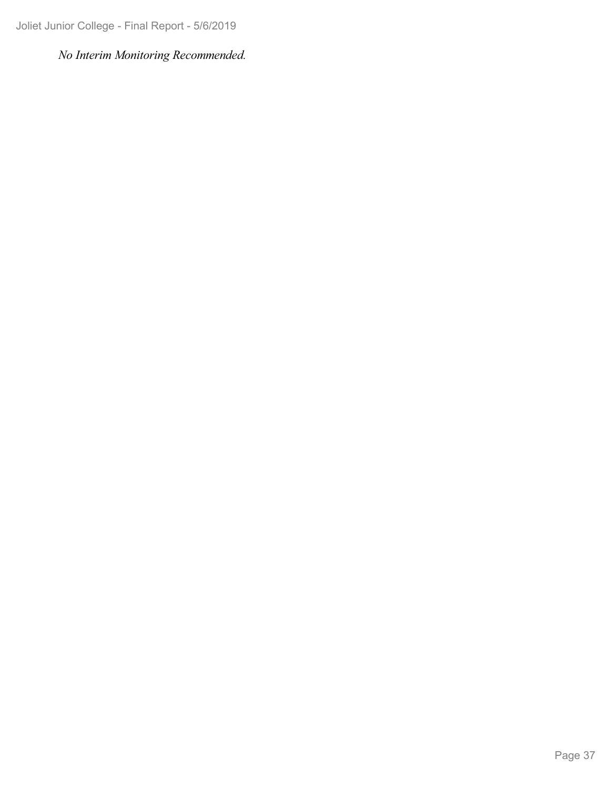Joliet Junior College - Final Report - 5/6/2019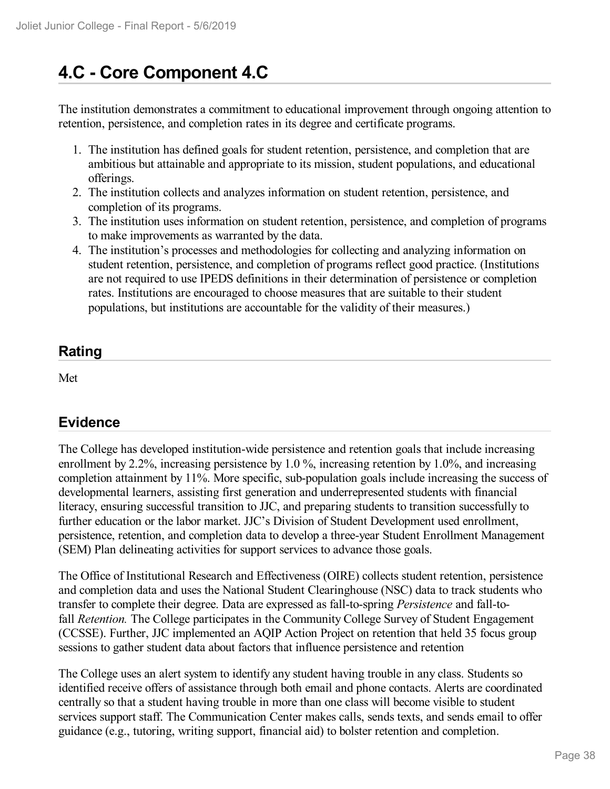# **4.C - Core Component 4.C**

The institution demonstrates a commitment to educational improvement through ongoing attention to retention, persistence, and completion rates in its degree and certificate programs.

- 1. The institution has defined goals for student retention, persistence, and completion that are ambitious but attainable and appropriate to its mission, student populations, and educational offerings.
- 2. The institution collects and analyzes information on student retention, persistence, and completion of its programs.
- 3. The institution uses information on student retention, persistence, and completion of programs to make improvements as warranted by the data.
- 4. The institution's processes and methodologies for collecting and analyzing information on student retention, persistence, and completion of programs reflect good practice. (Institutions are not required to use IPEDS definitions in their determination of persistence or completion rates. Institutions are encouraged to choose measures that are suitable to their student populations, but institutions are accountable for the validity of their measures.)

## **Rating**

Met

## **Evidence**

The College has developed institution-wide persistence and retention goals that include increasing enrollment by 2.2%, increasing persistence by 1.0 %, increasing retention by 1.0%, and increasing completion attainment by 11%. More specific, sub-population goals include increasing the success of developmental learners, assisting first generation and underrepresented students with financial literacy, ensuring successful transition to JJC, and preparing students to transition successfully to further education or the labor market. JJC's Division of Student Development used enrollment, persistence, retention, and completion data to develop a three-year Student Enrollment Management (SEM) Plan delineating activities for support services to advance those goals.

The Office of Institutional Research and Effectiveness (OIRE) collects student retention, persistence and completion data and uses the National Student Clearinghouse (NSC) data to track students who transfer to complete their degree. Data are expressed as fall-to-spring *Persistence* and fall-tofall *Retention.* The College participates in the Community College Survey of Student Engagement (CCSSE). Further, JJC implemented an AQIP Action Project on retention that held 35 focus group sessions to gather student data about factors that influence persistence and retention

The College uses an alert system to identify any student having trouble in any class. Students so identified receive offers of assistance through both email and phone contacts. Alerts are coordinated centrally so that a student having trouble in more than one class will become visible to student services support staff. The Communication Center makes calls, sends texts, and sends email to offer guidance (e.g., tutoring, writing support, financial aid) to bolster retention and completion.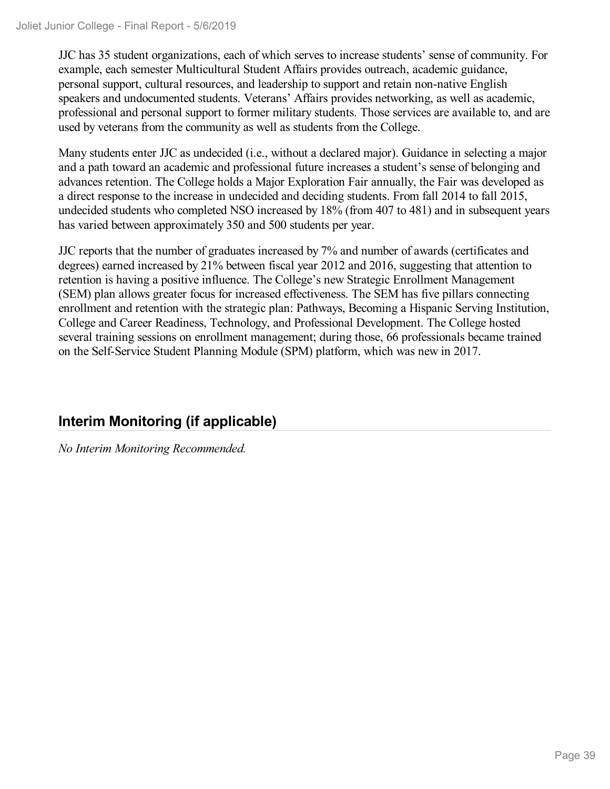JJC has 35 student organizations, each of which serves to increase students' sense of community. For example, each semester Multicultural Student Affairs provides outreach, academic guidance, personal support, cultural resources, and leadership to support and retain non-native English speakers and undocumented students. Veterans' Affairs provides networking, as well as academic, professional and personal support to former military students. Those services are available to, and are used by veterans from the community as well as students from the College.

Many students enter JJC as undecided (i.e., without a declared major). Guidance in selecting a major and a path toward an academic and professional future increases a student's sense of belonging and advances retention. The College holds a Major Exploration Fair annually, the Fair was developed as a direct response to the increase in undecided and deciding students. From fall 2014 to fall 2015, undecided students who completed NSO increased by 18% (from 407 to 481) and in subsequent years has varied between approximately 350 and 500 students per year.

JJC reports that the number of graduates increased by 7% and number of awards (certificates and degrees) earned increased by 21% between fiscal year 2012 and 2016, suggesting that attention to retention is having a positive influence. The College's new Strategic Enrollment Management (SEM) plan allows greater focus for increased effectiveness. The SEM has five pillars connecting enrollment and retention with the strategic plan: Pathways, Becoming a Hispanic Serving Institution, College and Career Readiness, Technology, and Professional Development. The College hosted several training sessions on enrollment management; during those, 66 professionals became trained on the Self-Service Student Planning Module (SPM) platform, which was new in 2017.

## **Interim Monitoring (if applicable)**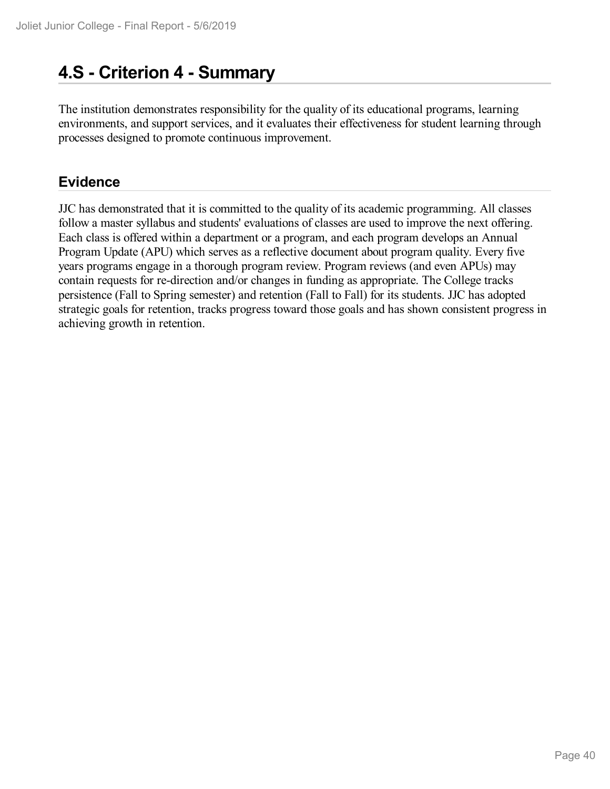# **4.S - Criterion 4 -Summary**

The institution demonstrates responsibility for the quality of its educational programs, learning environments, and support services, and it evaluates their effectiveness for student learning through processes designed to promote continuous improvement.

## **Evidence**

JJC has demonstrated that it is committed to the quality of its academic programming. All classes follow a master syllabus and students' evaluations of classes are used to improve the next offering. Each class is offered within a department or a program, and each program develops an Annual Program Update (APU) which serves as a reflective document about program quality. Every five years programs engage in a thorough program review. Program reviews (and even APUs) may contain requests for re-direction and/or changes in funding as appropriate. The College tracks persistence (Fall to Spring semester) and retention (Fall to Fall) for its students. JJC has adopted strategic goals for retention, tracks progress toward those goals and has shown consistent progress in achieving growth in retention.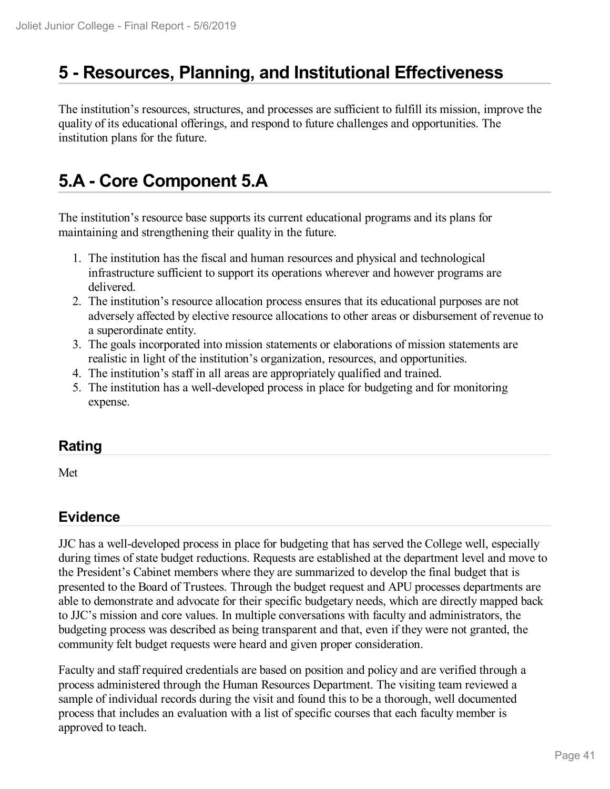## **5 -Resources, Planning, and Institutional Effectiveness**

The institution's resources, structures, and processes are sufficient to fulfill its mission, improve the quality of its educational offerings, and respond to future challenges and opportunities. The institution plans for the future.

# **5.A - Core Component 5.A**

The institution's resource base supports its current educational programs and its plans for maintaining and strengthening their quality in the future.

- 1. The institution has the fiscal and human resources and physical and technological infrastructure sufficient to support its operations wherever and however programs are delivered.
- 2. The institution's resource allocation process ensures that its educational purposes are not adversely affected by elective resource allocations to other areas or disbursement of revenue to a superordinate entity.
- 3. The goals incorporated into mission statements or elaborations of mission statements are realistic in light of the institution's organization, resources, and opportunities.
- 4. The institution's staff in all areas are appropriately qualified and trained.
- 5. The institution has a well-developed process in place for budgeting and for monitoring expense.

### **Rating**

Met

## **Evidence**

JJC has a well-developed process in place for budgeting that has served the College well, especially during times of state budget reductions. Requests are established at the department level and move to the President's Cabinet members where they are summarized to develop the final budget that is presented to the Board of Trustees. Through the budget request and APU processes departments are able to demonstrate and advocate for their specific budgetary needs, which are directly mapped back to JJC's mission and core values. In multiple conversations with faculty and administrators, the budgeting process was described as being transparent and that, even if they were not granted, the community felt budget requests were heard and given proper consideration.

Faculty and staff required credentials are based on position and policy and are verified through a process administered through the Human Resources Department. The visiting team reviewed a sample of individual records during the visit and found this to be a thorough, well documented process that includes an evaluation with a list of specific courses that each faculty member is approved to teach.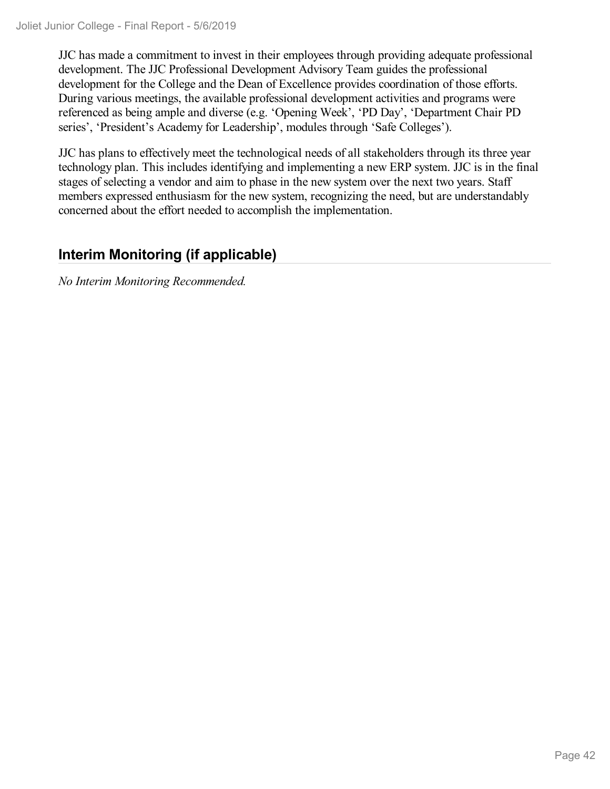JJC has made a commitment to invest in their employees through providing adequate professional development. The JJC Professional Development Advisory Team guides the professional development for the College and the Dean of Excellence provides coordination of those efforts. During various meetings, the available professional development activities and programs were referenced as being ample and diverse (e.g. 'Opening Week', 'PD Day', 'Department Chair PD series', 'President's Academy for Leadership', modules through 'Safe Colleges').

JJC has plans to effectively meet the technological needs of all stakeholders through its three year technology plan. This includes identifying and implementing a new ERP system. JJC is in the final stages of selecting a vendor and aim to phase in the new system over the next two years. Staff members expressed enthusiasm for the new system, recognizing the need, but are understandably concerned about the effort needed to accomplish the implementation.

## **Interim Monitoring (if applicable)**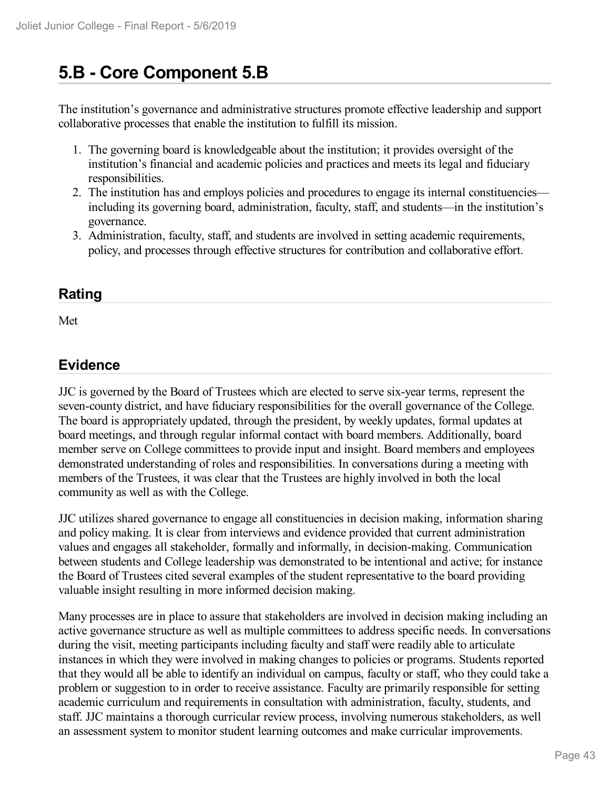# **5.B - Core Component 5.B**

The institution's governance and administrative structures promote effective leadership and support collaborative processes that enable the institution to fulfill its mission.

- 1. The governing board is knowledgeable about the institution; it provides oversight of the institution's financial and academic policies and practices and meets its legal and fiduciary responsibilities.
- 2. The institution has and employs policies and procedures to engage its internal constituencies including its governing board, administration, faculty, staff, and students—in the institution's governance.
- 3. Administration, faculty, staff, and students are involved in setting academic requirements, policy, and processes through effective structures for contribution and collaborative effort.

### **Rating**

Met

### **Evidence**

JJC is governed by the Board of Trustees which are elected to serve six-year terms, represent the seven-county district, and have fiduciary responsibilities for the overall governance of the College. The board is appropriately updated, through the president, by weekly updates, formal updates at board meetings, and through regular informal contact with board members. Additionally, board member serve on College committees to provide input and insight. Board members and employees demonstrated understanding of roles and responsibilities. In conversations during a meeting with members of the Trustees, it was clear that the Trustees are highly involved in both the local community as well as with the College.

JJC utilizes shared governance to engage all constituencies in decision making, information sharing and policy making. It is clear from interviews and evidence provided that current administration values and engages all stakeholder, formally and informally, in decision-making. Communication between students and College leadership was demonstrated to be intentional and active; for instance the Board of Trustees cited several examples of the student representative to the board providing valuable insight resulting in more informed decision making.

Many processes are in place to assure that stakeholders are involved in decision making including an active governance structure as well as multiple committees to address specific needs. In conversations during the visit, meeting participants including faculty and staff were readily able to articulate instances in which they were involved in making changes to policies or programs. Students reported that they would all be able to identify an individual on campus, faculty or staff, who they could take a problem or suggestion to in order to receive assistance. Faculty are primarily responsible for setting academic curriculum and requirements in consultation with administration, faculty, students, and staff. JJC maintains a thorough curricular review process, involving numerous stakeholders, as well an assessment system to monitor student learning outcomes and make curricular improvements.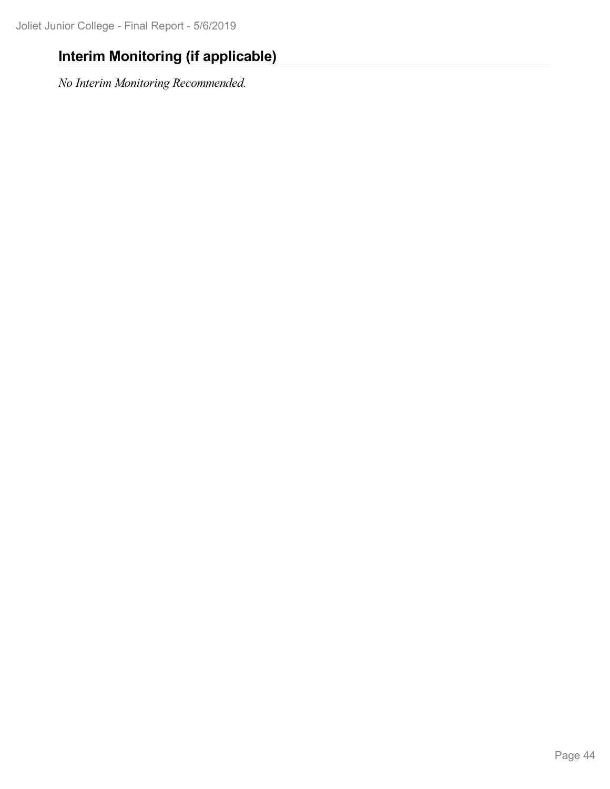## **Interim Monitoring (if applicable)**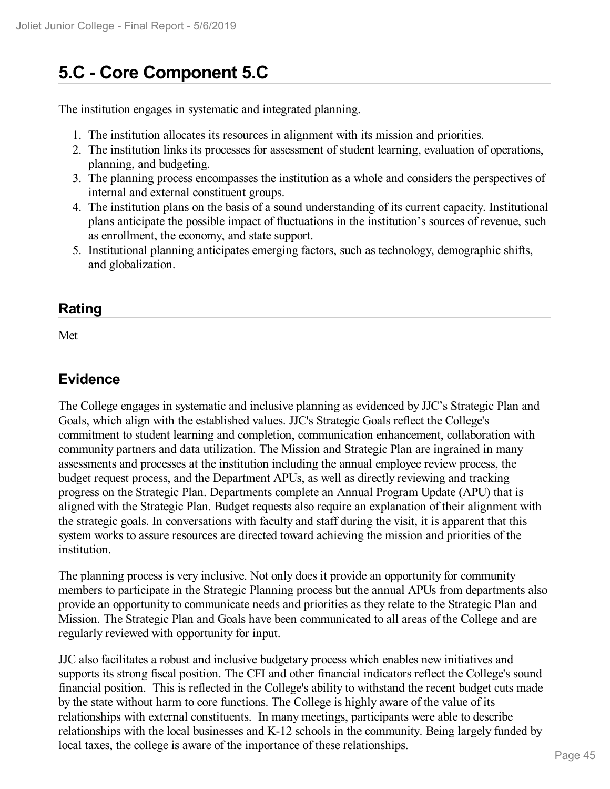## **5.C - Core Component 5.C**

The institution engages in systematic and integrated planning.

- 1. The institution allocates its resources in alignment with its mission and priorities.
- 2. The institution links its processes for assessment of student learning, evaluation of operations, planning, and budgeting.
- 3. The planning process encompasses the institution as a whole and considers the perspectives of internal and external constituent groups.
- 4. The institution plans on the basis of a sound understanding of its current capacity. Institutional plans anticipate the possible impact of fluctuations in the institution's sources of revenue, such as enrollment, the economy, and state support.
- 5. Institutional planning anticipates emerging factors, such as technology, demographic shifts, and globalization.

### **Rating**

Met

## **Evidence**

The College engages in systematic and inclusive planning as evidenced by JJC's Strategic Plan and Goals, which align with the established values. JJC's Strategic Goals reflect the College's commitment to student learning and completion, communication enhancement, collaboration with community partners and data utilization. The Mission and Strategic Plan are ingrained in many assessments and processes at the institution including the annual employee review process, the budget request process, and the Department APUs, as well as directly reviewing and tracking progress on the Strategic Plan. Departments complete an Annual Program Update (APU) that is aligned with the Strategic Plan. Budget requests also require an explanation of their alignment with the strategic goals. In conversations with faculty and staff during the visit, it is apparent that this system works to assure resources are directed toward achieving the mission and priorities of the institution.

The planning process is very inclusive. Not only does it provide an opportunity for community members to participate in the Strategic Planning process but the annual APUs from departments also provide an opportunity to communicate needs and priorities as they relate to the Strategic Plan and Mission. The Strategic Plan and Goals have been communicated to all areas of the College and are regularly reviewed with opportunity for input.

JJC also facilitates a robust and inclusive budgetary process which enables new initiatives and supports its strong fiscal position. The CFI and other financial indicators reflect the College's sound financial position. This is reflected in the College's ability to withstand the recent budget cuts made by the state without harm to core functions. The College is highly aware of the value of its relationships with external constituents. In many meetings, participants were able to describe relationships with the local businesses and K-12 schools in the community. Being largely funded by local taxes, the college is aware of the importance of these relationships.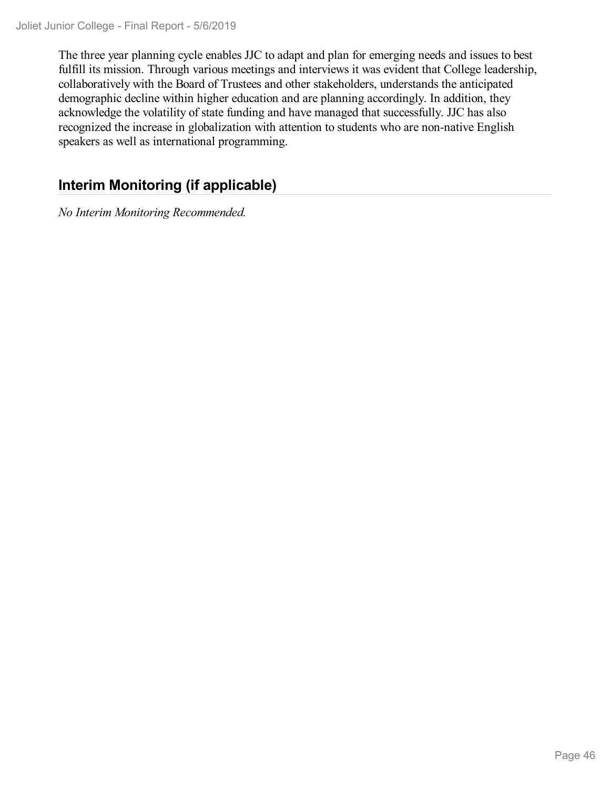The three year planning cycle enables JJC to adapt and plan for emerging needs and issues to best fulfill its mission. Through various meetings and interviews it was evident that College leadership, collaboratively with the Board of Trustees and other stakeholders, understands the anticipated demographic decline within higher education and are planning accordingly. In addition, they acknowledge the volatility of state funding and have managed that successfully. JJC has also recognized the increase in globalization with attention to students who are non-native English speakers as well as international programming.

## **Interim Monitoring (if applicable)**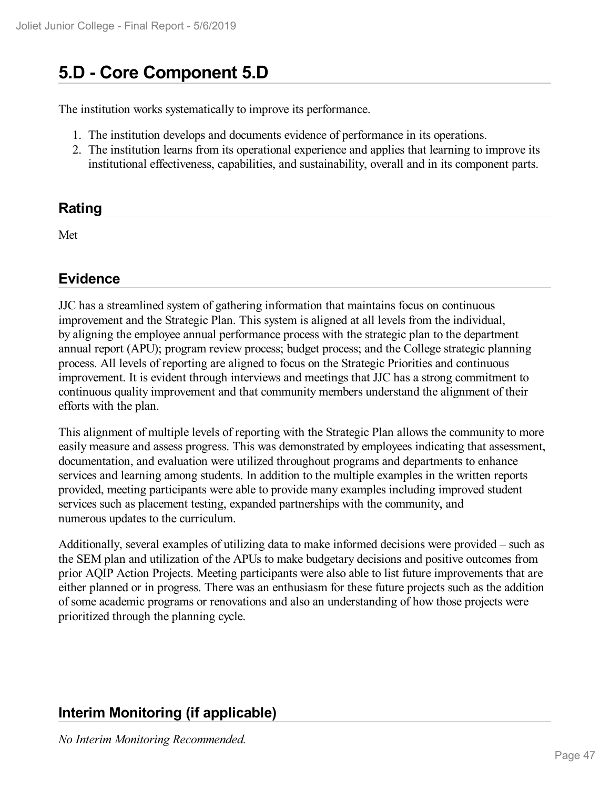## **5.D - Core Component 5.D**

The institution works systematically to improve its performance.

- 1. The institution develops and documents evidence of performance in its operations.
- 2. The institution learns from its operational experience and applies that learning to improve its institutional effectiveness, capabilities, and sustainability, overall and in its component parts.

### **Rating**

Met

## **Evidence**

JJC has a streamlined system of gathering information that maintains focus on continuous improvement and the Strategic Plan. This system is aligned at all levels from the individual, by aligning the employee annual performance process with the strategic plan to the department annual report (APU); program review process; budget process; and the College strategic planning process. All levels of reporting are aligned to focus on the Strategic Priorities and continuous improvement. It is evident through interviews and meetings that JJC has a strong commitment to continuous quality improvement and that community members understand the alignment of their efforts with the plan.

This alignment of multiple levels of reporting with the Strategic Plan allows the community to more easily measure and assess progress. This was demonstrated by employees indicating that assessment, documentation, and evaluation were utilized throughout programs and departments to enhance services and learning among students. In addition to the multiple examples in the written reports provided, meeting participants were able to provide many examples including improved student services such as placement testing, expanded partnerships with the community, and numerous updates to the curriculum.

Additionally, several examples of utilizing data to make informed decisions were provided – such as the SEM plan and utilization of the APUs to make budgetary decisions and positive outcomes from prior AQIP Action Projects. Meeting participants were also able to list future improvements that are either planned or in progress. There was an enthusiasm for these future projects such as the addition of some academic programs or renovations and also an understanding of how those projects were prioritized through the planning cycle.

## **Interim Monitoring (if applicable)**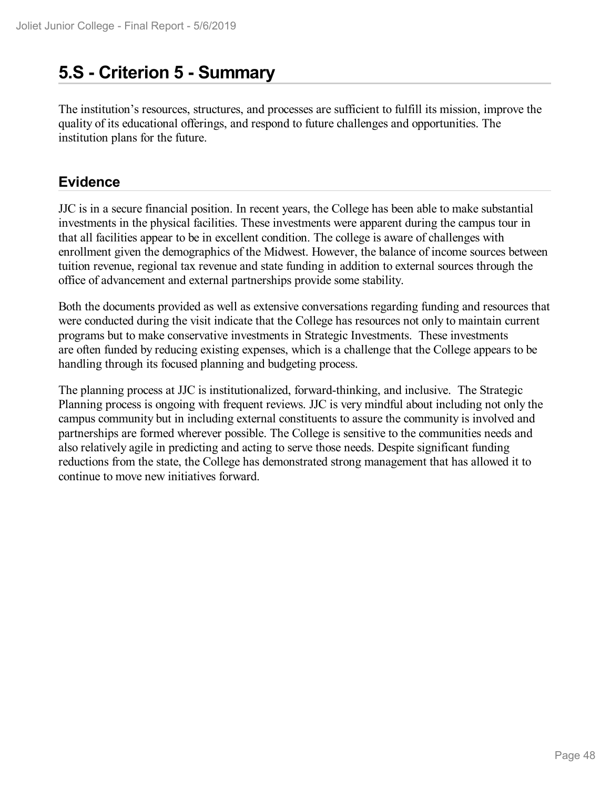## **5.S - Criterion 5 -Summary**

The institution's resources, structures, and processes are sufficient to fulfill its mission, improve the quality of its educational offerings, and respond to future challenges and opportunities. The institution plans for the future.

## **Evidence**

JJC is in a secure financial position. In recent years, the College has been able to make substantial investments in the physical facilities. These investments were apparent during the campus tour in that all facilities appear to be in excellent condition. The college is aware of challenges with enrollment given the demographics of the Midwest. However, the balance of income sources between tuition revenue, regional tax revenue and state funding in addition to external sources through the office of advancement and external partnerships provide some stability.

Both the documents provided as well as extensive conversations regarding funding and resources that were conducted during the visit indicate that the College has resources not only to maintain current programs but to make conservative investments in Strategic Investments. These investments are often funded by reducing existing expenses, which is a challenge that the College appears to be handling through its focused planning and budgeting process.

The planning process at JJC is institutionalized, forward-thinking, and inclusive. The Strategic Planning process is ongoing with frequent reviews. JJC is very mindful about including not only the campus community but in including external constituents to assure the community is involved and partnerships are formed wherever possible. The College is sensitive to the communities needs and also relatively agile in predicting and acting to serve those needs. Despite significant funding reductions from the state, the College has demonstrated strong management that has allowed it to continue to move new initiatives forward.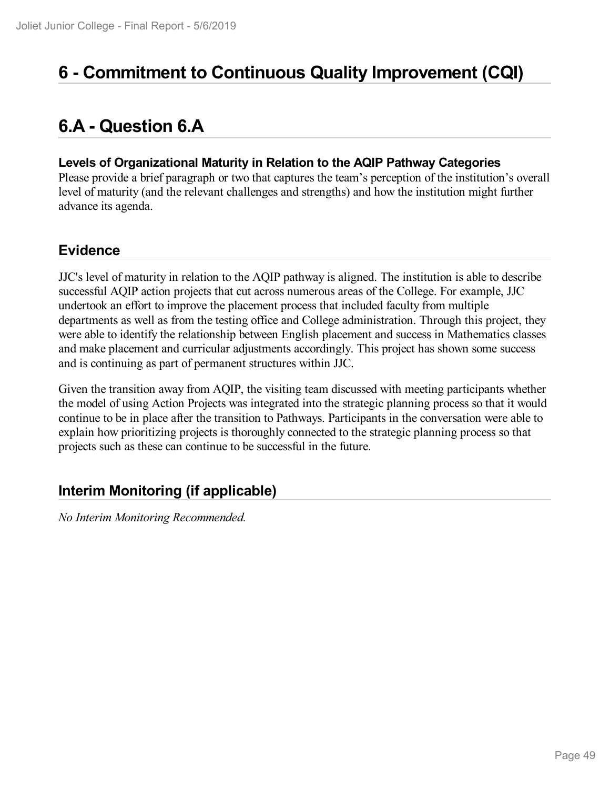# **6 -Commitment to Continuous Quality Improvement (CQI)**

# **6.A - Question 6.A**

### **Levels of Organizational Maturity in Relation to the AQIP Pathway Categories**

Please provide a brief paragraph or two that captures the team's perception of the institution's overall level of maturity (and the relevant challenges and strengths) and how the institution might further advance its agenda.

## **Evidence**

JJC's level of maturity in relation to the AQIP pathway is aligned. The institution is able to describe successful AQIP action projects that cut across numerous areas of the College. For example, JJC undertook an effort to improve the placement process that included faculty from multiple departments as well as from the testing office and College administration. Through this project, they were able to identify the relationship between English placement and success in Mathematics classes and make placement and curricular adjustments accordingly. This project has shown some success and is continuing as part of permanent structures within JJC.

Given the transition away from AQIP, the visiting team discussed with meeting participants whether the model of using Action Projects was integrated into the strategic planning process so that it would continue to be in place after the transition to Pathways. Participants in the conversation were able to explain how prioritizing projects is thoroughly connected to the strategic planning process so that projects such as these can continue to be successful in the future.

## **Interim Monitoring (if applicable)**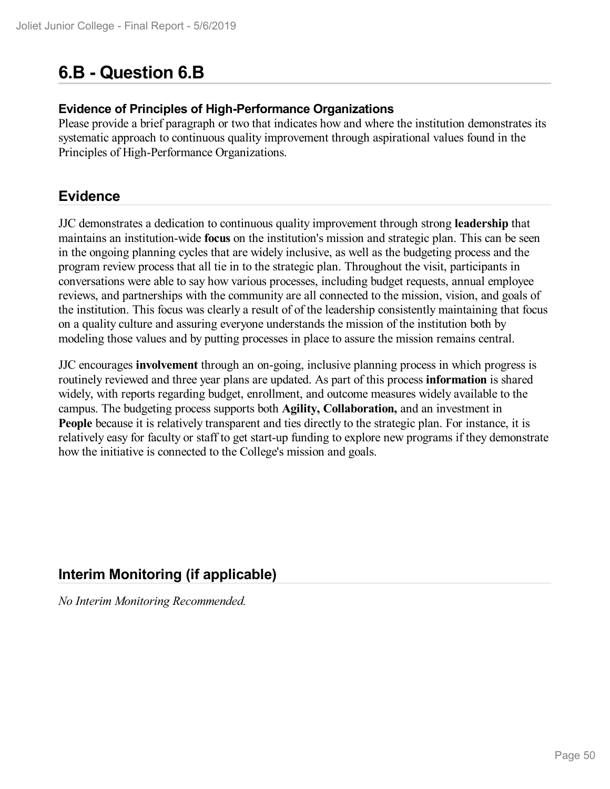# **6.B - Question 6.B**

### **Evidence of Principles of High-Performance Organizations**

Please provide a brief paragraph or two that indicates how and where the institution demonstrates its systematic approach to continuous quality improvement through aspirational values found in the Principles of High-Performance Organizations.

### **Evidence**

JJC demonstrates a dedication to continuous quality improvement through strong **leadership** that maintains an institution-wide **focus** on the institution's mission and strategic plan. This can be seen in the ongoing planning cycles that are widely inclusive, as well as the budgeting process and the program review process that all tie in to the strategic plan. Throughout the visit, participants in conversations were able to say how various processes, including budget requests, annual employee reviews, and partnerships with the community are all connected to the mission, vision, and goals of the institution. This focus was clearly a result of of the leadership consistently maintaining that focus on a quality culture and assuring everyone understands the mission of the institution both by modeling those values and by putting processes in place to assure the mission remains central.

JJC encourages **involvement** through an on-going, inclusive planning process in which progress is routinely reviewed and three year plans are updated. As part of this process **information** is shared widely, with reports regarding budget, enrollment, and outcome measures widely available to the campus. The budgeting process supports both **Agility, Collaboration,** and an investment in People because it is relatively transparent and ties directly to the strategic plan. For instance, it is relatively easy for faculty or staff to get start-up funding to explore new programs if they demonstrate how the initiative is connected to the College's mission and goals.

## **Interim Monitoring (if applicable)**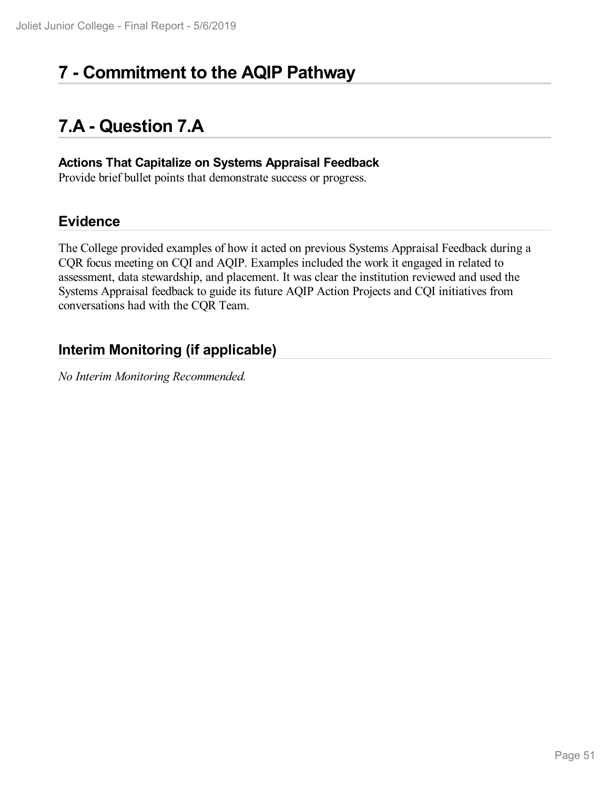# **7 -Commitment to the AQIP Pathway**

# **7.A - Question 7.A**

#### **Actions That Capitalize on Systems Appraisal Feedback**

Provide brief bullet points that demonstrate success or progress.

## **Evidence**

The College provided examples of how it acted on previous Systems Appraisal Feedback during a CQR focus meeting on CQI and AQIP. Examples included the work it engaged in related to assessment, data stewardship, and placement. It was clear the institution reviewed and used the Systems Appraisal feedback to guide its future AQIP Action Projects and CQI initiatives from conversations had with the CQR Team.

## **Interim Monitoring (if applicable)**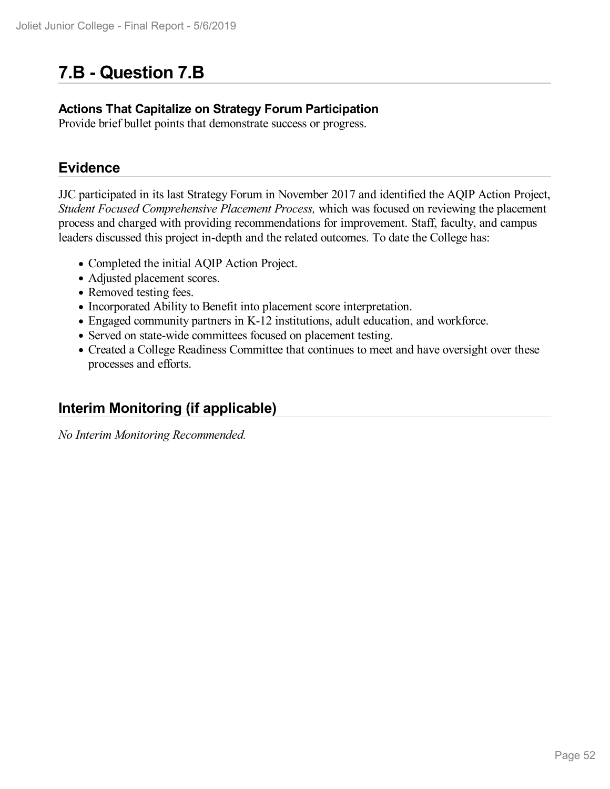# **7.B - Question 7.B**

### **Actions That Capitalize on Strategy Forum Participation**

Provide brief bullet points that demonstrate success or progress.

## **Evidence**

JJC participated in its last Strategy Forum in November 2017 and identified the AQIP Action Project, *Student Focused Comprehensive Placement Process,* which was focused on reviewing the placement process and charged with providing recommendations for improvement. Staff, faculty, and campus leaders discussed this project in-depth and the related outcomes. To date the College has:

- Completed the initial AQIP Action Project.
- Adjusted placement scores.
- Removed testing fees.
- Incorporated Ability to Benefit into placement score interpretation.
- Engaged community partners in K-12 institutions, adult education, and workforce.
- Served on state-wide committees focused on placement testing.
- Created a College Readiness Committee that continues to meet and have oversight over these processes and efforts.

## **Interim Monitoring (if applicable)**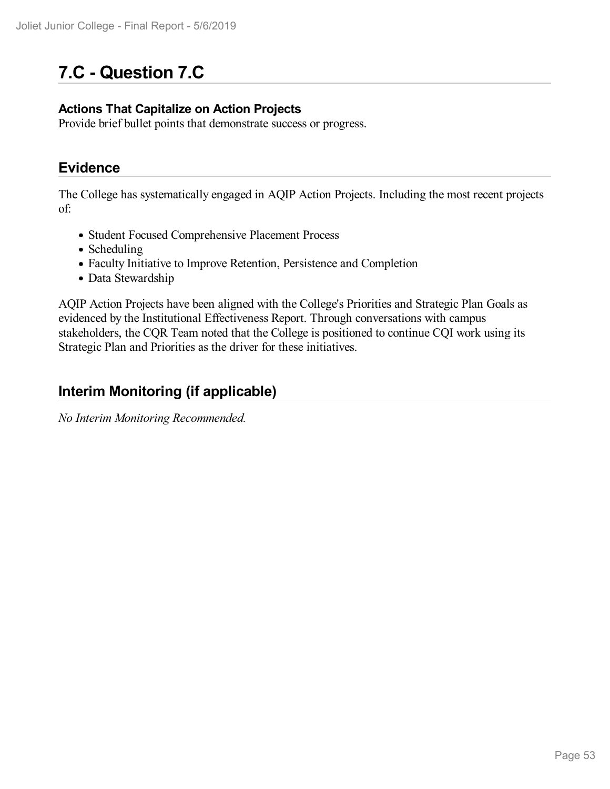# **7.C - Question 7.C**

### **Actions That Capitalize on Action Projects**

Provide brief bullet points that demonstrate success or progress.

### **Evidence**

The College has systematically engaged in AQIP Action Projects. Including the most recent projects of:

- Student Focused Comprehensive Placement Process
- Scheduling
- Faculty Initiative to Improve Retention, Persistence and Completion
- Data Stewardship

AQIP Action Projects have been aligned with the College's Priorities and Strategic Plan Goals as evidenced by the Institutional Effectiveness Report. Through conversations with campus stakeholders, the CQR Team noted that the College is positioned to continue CQI work using its Strategic Plan and Priorities as the driver for these initiatives.

### **Interim Monitoring (if applicable)**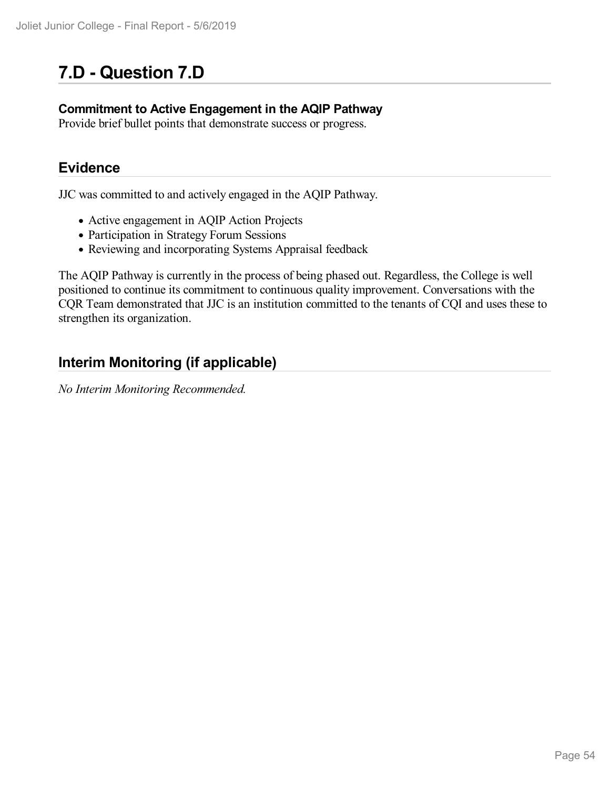# **7.D - Question 7.D**

### **Commitment to Active Engagement in the AQIP Pathway**

Provide brief bullet points that demonstrate success or progress.

### **Evidence**

JJC was committed to and actively engaged in the AQIP Pathway.

- Active engagement in AQIP Action Projects
- Participation in Strategy Forum Sessions
- Reviewing and incorporating Systems Appraisal feedback

The AQIP Pathway is currently in the process of being phased out. Regardless, the College is well positioned to continue its commitment to continuous quality improvement. Conversations with the CQR Team demonstrated that JJC is an institution committed to the tenants of CQI and uses these to strengthen its organization.

## **Interim Monitoring (if applicable)**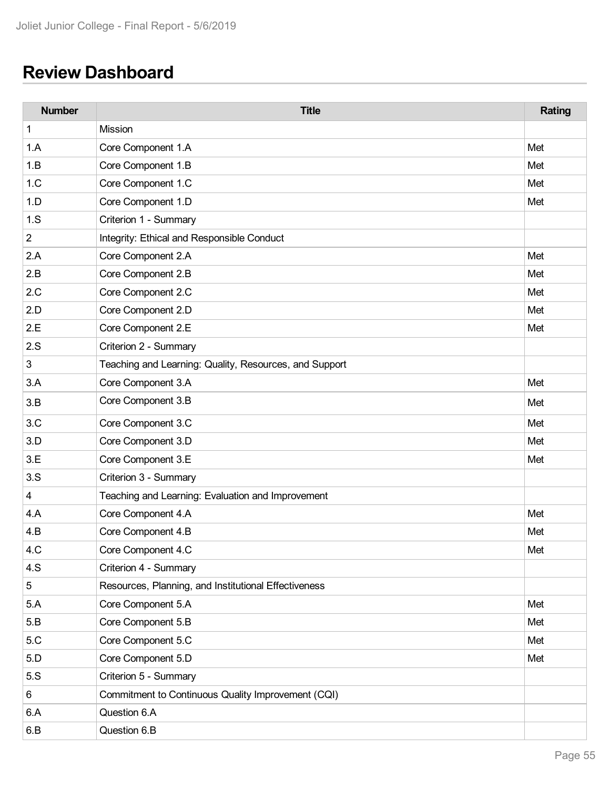# **Review Dashboard**

| <b>Number</b>  | <b>Title</b>                                           | Rating |
|----------------|--------------------------------------------------------|--------|
| 1              | Mission                                                |        |
| 1.A            | Core Component 1.A                                     | Met    |
| 1.B            | Core Component 1.B                                     | Met    |
| 1.C            | Core Component 1.C                                     | Met    |
| 1.D            | Core Component 1.D                                     | Met    |
| 1.S            | Criterion 1 - Summary                                  |        |
| $\overline{c}$ | Integrity: Ethical and Responsible Conduct             |        |
| 2.A            | Core Component 2.A                                     | Met    |
| 2.B            | Core Component 2.B                                     | Met    |
| 2.C            | Core Component 2.C                                     | Met    |
| 2.D            | Core Component 2.D                                     | Met    |
| 2.E            | Core Component 2.E                                     | Met    |
| 2.S            | Criterion 2 - Summary                                  |        |
| 3              | Teaching and Learning: Quality, Resources, and Support |        |
| 3.A            | Core Component 3.A                                     | Met    |
| 3.B            | Core Component 3.B                                     | Met    |
| 3.C            | Core Component 3.C                                     | Met    |
| 3.D            | Core Component 3.D                                     | Met    |
| 3.E            | Core Component 3.E                                     | Met    |
| 3.S            | Criterion 3 - Summary                                  |        |
| 4              | Teaching and Learning: Evaluation and Improvement      |        |
| 4.A            | Core Component 4.A                                     | Met    |
| 4.B            | Core Component 4.B                                     | Met    |
| 4.C            | Core Component 4.C                                     | Met    |
| 4.S            | Criterion 4 - Summary                                  |        |
| 5              | Resources, Planning, and Institutional Effectiveness   |        |
| 5.A            | Core Component 5.A                                     | Met    |
| 5.B            | Core Component 5.B                                     | Met    |
| 5.C            | Core Component 5.C                                     | Met    |
| 5.D            | Core Component 5.D                                     | Met    |
| 5.S            | Criterion 5 - Summary                                  |        |
| 6              | Commitment to Continuous Quality Improvement (CQI)     |        |
| 6.A            | Question 6.A                                           |        |
| 6.B            | Question 6.B                                           |        |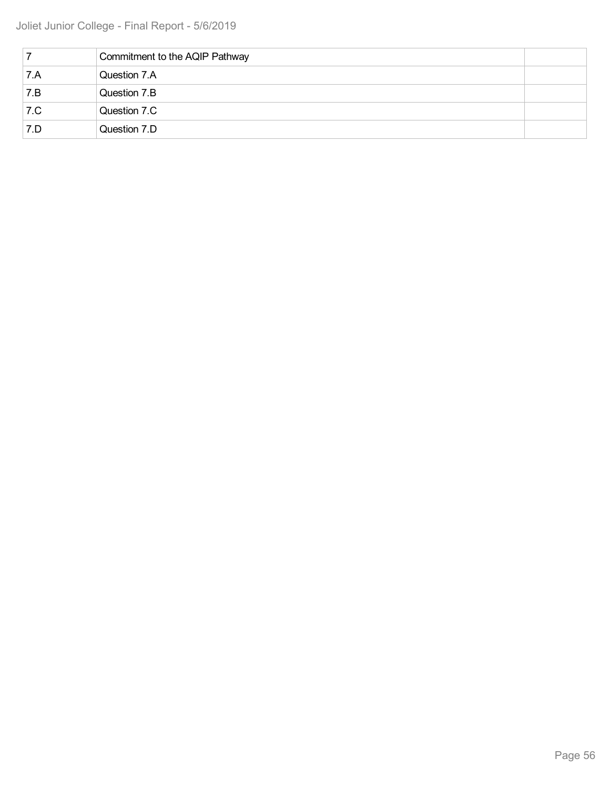|     | Commitment to the AQIP Pathway |  |
|-----|--------------------------------|--|
| 7.A | Question 7.A                   |  |
| 7.B | Question 7.B                   |  |
| 7.C | Question 7.C                   |  |
| 7.D | Question 7.D                   |  |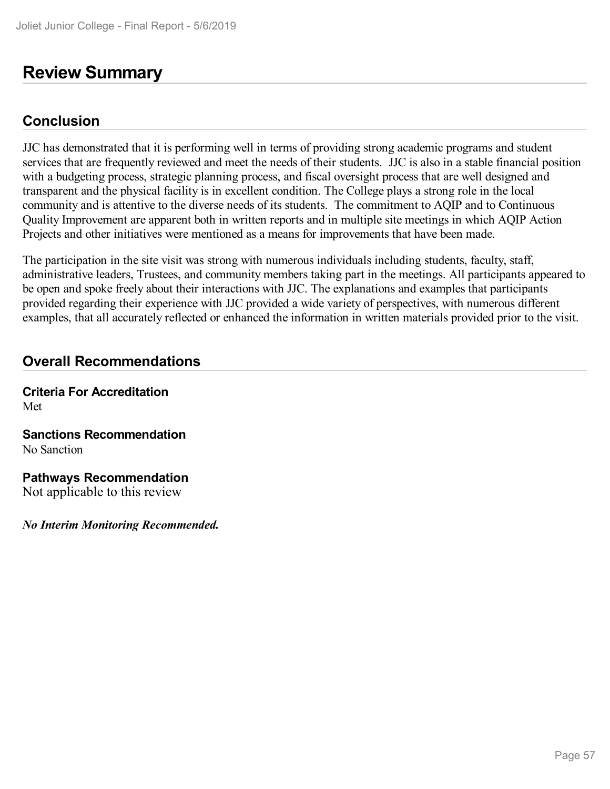## **Review Summary**

## **Conclusion**

JJC has demonstrated that it is performing well in terms of providing strong academic programs and student services that are frequently reviewed and meet the needs of their students. JJC is also in a stable financial position with a budgeting process, strategic planning process, and fiscal oversight process that are well designed and transparent and the physical facility is in excellent condition. The College plays a strong role in the local community and is attentive to the diverse needs of its students. The commitment to AQIP and to Continuous Quality Improvement are apparent both in written reports and in multiple site meetings in which AQIP Action Projects and other initiatives were mentioned as a means for improvements that have been made.

The participation in the site visit was strong with numerous individuals including students, faculty, staff, administrative leaders, Trustees, and community members taking part in the meetings. All participants appeared to be open and spoke freely about their interactions with JJC. The explanations and examples that participants provided regarding their experience with JJC provided a wide variety of perspectives, with numerous different examples, that all accurately reflected or enhanced the information in written materials provided prior to the visit.

### **Overall Recommendations**

**Criteria For Accreditation** Met

**Sanctions Recommendation** No Sanction

**Pathways Recommendation** Not applicable to this review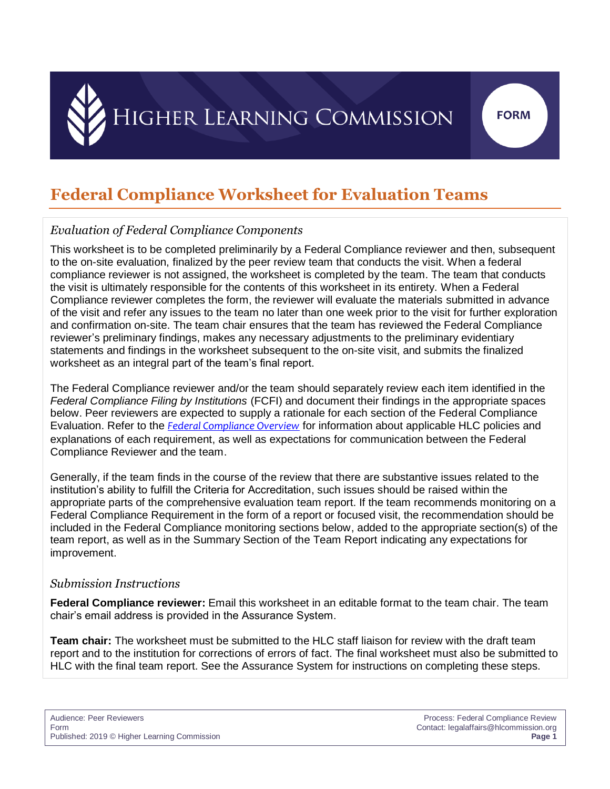## **Federal Compliance Worksheet for Evaluation Teams**

### *Evaluation of Federal Compliance Components*

This worksheet is to be completed preliminarily by a Federal Compliance reviewer and then, subsequent to the on-site evaluation, finalized by the peer review team that conducts the visit. When a federal compliance reviewer is not assigned, the worksheet is completed by the team. The team that conducts the visit is ultimately responsible for the contents of this worksheet in its entirety. When a Federal Compliance reviewer completes the form, the reviewer will evaluate the materials submitted in advance of the visit and refer any issues to the team no later than one week prior to the visit for further exploration and confirmation on-site. The team chair ensures that the team has reviewed the Federal Compliance reviewer's preliminary findings, makes any necessary adjustments to the preliminary evidentiary statements and findings in the worksheet subsequent to the on-site visit, and submits the finalized worksheet as an integral part of the team's final report.

The Federal Compliance reviewer and/or the team should separately review each item identified in the *Federal Compliance Filing by Institutions* (FCFI) and document their findings in the appropriate spaces below. Peer reviewers are expected to supply a rationale for each section of the Federal Compliance Evaluation. Refer to the *[Federal Compliance Overview](http://download.hlcommission.org/FedCompOverview_2019_PRC.pdf)* for information about applicable HLC policies and explanations of each requirement, as well as expectations for communication between the Federal Compliance Reviewer and the team.

Generally, if the team finds in the course of the review that there are substantive issues related to the institution's ability to fulfill the Criteria for Accreditation, such issues should be raised within the appropriate parts of the comprehensive evaluation team report. If the team recommends monitoring on a Federal Compliance Requirement in the form of a report or focused visit, the recommendation should be included in the Federal Compliance monitoring sections below, added to the appropriate section(s) of the team report, as well as in the Summary Section of the Team Report indicating any expectations for improvement.

#### *Submission Instructions*

**Federal Compliance reviewer:** Email this worksheet in an editable format to the team chair. The team chair's email address is provided in the Assurance System.

**Team chair:** The worksheet must be submitted to the HLC staff liaison for review with the draft team report and to the institution for corrections of errors of fact. The final worksheet must also be submitted to HLC with the final team report. See the Assurance System for instructions on completing these steps.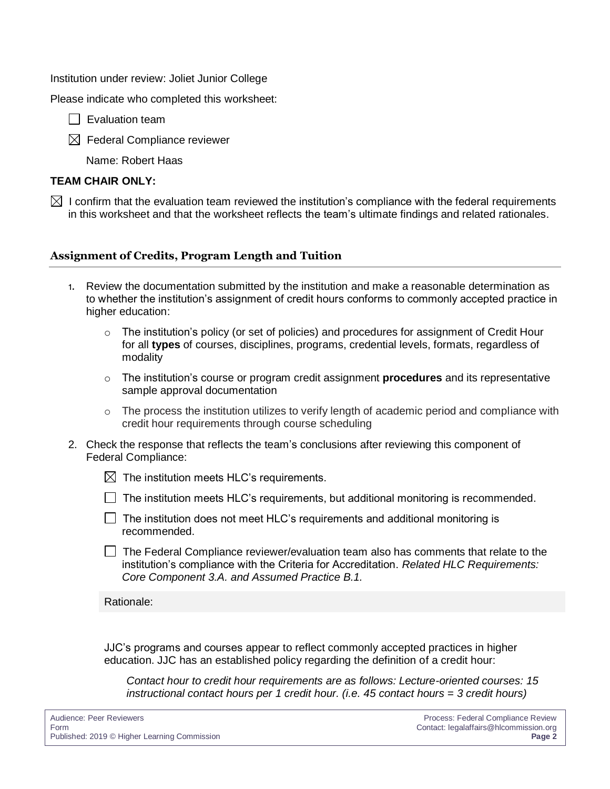Institution under review: Joliet Junior College

Please indicate who completed this worksheet:

 $\Box$  Evaluation team

 $\boxtimes$  Federal Compliance reviewer

Name: Robert Haas

#### **TEAM CHAIR ONLY:**

 $\boxtimes$  I confirm that the evaluation team reviewed the institution's compliance with the federal requirements in this worksheet and that the worksheet reflects the team's ultimate findings and related rationales.

#### **Assignment of Credits, Program Length and Tuition**

- 1. Review the documentation submitted by the institution and make a reasonable determination as to whether the institution's assignment of credit hours conforms to commonly accepted practice in higher education:
	- $\circ$  The institution's policy (or set of policies) and procedures for assignment of Credit Hour for all **types** of courses, disciplines, programs, credential levels, formats, regardless of modality
	- o The institution's course or program credit assignment **procedures** and its representative sample approval documentation
	- o The process the institution utilizes to verify length of academic period and compliance with credit hour requirements through course scheduling
- 2. Check the response that reflects the team's conclusions after reviewing this component of Federal Compliance:
	- $\boxtimes$  The institution meets HLC's requirements.
	- $\Box$  The institution meets HLC's requirements, but additional monitoring is recommended.
	- $\Box$  The institution does not meet HLC's requirements and additional monitoring is recommended.
	- $\Box$  The Federal Compliance reviewer/evaluation team also has comments that relate to the institution's compliance with the Criteria for Accreditation. *Related HLC Requirements: Core Component 3.A. and Assumed Practice B.1.*

Rationale:

JJC's programs and courses appear to reflect commonly accepted practices in higher education. JJC has an established policy regarding the definition of a credit hour:

*Contact hour to credit hour requirements are as follows: Lecture-oriented courses: 15 instructional contact hours per 1 credit hour. (i.e. 45 contact hours = 3 credit hours)*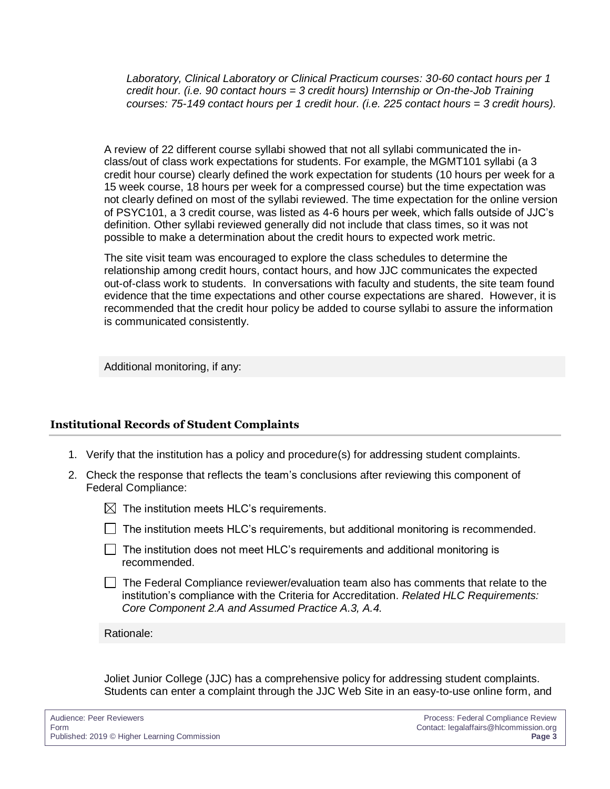*Laboratory, Clinical Laboratory or Clinical Practicum courses: 30-60 contact hours per 1 credit hour. (i.e. 90 contact hours = 3 credit hours) Internship or On-the-Job Training courses: 75-149 contact hours per 1 credit hour. (i.e. 225 contact hours = 3 credit hours).*

A review of 22 different course syllabi showed that not all syllabi communicated the inclass/out of class work expectations for students. For example, the MGMT101 syllabi (a 3 credit hour course) clearly defined the work expectation for students (10 hours per week for a 15 week course, 18 hours per week for a compressed course) but the time expectation was not clearly defined on most of the syllabi reviewed. The time expectation for the online version of PSYC101, a 3 credit course, was listed as 4-6 hours per week, which falls outside of JJC's definition. Other syllabi reviewed generally did not include that class times, so it was not possible to make a determination about the credit hours to expected work metric.

The site visit team was encouraged to explore the class schedules to determine the relationship among credit hours, contact hours, and how JJC communicates the expected out-of-class work to students. In conversations with faculty and students, the site team found evidence that the time expectations and other course expectations are shared. However, it is recommended that the credit hour policy be added to course syllabi to assure the information is communicated consistently.

Additional monitoring, if any:

#### **Institutional Records of Student Complaints**

- 1. Verify that the institution has a policy and procedure(s) for addressing student complaints.
- 2. Check the response that reflects the team's conclusions after reviewing this component of Federal Compliance:
	- $\boxtimes$  The institution meets HLC's requirements.
	- $\Box$  The institution meets HLC's requirements, but additional monitoring is recommended.
	- $\Box$  The institution does not meet HLC's requirements and additional monitoring is recommended.
	- $\Box$  The Federal Compliance reviewer/evaluation team also has comments that relate to the institution's compliance with the Criteria for Accreditation. *Related HLC Requirements: Core Component 2.A and Assumed Practice A.3, A.4.*

Rationale:

Joliet Junior College (JJC) has a comprehensive policy for addressing student complaints. Students can enter a complaint through the JJC Web Site in an easy-to-use online form, and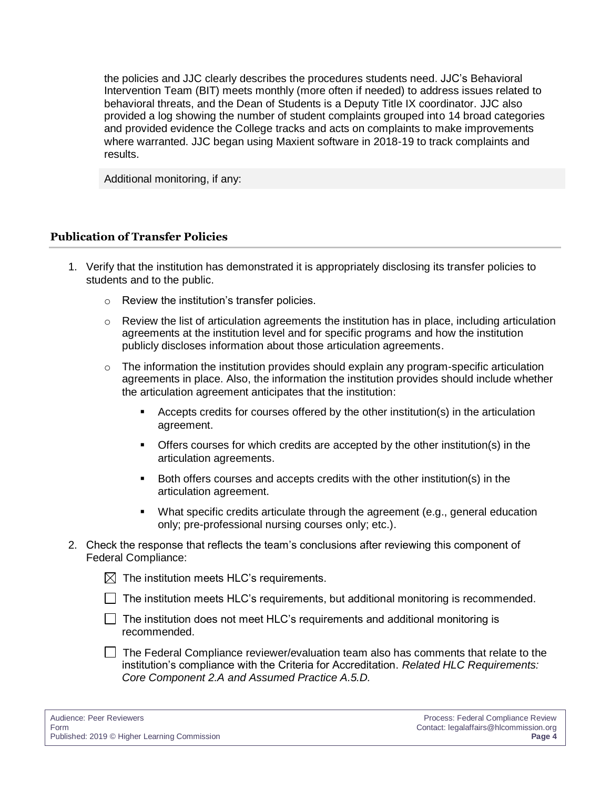the policies and JJC clearly describes the procedures students need. JJC's Behavioral Intervention Team (BIT) meets monthly (more often if needed) to address issues related to behavioral threats, and the Dean of Students is a Deputy Title IX coordinator. JJC also provided a log showing the number of student complaints grouped into 14 broad categories and provided evidence the College tracks and acts on complaints to make improvements where warranted. JJC began using Maxient software in 2018-19 to track complaints and results.

Additional monitoring, if any:

#### **Publication of Transfer Policies**

- 1. Verify that the institution has demonstrated it is appropriately disclosing its transfer policies to students and to the public.
	- o Review the institution's transfer policies.
	- $\circ$  Review the list of articulation agreements the institution has in place, including articulation agreements at the institution level and for specific programs and how the institution publicly discloses information about those articulation agreements.
	- o The information the institution provides should explain any program-specific articulation agreements in place. Also, the information the institution provides should include whether the articulation agreement anticipates that the institution:
		- **EXEC** Accepts credits for courses offered by the other institution(s) in the articulation agreement.
		- Offers courses for which credits are accepted by the other institution(s) in the articulation agreements.
		- Both offers courses and accepts credits with the other institution(s) in the articulation agreement.
		- What specific credits articulate through the agreement (e.g., general education only; pre-professional nursing courses only; etc.).
- 2. Check the response that reflects the team's conclusions after reviewing this component of Federal Compliance:

 $\boxtimes$  The institution meets HLC's requirements.

- $\Box$  The institution meets HLC's requirements, but additional monitoring is recommended.
- $\Box$  The institution does not meet HLC's requirements and additional monitoring is recommended.
- $\Box$  The Federal Compliance reviewer/evaluation team also has comments that relate to the institution's compliance with the Criteria for Accreditation. *Related HLC Requirements: Core Component 2.A and Assumed Practice A.5.D.*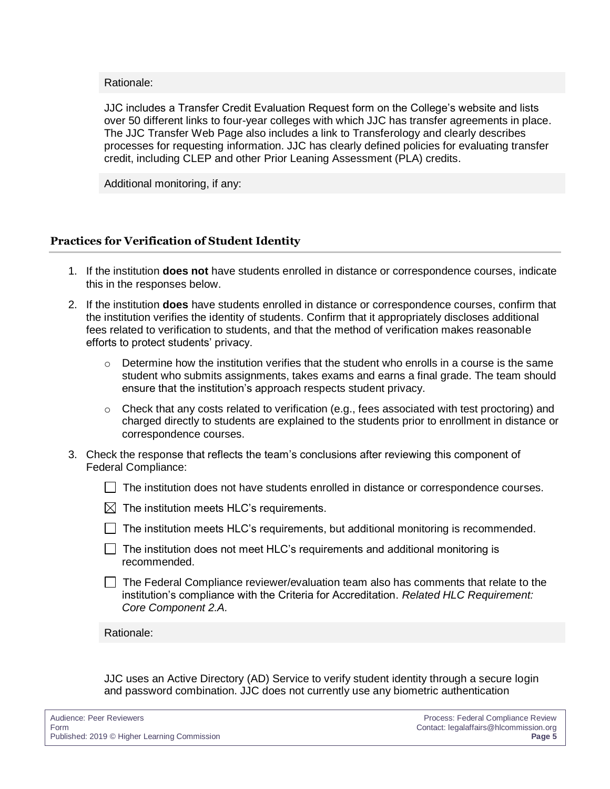Rationale:

JJC includes a Transfer Credit Evaluation Request form on the College's website and lists over 50 different links to four-year colleges with which JJC has transfer agreements in place. The JJC Transfer Web Page also includes a link to Transferology and clearly describes processes for requesting information. JJC has clearly defined policies for evaluating transfer credit, including CLEP and other Prior Leaning Assessment (PLA) credits.

Additional monitoring, if any:

#### **Practices for Verification of Student Identity**

- 1. If the institution **does not** have students enrolled in distance or correspondence courses, indicate this in the responses below.
- 2. If the institution **does** have students enrolled in distance or correspondence courses, confirm that the institution verifies the identity of students. Confirm that it appropriately discloses additional fees related to verification to students, and that the method of verification makes reasonable efforts to protect students' privacy.
	- $\circ$  Determine how the institution verifies that the student who enrolls in a course is the same student who submits assignments, takes exams and earns a final grade. The team should ensure that the institution's approach respects student privacy.
	- $\circ$  Check that any costs related to verification (e.g., fees associated with test proctoring) and charged directly to students are explained to the students prior to enrollment in distance or correspondence courses.
- 3. Check the response that reflects the team's conclusions after reviewing this component of Federal Compliance:
	- $\Box$  The institution does not have students enrolled in distance or correspondence courses.
	- $\boxtimes$  The institution meets HLC's requirements.
	- $\Box$  The institution meets HLC's requirements, but additional monitoring is recommended.
	- $\Box$  The institution does not meet HLC's requirements and additional monitoring is recommended.
	- $\Box$  The Federal Compliance reviewer/evaluation team also has comments that relate to the institution's compliance with the Criteria for Accreditation. *Related HLC Requirement: Core Component 2.A.*

Rationale:

JJC uses an Active Directory (AD) Service to verify student identity through a secure login and password combination. JJC does not currently use any biometric authentication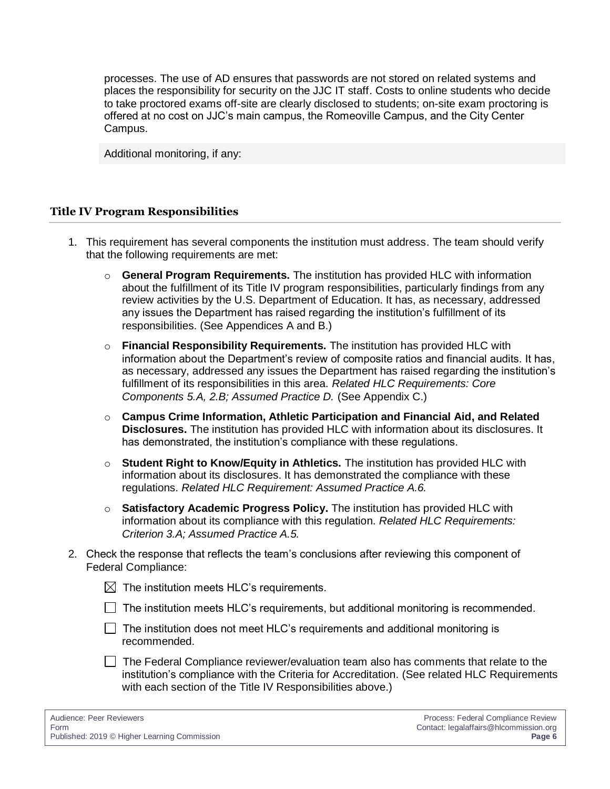processes. The use of AD ensures that passwords are not stored on related systems and places the responsibility for security on the JJC IT staff. Costs to online students who decide to take proctored exams off-site are clearly disclosed to students; on-site exam proctoring is offered at no cost on JJC's main campus, the Romeoville Campus, and the City Center Campus.

Additional monitoring, if any:

#### **Title IV Program Responsibilities**

- 1. This requirement has several components the institution must address. The team should verify that the following requirements are met:
	- o **General Program Requirements.** The institution has provided HLC with information about the fulfillment of its Title IV program responsibilities, particularly findings from any review activities by the U.S. Department of Education. It has, as necessary, addressed any issues the Department has raised regarding the institution's fulfillment of its responsibilities. (See Appendices A and B.)
	- o **Financial Responsibility Requirements.** The institution has provided HLC with information about the Department's review of composite ratios and financial audits. It has, as necessary, addressed any issues the Department has raised regarding the institution's fulfillment of its responsibilities in this area. *Related HLC Requirements: Core Components 5.A, 2.B; Assumed Practice D.* (See Appendix C.)
	- o **Campus Crime Information, Athletic Participation and Financial Aid, and Related Disclosures.** The institution has provided HLC with information about its disclosures. It has demonstrated, the institution's compliance with these regulations.
	- o **Student Right to Know/Equity in Athletics.** The institution has provided HLC with information about its disclosures. It has demonstrated the compliance with these regulations. *Related HLC Requirement: Assumed Practice A.6.*
	- o **Satisfactory Academic Progress Policy.** The institution has provided HLC with information about its compliance with this regulation. *Related HLC Requirements: Criterion 3.A; Assumed Practice A.5.*
- 2. Check the response that reflects the team's conclusions after reviewing this component of Federal Compliance:

 $\boxtimes$  The institution meets HLC's requirements.

- $\Box$  The institution meets HLC's requirements, but additional monitoring is recommended.
- $\Box$  The institution does not meet HLC's requirements and additional monitoring is recommended.
- $\Box$  The Federal Compliance reviewer/evaluation team also has comments that relate to the institution's compliance with the Criteria for Accreditation. (See related HLC Requirements with each section of the Title IV Responsibilities above.)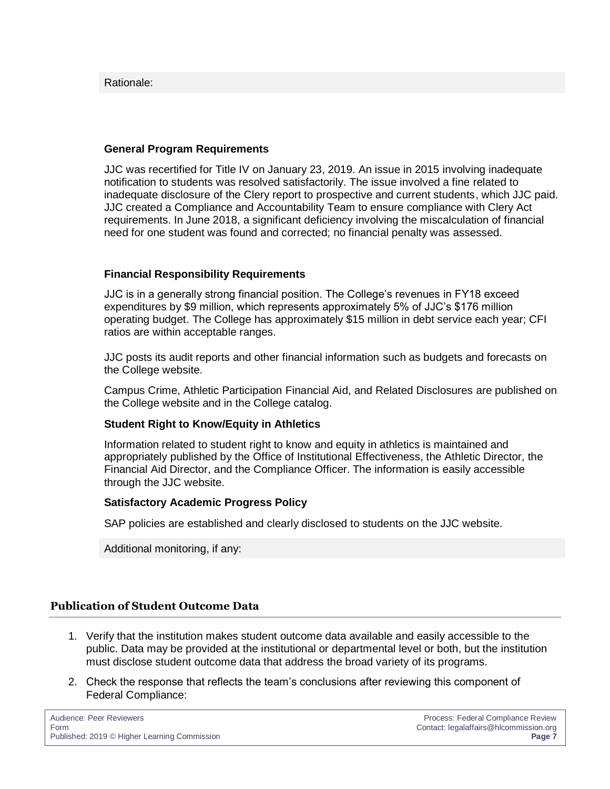#### Rationale:

#### **General Program Requirements**

JJC was recertified for Title IV on January 23, 2019. An issue in 2015 involving inadequate notification to students was resolved satisfactorily. The issue involved a fine related to inadequate disclosure of the Clery report to prospective and current students, which JJC paid. JJC created a Compliance and Accountability Team to ensure compliance with Clery Act requirements. In June 2018, a significant deficiency involving the miscalculation of financial need for one student was found and corrected; no financial penalty was assessed.

#### **Financial Responsibility Requirements**

JJC is in a generally strong financial position. The College's revenues in FY18 exceed expenditures by \$9 million, which represents approximately 5% of JJC's \$176 million operating budget. The College has approximately \$15 million in debt service each year; CFI ratios are within acceptable ranges.

JJC posts its audit reports and other financial information such as budgets and forecasts on the College website.

Campus Crime, Athletic Participation Financial Aid, and Related Disclosures are published on the College website and in the College catalog.

#### **Student Right to Know/Equity in Athletics**

Information related to student right to know and equity in athletics is maintained and appropriately published by the Office of Institutional Effectiveness, the Athletic Director, the Financial Aid Director, and the Compliance Officer. The information is easily accessible through the JJC website.

#### **Satisfactory Academic Progress Policy**

SAP policies are established and clearly disclosed to students on the JJC website.

Additional monitoring, if any:

#### **Publication of Student Outcome Data**

- 1. Verify that the institution makes student outcome data available and easily accessible to the public. Data may be provided at the institutional or departmental level or both, but the institution must disclose student outcome data that address the broad variety of its programs.
- 2. Check the response that reflects the team's conclusions after reviewing this component of Federal Compliance: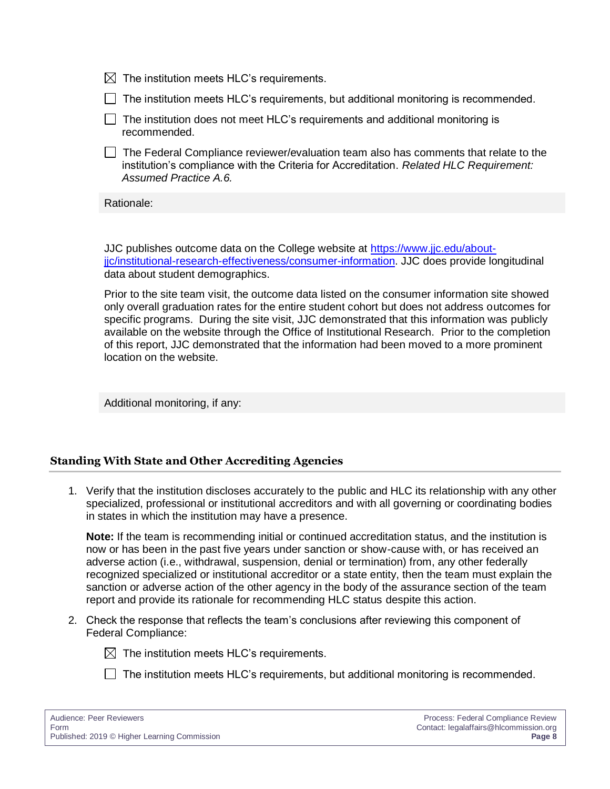|  | $\boxtimes$ The institution meets HLC's requirements. |  |  |
|--|-------------------------------------------------------|--|--|
|--|-------------------------------------------------------|--|--|

- $\Box$  The institution meets HLC's requirements, but additional monitoring is recommended.
- $\Box$  The institution does not meet HLC's requirements and additional monitoring is recommended.
- $\Box$  The Federal Compliance reviewer/evaluation team also has comments that relate to the institution's compliance with the Criteria for Accreditation. *Related HLC Requirement: Assumed Practice A.6.*

Rationale:

JJC publishes outcome data on the College website at [https://www.jjc.edu/about](https://www.jjc.edu/about-jjc/institutional-research-effectiveness/consumer-information)[jjc/institutional-research-effectiveness/consumer-information.](https://www.jjc.edu/about-jjc/institutional-research-effectiveness/consumer-information) JJC does provide longitudinal data about student demographics.

Prior to the site team visit, the outcome data listed on the consumer information site showed only overall graduation rates for the entire student cohort but does not address outcomes for specific programs. During the site visit, JJC demonstrated that this information was publicly available on the website through the Office of Institutional Research. Prior to the completion of this report, JJC demonstrated that the information had been moved to a more prominent location on the website.

Additional monitoring, if any:

#### **Standing With State and Other Accrediting Agencies**

1. Verify that the institution discloses accurately to the public and HLC its relationship with any other specialized, professional or institutional accreditors and with all governing or coordinating bodies in states in which the institution may have a presence.

**Note:** If the team is recommending initial or continued accreditation status, and the institution is now or has been in the past five years under sanction or show-cause with, or has received an adverse action (i.e., withdrawal, suspension, denial or termination) from, any other federally recognized specialized or institutional accreditor or a state entity, then the team must explain the sanction or adverse action of the other agency in the body of the assurance section of the team report and provide its rationale for recommending HLC status despite this action.

2. Check the response that reflects the team's conclusions after reviewing this component of Federal Compliance:

 $\boxtimes$  The institution meets HLC's requirements.

 $\Box$  The institution meets HLC's requirements, but additional monitoring is recommended.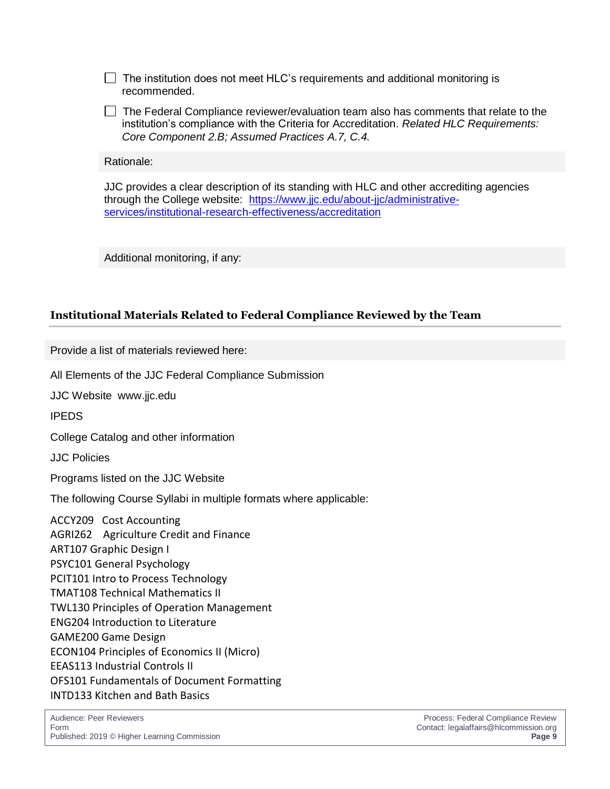$\Box$  The institution does not meet HLC's requirements and additional monitoring is recommended.

 $\Box$  The Federal Compliance reviewer/evaluation team also has comments that relate to the institution's compliance with the Criteria for Accreditation. *Related HLC Requirements: Core Component 2.B; Assumed Practices A.7, C.4.*

Rationale:

JJC provides a clear description of its standing with HLC and other accrediting agencies through the College website: [https://www.jjc.edu/about-jjc/administrative](https://www.jjc.edu/about-jjc/administrative-services/institutional-research-effectiveness/accreditation)[services/institutional-research-effectiveness/accreditation](https://www.jjc.edu/about-jjc/administrative-services/institutional-research-effectiveness/accreditation)

Additional monitoring, if any:

#### **Institutional Materials Related to Federal Compliance Reviewed by the Team**

Provide a list of materials reviewed here:

All Elements of the JJC Federal Compliance Submission

JJC Website www.jjc.edu

IPEDS

College Catalog and other information

JJC Policies

Programs listed on the JJC Website

The following Course Syllabi in multiple formats where applicable:

ACCY209 Cost Accounting AGRI262 Agriculture Credit and Finance ART107 Graphic Design I PSYC101 General Psychology PCIT101 Intro to Process Technology TMAT108 Technical Mathematics II TWL130 Principles of Operation Management ENG204 Introduction to Literature GAME200 Game Design ECON104 Principles of Economics II (Micro) EEAS113 Industrial Controls II OFS101 Fundamentals of Document Formatting INTD133 Kitchen and Bath Basics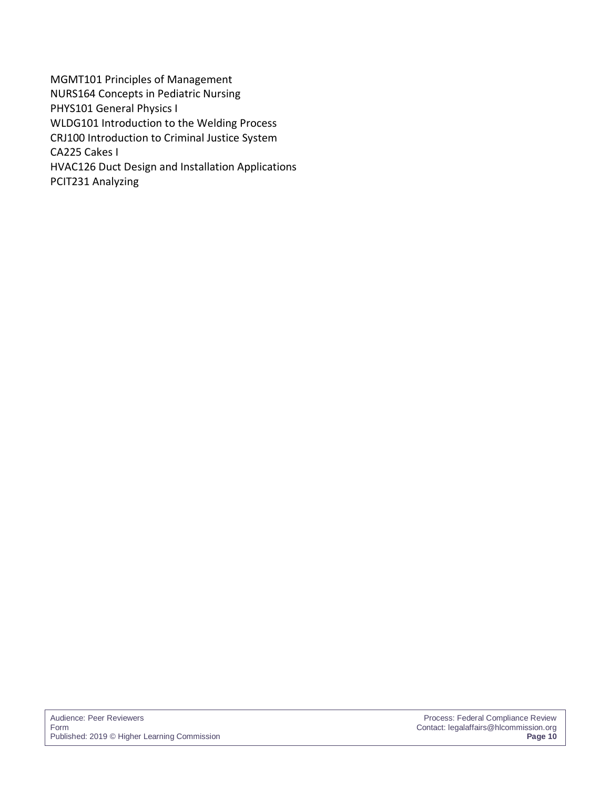MGMT101 Principles of Management NURS164 Concepts in Pediatric Nursing PHYS101 General Physics I WLDG101 Introduction to the Welding Process CRJ100 Introduction to Criminal Justice System CA225 Cakes I HVAC126 Duct Design and Installation Applications PCIT231 Analyzing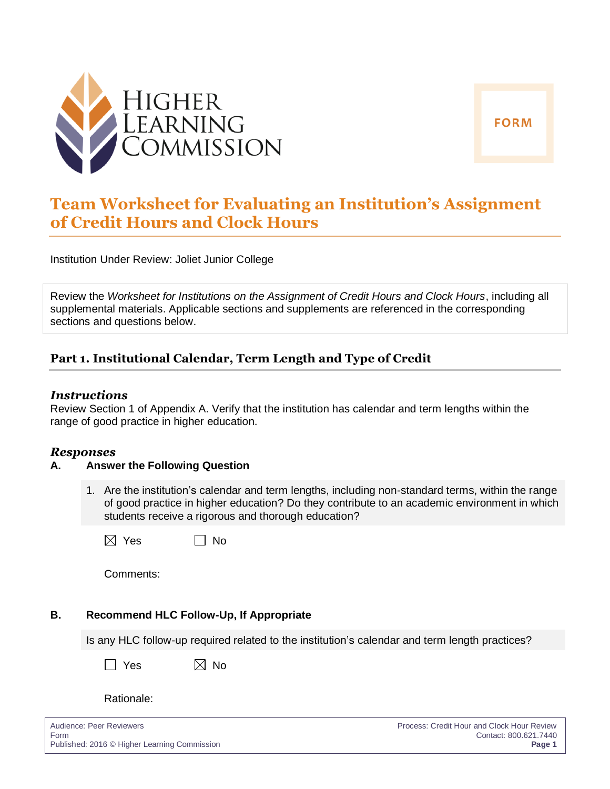

## **Team Worksheet for Evaluating an Institution's Assignment of Credit Hours and Clock Hours**

Institution Under Review: Joliet Junior College

Review the *Worksheet for Institutions on the Assignment of Credit Hours and Clock Hours*, including all supplemental materials. Applicable sections and supplements are referenced in the corresponding sections and questions below.

#### **Part 1. Institutional Calendar, Term Length and Type of Credit**

#### *Instructions*

Review Section 1 of Appendix A. Verify that the institution has calendar and term lengths within the range of good practice in higher education.

#### *Responses*

#### **A. Answer the Following Question**

1. Are the institution's calendar and term lengths, including non-standard terms, within the range of good practice in higher education? Do they contribute to an academic environment in which students receive a rigorous and thorough education?

|  | $\boxtimes$ Yes |  | $\Box$ No |
|--|-----------------|--|-----------|
|--|-----------------|--|-----------|

Comments:

#### **B. Recommend HLC Follow-Up, If Appropriate**

Is any HLC follow-up required related to the institution's calendar and term length practices?

| $\boxtimes$ No |  |
|----------------|--|
|                |  |

#### Rationale:

Audience: Peer Reviewers Process: Credit Hour and Clock Hour Review Form Contact: 800.621.7440 Published: 2016 © Higher Learning Commission **Page 1**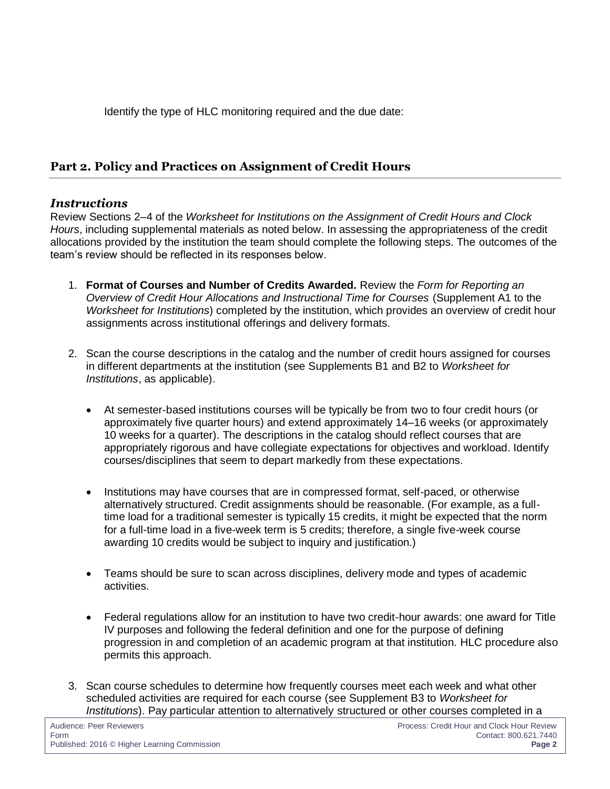Identify the type of HLC monitoring required and the due date:

#### **Part 2. Policy and Practices on Assignment of Credit Hours**

#### *Instructions*

Review Sections 2–4 of the *Worksheet for Institutions on the Assignment of Credit Hours and Clock Hours*, including supplemental materials as noted below. In assessing the appropriateness of the credit allocations provided by the institution the team should complete the following steps. The outcomes of the team's review should be reflected in its responses below.

- 1. **Format of Courses and Number of Credits Awarded.** Review the *Form for Reporting an Overview of Credit Hour Allocations and Instructional Time for Courses* (Supplement A1 to the *Worksheet for Institutions*) completed by the institution, which provides an overview of credit hour assignments across institutional offerings and delivery formats.
- 2. Scan the course descriptions in the catalog and the number of credit hours assigned for courses in different departments at the institution (see Supplements B1 and B2 to *Worksheet for Institutions*, as applicable).
	- At semester-based institutions courses will be typically be from two to four credit hours (or approximately five quarter hours) and extend approximately 14–16 weeks (or approximately 10 weeks for a quarter). The descriptions in the catalog should reflect courses that are appropriately rigorous and have collegiate expectations for objectives and workload. Identify courses/disciplines that seem to depart markedly from these expectations.
	- Institutions may have courses that are in compressed format, self-paced, or otherwise alternatively structured. Credit assignments should be reasonable. (For example, as a fulltime load for a traditional semester is typically 15 credits, it might be expected that the norm for a full-time load in a five-week term is 5 credits; therefore, a single five-week course awarding 10 credits would be subject to inquiry and justification.)
	- Teams should be sure to scan across disciplines, delivery mode and types of academic activities.
	- Federal regulations allow for an institution to have two credit-hour awards: one award for Title IV purposes and following the federal definition and one for the purpose of defining progression in and completion of an academic program at that institution. HLC procedure also permits this approach.
- 3. Scan course schedules to determine how frequently courses meet each week and what other scheduled activities are required for each course (see Supplement B3 to *Worksheet for Institutions*). Pay particular attention to alternatively structured or other courses completed in a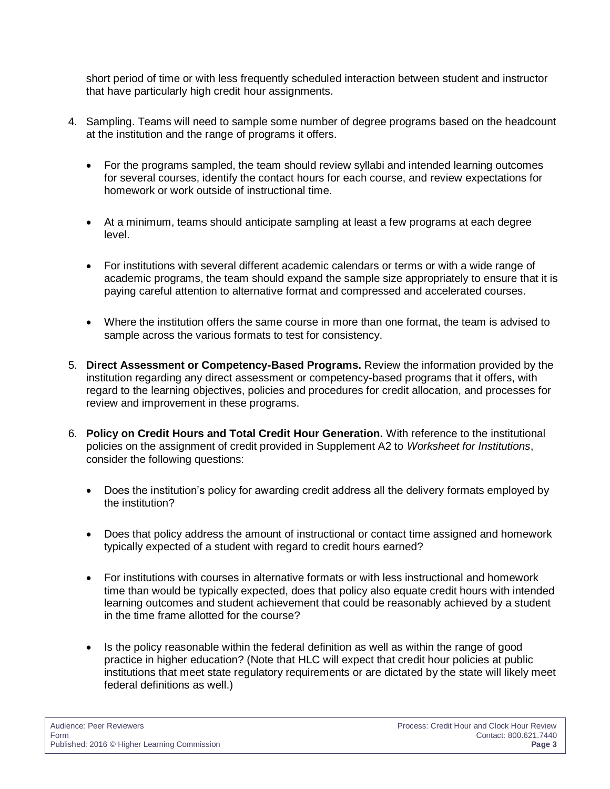short period of time or with less frequently scheduled interaction between student and instructor that have particularly high credit hour assignments.

- 4. Sampling. Teams will need to sample some number of degree programs based on the headcount at the institution and the range of programs it offers.
	- For the programs sampled, the team should review syllabi and intended learning outcomes for several courses, identify the contact hours for each course, and review expectations for homework or work outside of instructional time.
	- At a minimum, teams should anticipate sampling at least a few programs at each degree level.
	- For institutions with several different academic calendars or terms or with a wide range of academic programs, the team should expand the sample size appropriately to ensure that it is paying careful attention to alternative format and compressed and accelerated courses.
	- Where the institution offers the same course in more than one format, the team is advised to sample across the various formats to test for consistency.
- 5. **Direct Assessment or Competency-Based Programs.** Review the information provided by the institution regarding any direct assessment or competency-based programs that it offers, with regard to the learning objectives, policies and procedures for credit allocation, and processes for review and improvement in these programs.
- 6. **Policy on Credit Hours and Total Credit Hour Generation.** With reference to the institutional policies on the assignment of credit provided in Supplement A2 to *Worksheet for Institutions*, consider the following questions:
	- Does the institution's policy for awarding credit address all the delivery formats employed by the institution?
	- Does that policy address the amount of instructional or contact time assigned and homework typically expected of a student with regard to credit hours earned?
	- For institutions with courses in alternative formats or with less instructional and homework time than would be typically expected, does that policy also equate credit hours with intended learning outcomes and student achievement that could be reasonably achieved by a student in the time frame allotted for the course?
	- Is the policy reasonable within the federal definition as well as within the range of good practice in higher education? (Note that HLC will expect that credit hour policies at public institutions that meet state regulatory requirements or are dictated by the state will likely meet federal definitions as well.)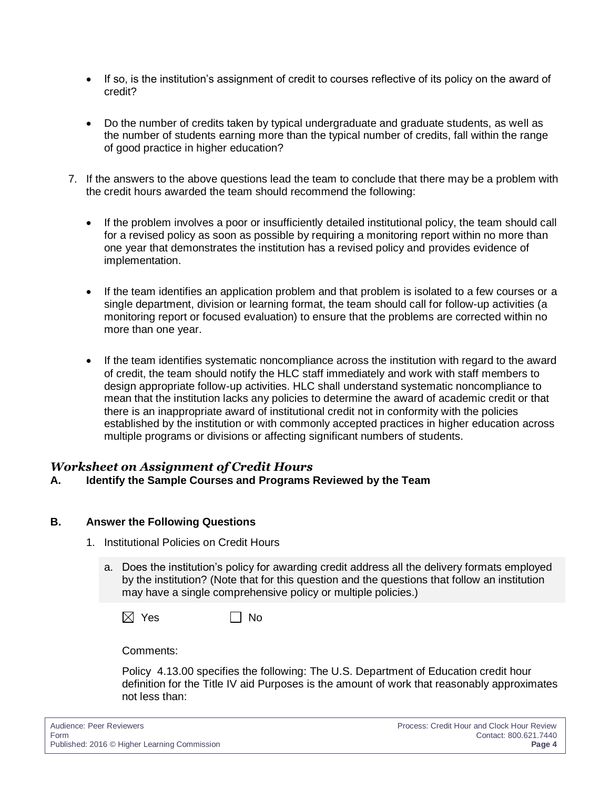- If so, is the institution's assignment of credit to courses reflective of its policy on the award of credit?
- Do the number of credits taken by typical undergraduate and graduate students, as well as the number of students earning more than the typical number of credits, fall within the range of good practice in higher education?
- 7. If the answers to the above questions lead the team to conclude that there may be a problem with the credit hours awarded the team should recommend the following:
	- If the problem involves a poor or insufficiently detailed institutional policy, the team should call for a revised policy as soon as possible by requiring a monitoring report within no more than one year that demonstrates the institution has a revised policy and provides evidence of implementation.
	- If the team identifies an application problem and that problem is isolated to a few courses or a single department, division or learning format, the team should call for follow-up activities (a monitoring report or focused evaluation) to ensure that the problems are corrected within no more than one year.
	- If the team identifies systematic noncompliance across the institution with regard to the award of credit, the team should notify the HLC staff immediately and work with staff members to design appropriate follow-up activities. HLC shall understand systematic noncompliance to mean that the institution lacks any policies to determine the award of academic credit or that there is an inappropriate award of institutional credit not in conformity with the policies established by the institution or with commonly accepted practices in higher education across multiple programs or divisions or affecting significant numbers of students.

#### *Worksheet on Assignment of Credit Hours*

#### **A. Identify the Sample Courses and Programs Reviewed by the Team**

#### **B. Answer the Following Questions**

- 1. Institutional Policies on Credit Hours
	- a. Does the institution's policy for awarding credit address all the delivery formats employed by the institution? (Note that for this question and the questions that follow an institution may have a single comprehensive policy or multiple policies.)

 $\boxtimes$  Yes  $\Box$  No

Comments:

Policy 4.13.00 specifies the following: The U.S. Department of Education credit hour definition for the Title IV aid Purposes is the amount of work that reasonably approximates not less than: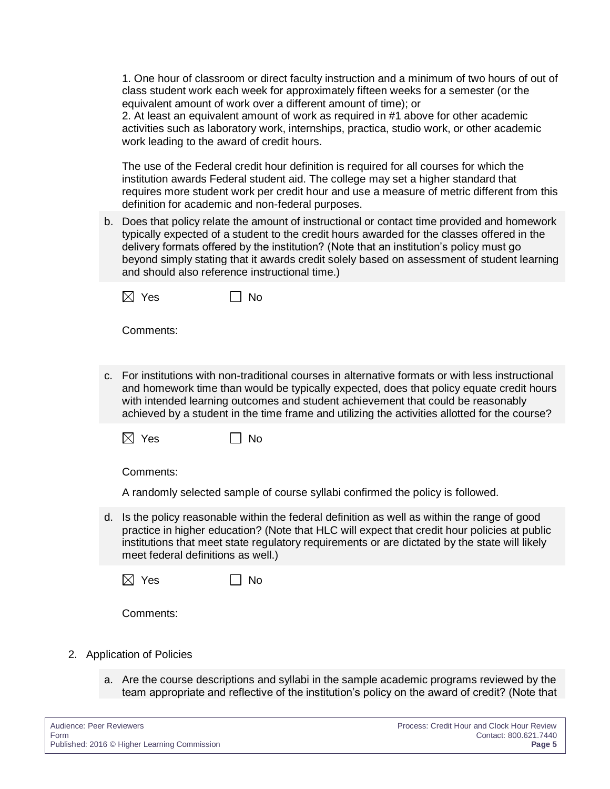1. One hour of classroom or direct faculty instruction and a minimum of two hours of out of class student work each week for approximately fifteen weeks for a semester (or the equivalent amount of work over a different amount of time); or

2. At least an equivalent amount of work as required in #1 above for other academic activities such as laboratory work, internships, practica, studio work, or other academic work leading to the award of credit hours.

The use of the Federal credit hour definition is required for all courses for which the institution awards Federal student aid. The college may set a higher standard that requires more student work per credit hour and use a measure of metric different from this definition for academic and non-federal purposes.

b. Does that policy relate the amount of instructional or contact time provided and homework typically expected of a student to the credit hours awarded for the classes offered in the delivery formats offered by the institution? (Note that an institution's policy must go beyond simply stating that it awards credit solely based on assessment of student learning and should also reference instructional time.)

| $\boxtimes$ Yes |  | $\Box$ No |
|-----------------|--|-----------|
|-----------------|--|-----------|

Comments:

c. For institutions with non-traditional courses in alternative formats or with less instructional and homework time than would be typically expected, does that policy equate credit hours with intended learning outcomes and student achievement that could be reasonably achieved by a student in the time frame and utilizing the activities allotted for the course?

|  | $\boxtimes$ Yes |  | $\Box$ No |
|--|-----------------|--|-----------|
|--|-----------------|--|-----------|

Comments:

A randomly selected sample of course syllabi confirmed the policy is followed.

d. Is the policy reasonable within the federal definition as well as within the range of good practice in higher education? (Note that HLC will expect that credit hour policies at public institutions that meet state regulatory requirements or are dictated by the state will likely meet federal definitions as well.)

 $\boxtimes$  Yes  $\qquad \qquad \Box$ 

Comments:

- 2. Application of Policies
	- a. Are the course descriptions and syllabi in the sample academic programs reviewed by the team appropriate and reflective of the institution's policy on the award of credit? (Note that

| Audience: Peer Reviewers                     | Process: Credit Hour and Clock Hour Review |
|----------------------------------------------|--------------------------------------------|
| Form                                         | Contact: 800.621.7440                      |
| Published: 2016 © Higher Learning Commission | Page 5                                     |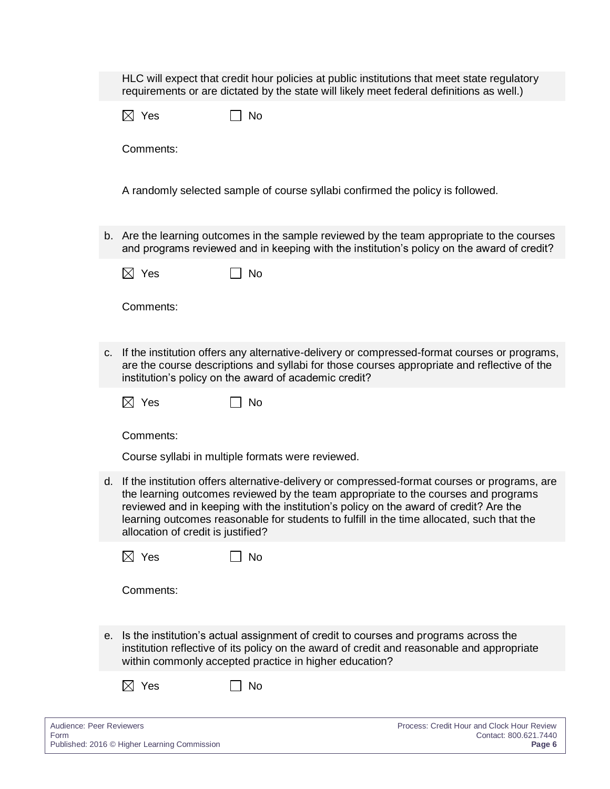|    |                                    | HLC will expect that credit hour policies at public institutions that meet state regulatory<br>requirements or are dictated by the state will likely meet federal definitions as well.)                                                                                                                                                                                  |                                                                     |
|----|------------------------------------|--------------------------------------------------------------------------------------------------------------------------------------------------------------------------------------------------------------------------------------------------------------------------------------------------------------------------------------------------------------------------|---------------------------------------------------------------------|
|    | $\boxtimes$ Yes                    | <b>No</b>                                                                                                                                                                                                                                                                                                                                                                |                                                                     |
|    | Comments:                          |                                                                                                                                                                                                                                                                                                                                                                          |                                                                     |
|    |                                    | A randomly selected sample of course syllabi confirmed the policy is followed.                                                                                                                                                                                                                                                                                           |                                                                     |
|    |                                    | b. Are the learning outcomes in the sample reviewed by the team appropriate to the courses<br>and programs reviewed and in keeping with the institution's policy on the award of credit?                                                                                                                                                                                 |                                                                     |
|    | $\boxtimes$ Yes                    | <b>No</b>                                                                                                                                                                                                                                                                                                                                                                |                                                                     |
|    | Comments:                          |                                                                                                                                                                                                                                                                                                                                                                          |                                                                     |
| C. |                                    | If the institution offers any alternative-delivery or compressed-format courses or programs,<br>are the course descriptions and syllabi for those courses appropriate and reflective of the<br>institution's policy on the award of academic credit?                                                                                                                     |                                                                     |
|    | $\boxtimes$ Yes                    | No                                                                                                                                                                                                                                                                                                                                                                       |                                                                     |
|    | Comments:                          |                                                                                                                                                                                                                                                                                                                                                                          |                                                                     |
|    |                                    | Course syllabi in multiple formats were reviewed.                                                                                                                                                                                                                                                                                                                        |                                                                     |
| d. | allocation of credit is justified? | If the institution offers alternative-delivery or compressed-format courses or programs, are<br>the learning outcomes reviewed by the team appropriate to the courses and programs<br>reviewed and in keeping with the institution's policy on the award of credit? Are the<br>learning outcomes reasonable for students to fulfill in the time allocated, such that the |                                                                     |
|    | $\boxtimes$ Yes                    | <b>No</b>                                                                                                                                                                                                                                                                                                                                                                |                                                                     |
|    | Comments:                          |                                                                                                                                                                                                                                                                                                                                                                          |                                                                     |
|    |                                    | e. Is the institution's actual assignment of credit to courses and programs across the<br>institution reflective of its policy on the award of credit and reasonable and appropriate<br>within commonly accepted practice in higher education?                                                                                                                           |                                                                     |
|    | $\boxtimes$ Yes                    | No                                                                                                                                                                                                                                                                                                                                                                       |                                                                     |
|    | Audience: Peer Reviewers           |                                                                                                                                                                                                                                                                                                                                                                          | Process: Credit Hour and Clock Hour Review<br>Contact: 800.621.7440 |

Published: 2016 © Higher Learning Commission **Page 6**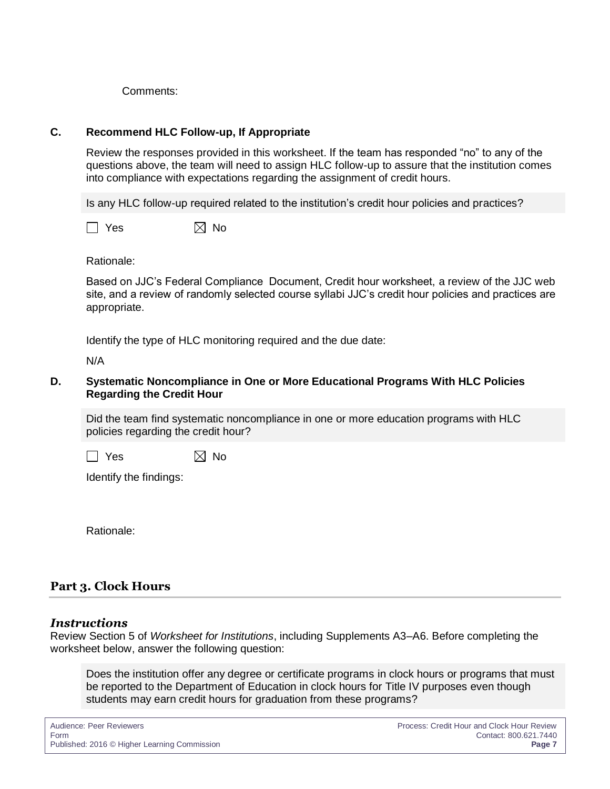Comments:

#### **C. Recommend HLC Follow-up, If Appropriate**

Review the responses provided in this worksheet. If the team has responded "no" to any of the questions above, the team will need to assign HLC follow-up to assure that the institution comes into compliance with expectations regarding the assignment of credit hours.

Is any HLC follow-up required related to the institution's credit hour policies and practices?

 $\Box$  Yes  $\boxtimes$  No

Rationale:

Based on JJC's Federal Compliance Document, Credit hour worksheet, a review of the JJC web site, and a review of randomly selected course syllabi JJC's credit hour policies and practices are appropriate.

Identify the type of HLC monitoring required and the due date:

N/A

#### **D. Systematic Noncompliance in One or More Educational Programs With HLC Policies Regarding the Credit Hour**

Did the team find systematic noncompliance in one or more education programs with HLC policies regarding the credit hour?

 $\Box$  Yes  $\boxtimes$  No

Identify the findings:

Rationale:

## **Part 3. Clock Hours**

#### *Instructions*

Review Section 5 of *Worksheet for Institutions*, including Supplements A3–A6. Before completing the worksheet below, answer the following question:

Does the institution offer any degree or certificate programs in clock hours or programs that must be reported to the Department of Education in clock hours for Title IV purposes even though students may earn credit hours for graduation from these programs?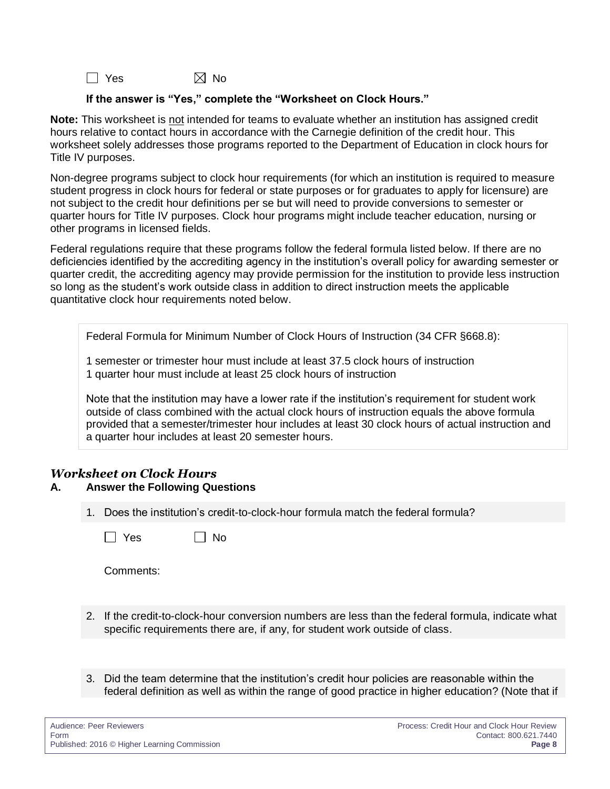$\Box$  Yes  $\boxtimes$  No

#### **If the answer is "Yes," complete the "Worksheet on Clock Hours."**

**Note:** This worksheet is not intended for teams to evaluate whether an institution has assigned credit hours relative to contact hours in accordance with the Carnegie definition of the credit hour. This worksheet solely addresses those programs reported to the Department of Education in clock hours for Title IV purposes.

Non-degree programs subject to clock hour requirements (for which an institution is required to measure student progress in clock hours for federal or state purposes or for graduates to apply for licensure) are not subject to the credit hour definitions per se but will need to provide conversions to semester or quarter hours for Title IV purposes. Clock hour programs might include teacher education, nursing or other programs in licensed fields.

Federal regulations require that these programs follow the federal formula listed below. If there are no deficiencies identified by the accrediting agency in the institution's overall policy for awarding semester or quarter credit, the accrediting agency may provide permission for the institution to provide less instruction so long as the student's work outside class in addition to direct instruction meets the applicable quantitative clock hour requirements noted below.

Federal Formula for Minimum Number of Clock Hours of Instruction (34 CFR §668.8):

1 semester or trimester hour must include at least 37.5 clock hours of instruction 1 quarter hour must include at least 25 clock hours of instruction

Note that the institution may have a lower rate if the institution's requirement for student work outside of class combined with the actual clock hours of instruction equals the above formula provided that a semester/trimester hour includes at least 30 clock hours of actual instruction and a quarter hour includes at least 20 semester hours.

### *Worksheet on Clock Hours*

#### **A. Answer the Following Questions**

 $\Box$  No

1. Does the institution's credit-to-clock-hour formula match the federal formula?

| ~<br>۰.<br>۰.<br>×<br>× |  |
|-------------------------|--|
|                         |  |

Comments:

- 2. If the credit-to-clock-hour conversion numbers are less than the federal formula, indicate what specific requirements there are, if any, for student work outside of class.
- 3. Did the team determine that the institution's credit hour policies are reasonable within the federal definition as well as within the range of good practice in higher education? (Note that if

| Audience: Peer Reviewers                     | Process: Credit Hour and Clock Hour Review |
|----------------------------------------------|--------------------------------------------|
| Form                                         | Contact: 800.621.7440                      |
| Published: 2016 © Higher Learning Commission | Page 8                                     |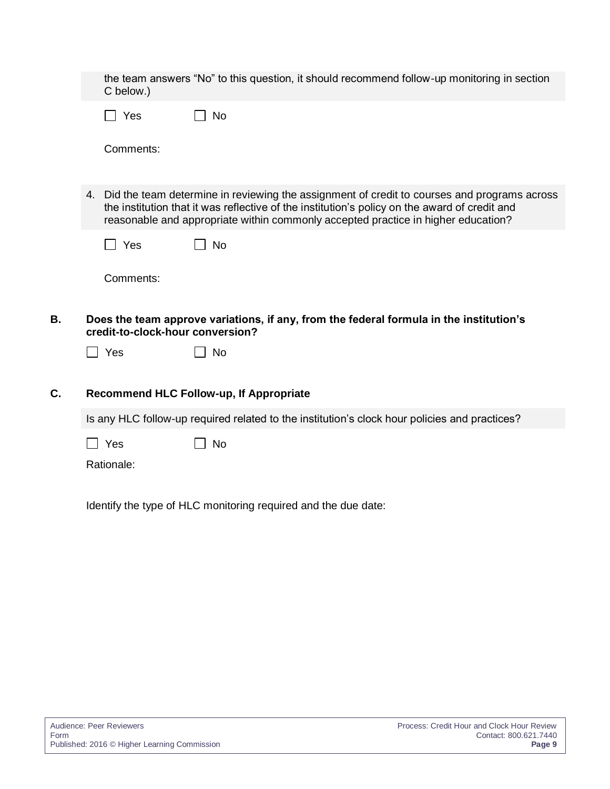|                                                                                                                                                                                                                                                                                      |  | C below.)                        | the team answers "No" to this question, it should recommend follow-up monitoring in section   |
|--------------------------------------------------------------------------------------------------------------------------------------------------------------------------------------------------------------------------------------------------------------------------------------|--|----------------------------------|-----------------------------------------------------------------------------------------------|
|                                                                                                                                                                                                                                                                                      |  | Yes<br>$\perp$                   | $\perp$<br>No                                                                                 |
|                                                                                                                                                                                                                                                                                      |  | Comments:                        |                                                                                               |
| 4. Did the team determine in reviewing the assignment of credit to courses and programs across<br>the institution that it was reflective of the institution's policy on the award of credit and<br>reasonable and appropriate within commonly accepted practice in higher education? |  |                                  |                                                                                               |
|                                                                                                                                                                                                                                                                                      |  | $\Box$ Yes                       | <b>No</b>                                                                                     |
|                                                                                                                                                                                                                                                                                      |  | Comments:                        |                                                                                               |
| В.                                                                                                                                                                                                                                                                                   |  | credit-to-clock-hour conversion? | Does the team approve variations, if any, from the federal formula in the institution's       |
|                                                                                                                                                                                                                                                                                      |  | $\Box$ Yes                       | <b>No</b>                                                                                     |
| C.                                                                                                                                                                                                                                                                                   |  |                                  | Recommend HLC Follow-up, If Appropriate                                                       |
|                                                                                                                                                                                                                                                                                      |  |                                  |                                                                                               |
|                                                                                                                                                                                                                                                                                      |  |                                  | Is any HLC follow-up required related to the institution's clock hour policies and practices? |
|                                                                                                                                                                                                                                                                                      |  | Yes                              | <b>No</b>                                                                                     |
|                                                                                                                                                                                                                                                                                      |  | Rationale:                       |                                                                                               |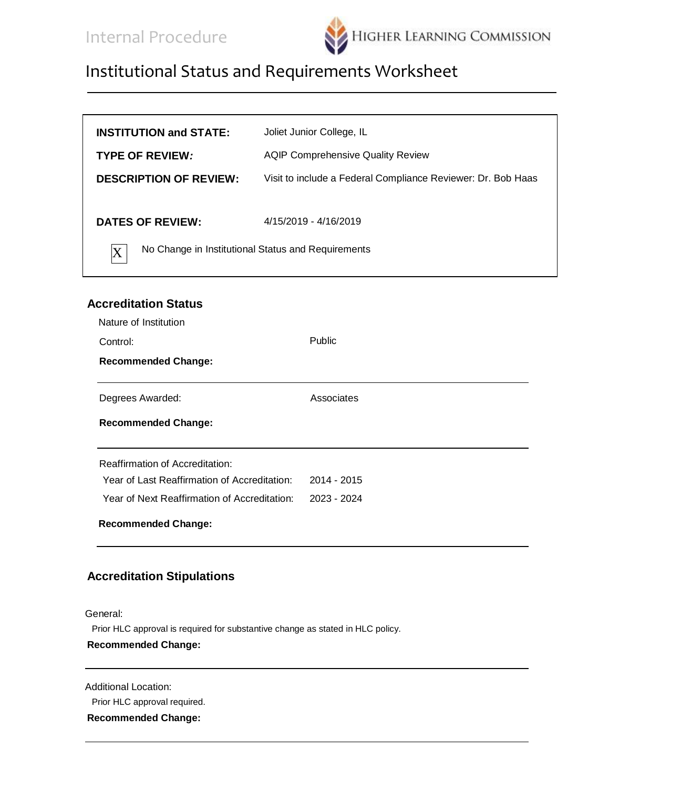

| Joliet Junior College, IL                                                   |  |
|-----------------------------------------------------------------------------|--|
| <b>AQIP Comprehensive Quality Review</b>                                    |  |
| Visit to include a Federal Compliance Reviewer: Dr. Bob Haas                |  |
| 4/15/2019 - 4/16/2019<br>No Change in Institutional Status and Requirements |  |
|                                                                             |  |

## **Accreditation Status**

| Nature of Institution                        |             |
|----------------------------------------------|-------------|
| Control:                                     | Public      |
| <b>Recommended Change:</b>                   |             |
| Degrees Awarded:                             | Associates  |
| <b>Recommended Change:</b>                   |             |
| <b>Reaffirmation of Accreditation:</b>       |             |
| Year of Last Reaffirmation of Accreditation: | 2014 - 2015 |
| Year of Next Reaffirmation of Accreditation: | 2023 - 2024 |
| <b>Recommended Change:</b>                   |             |

### **Accreditation Stipulations**

General:

Prior HLC approval is required for substantive change as stated in HLC policy.

#### **Recommended Change:**

Additional Location:

Prior HLC approval required.

**Recommended Change:**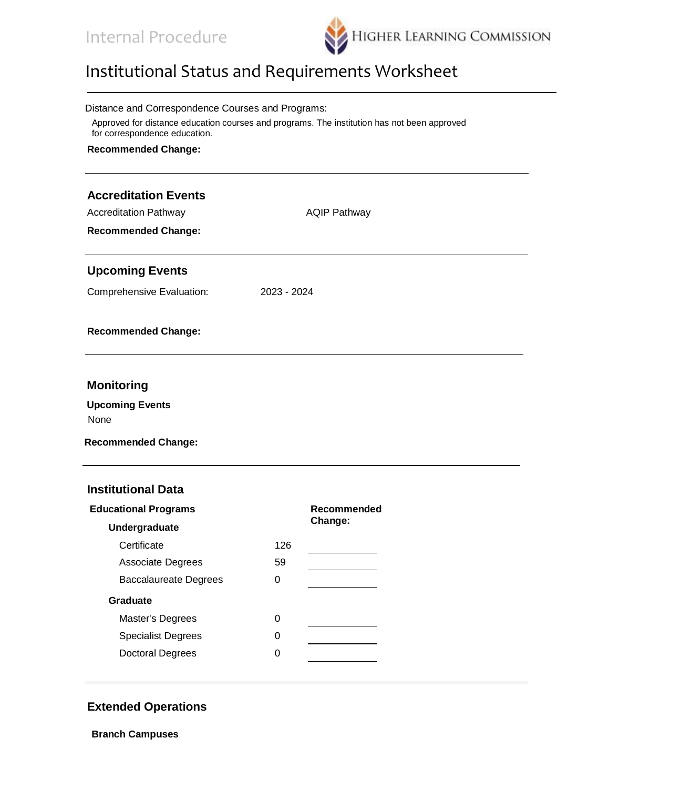

| Distance and Correspondence Courses and Programs:                                                                            |                     |  |  |
|------------------------------------------------------------------------------------------------------------------------------|---------------------|--|--|
| Approved for distance education courses and programs. The institution has not been approved<br>for correspondence education. |                     |  |  |
| <b>Recommended Change:</b>                                                                                                   |                     |  |  |
|                                                                                                                              |                     |  |  |
| <b>Accreditation Events</b>                                                                                                  |                     |  |  |
| <b>Accreditation Pathway</b>                                                                                                 | <b>AQIP Pathway</b> |  |  |
| <b>Recommended Change:</b>                                                                                                   |                     |  |  |
| <b>Upcoming Events</b>                                                                                                       |                     |  |  |
| Comprehensive Evaluation:                                                                                                    | 2023 - 2024         |  |  |
| <b>Recommended Change:</b>                                                                                                   |                     |  |  |
|                                                                                                                              |                     |  |  |
| <b>Monitoring</b>                                                                                                            |                     |  |  |
| <b>Upcoming Events</b>                                                                                                       |                     |  |  |
| None                                                                                                                         |                     |  |  |

**Recommended Change:**

#### **Institutional Data**

| <b>Educational Programs</b>  | Recommended |         |
|------------------------------|-------------|---------|
| Undergraduate                |             | Change: |
| Certificate                  | 126         |         |
| <b>Associate Degrees</b>     | 59          |         |
| <b>Baccalaureate Degrees</b> | 0           |         |
| Graduate                     |             |         |
| Master's Degrees             | ი           |         |
| <b>Specialist Degrees</b>    | 0           |         |
| <b>Doctoral Degrees</b>      | ი           |         |
|                              |             |         |

## **Extended Operations**

**Branch Campuses**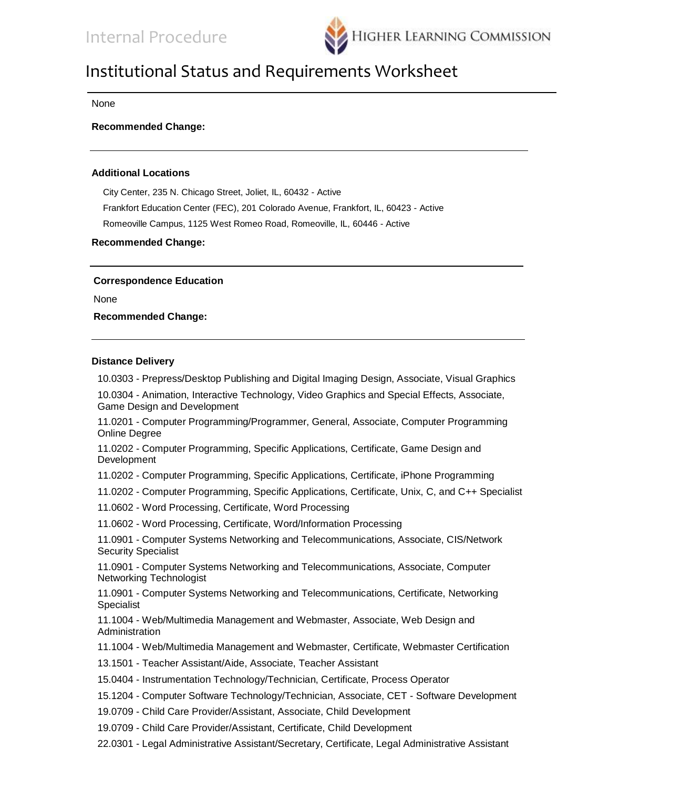

None

**Recommended Change:**

#### **Additional Locations**

City Center, 235 N. Chicago Street, Joliet, IL, 60432 - Active Frankfort Education Center (FEC), 201 Colorado Avenue, Frankfort, IL, 60423 - Active Romeoville Campus, 1125 West Romeo Road, Romeoville, IL, 60446 - Active

**Recommended Change:**

**Correspondence Education**

None

**Recommended Change:**

#### **Distance Delivery**

10.0303 - Prepress/Desktop Publishing and Digital Imaging Design, Associate, Visual Graphics

10.0304 - Animation, Interactive Technology, Video Graphics and Special Effects, Associate, Game Design and Development

11.0201 - Computer Programming/Programmer, General, Associate, Computer Programming Online Degree

11.0202 - Computer Programming, Specific Applications, Certificate, Game Design and Development

11.0202 - Computer Programming, Specific Applications, Certificate, iPhone Programming

11.0202 - Computer Programming, Specific Applications, Certificate, Unix, C, and C++ Specialist

11.0602 - Word Processing, Certificate, Word Processing

11.0602 - Word Processing, Certificate, Word/Information Processing

11.0901 - Computer Systems Networking and Telecommunications, Associate, CIS/Network Security Specialist

11.0901 - Computer Systems Networking and Telecommunications, Associate, Computer Networking Technologist

11.0901 - Computer Systems Networking and Telecommunications, Certificate, Networking Specialist

11.1004 - Web/Multimedia Management and Webmaster, Associate, Web Design and Administration

11.1004 - Web/Multimedia Management and Webmaster, Certificate, Webmaster Certification

13.1501 - Teacher Assistant/Aide, Associate, Teacher Assistant

15.0404 - Instrumentation Technology/Technician, Certificate, Process Operator

15.1204 - Computer Software Technology/Technician, Associate, CET - Software Development

19.0709 - Child Care Provider/Assistant, Associate, Child Development

19.0709 - Child Care Provider/Assistant, Certificate, Child Development

22.0301 - Legal Administrative Assistant/Secretary, Certificate, Legal Administrative Assistant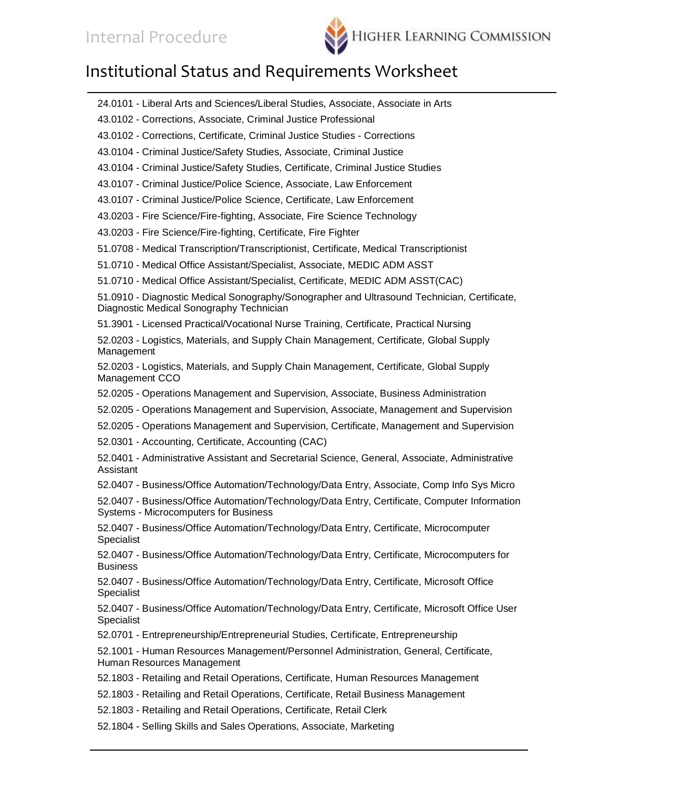

| 24.0101 - Liberal Arts and Sciences/Liberal Studies, Associate, Associate in Arts                                                       |
|-----------------------------------------------------------------------------------------------------------------------------------------|
| 43.0102 - Corrections, Associate, Criminal Justice Professional                                                                         |
| 43.0102 - Corrections, Certificate, Criminal Justice Studies - Corrections                                                              |
| 43.0104 - Criminal Justice/Safety Studies, Associate, Criminal Justice                                                                  |
| 43.0104 - Criminal Justice/Safety Studies, Certificate, Criminal Justice Studies                                                        |
| 43.0107 - Criminal Justice/Police Science, Associate, Law Enforcement                                                                   |
| 43.0107 - Criminal Justice/Police Science, Certificate, Law Enforcement                                                                 |
| 43.0203 - Fire Science/Fire-fighting, Associate, Fire Science Technology                                                                |
| 43.0203 - Fire Science/Fire-fighting, Certificate, Fire Fighter                                                                         |
| 51.0708 - Medical Transcription/Transcriptionist, Certificate, Medical Transcriptionist                                                 |
| 51.0710 - Medical Office Assistant/Specialist, Associate, MEDIC ADM ASST                                                                |
| 51.0710 - Medical Office Assistant/Specialist, Certificate, MEDIC ADM ASST(CAC)                                                         |
| 51.0910 - Diagnostic Medical Sonography/Sonographer and Ultrasound Technician, Certificate,<br>Diagnostic Medical Sonography Technician |
| 51.3901 - Licensed Practical/Vocational Nurse Training, Certificate, Practical Nursing                                                  |
| 52.0203 - Logistics, Materials, and Supply Chain Management, Certificate, Global Supply<br>Management                                   |
| 52.0203 - Logistics, Materials, and Supply Chain Management, Certificate, Global Supply<br>Management CCO                               |
| 52.0205 - Operations Management and Supervision, Associate, Business Administration                                                     |
| 52.0205 - Operations Management and Supervision, Associate, Management and Supervision                                                  |
| 52.0205 - Operations Management and Supervision, Certificate, Management and Supervision                                                |
| 52.0301 - Accounting, Certificate, Accounting (CAC)                                                                                     |
| 52.0401 - Administrative Assistant and Secretarial Science, General, Associate, Administrative<br>Assistant                             |
| 52.0407 - Business/Office Automation/Technology/Data Entry, Associate, Comp Info Sys Micro                                              |
| 52.0407 - Business/Office Automation/Technology/Data Entry, Certificate, Computer Information<br>Systems - Microcomputers for Business  |
| 52.0407 - Business/Office Automation/Technology/Data Entry, Certificate, Microcomputer<br>Specialist                                    |
| 52.0407 - Business/Office Automation/Technology/Data Entry, Certificate, Microcomputers for<br><b>Business</b>                          |
| 52.0407 - Business/Office Automation/Technology/Data Entry, Certificate, Microsoft Office<br>Specialist                                 |
| 52.0407 - Business/Office Automation/Technology/Data Entry, Certificate, Microsoft Office User<br>Specialist                            |
| 52.0701 - Entrepreneurship/Entrepreneurial Studies, Certificate, Entrepreneurship                                                       |
| 52.1001 - Human Resources Management/Personnel Administration, General, Certificate,<br>Human Resources Management                      |
| 52.1803 - Retailing and Retail Operations, Certificate, Human Resources Management                                                      |
| 52.1803 - Retailing and Retail Operations, Certificate, Retail Business Management                                                      |
| 52.1803 - Retailing and Retail Operations, Certificate, Retail Clerk                                                                    |
| 52.1804 - Selling Skills and Sales Operations, Associate, Marketing                                                                     |